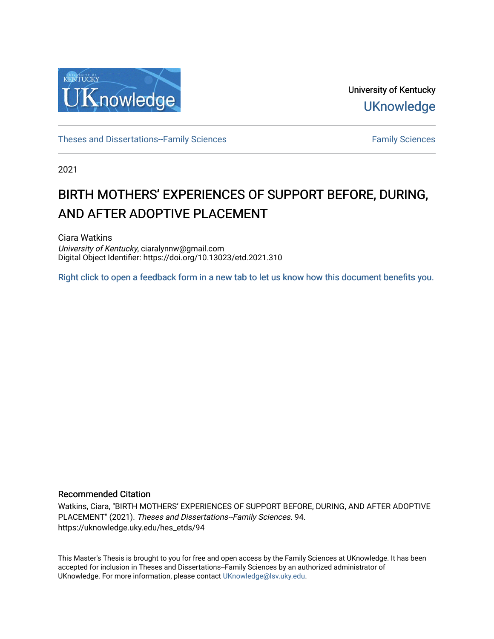

University of Kentucky **UKnowledge** 

[Theses and Dissertations--Family Sciences](https://uknowledge.uky.edu/hes_etds) [Family Sciences](https://uknowledge.uky.edu/hes) Family Sciences

2021

# BIRTH MOTHERS' EXPERIENCES OF SUPPORT BEFORE, DURING, AND AFTER ADOPTIVE PLACEMENT

Ciara Watkins University of Kentucky, ciaralynnw@gmail.com Digital Object Identifier: https://doi.org/10.13023/etd.2021.310

[Right click to open a feedback form in a new tab to let us know how this document benefits you.](https://uky.az1.qualtrics.com/jfe/form/SV_9mq8fx2GnONRfz7)

#### Recommended Citation

Watkins, Ciara, "BIRTH MOTHERS' EXPERIENCES OF SUPPORT BEFORE, DURING, AND AFTER ADOPTIVE PLACEMENT" (2021). Theses and Dissertations--Family Sciences. 94. https://uknowledge.uky.edu/hes\_etds/94

This Master's Thesis is brought to you for free and open access by the Family Sciences at UKnowledge. It has been accepted for inclusion in Theses and Dissertations--Family Sciences by an authorized administrator of UKnowledge. For more information, please contact [UKnowledge@lsv.uky.edu](mailto:UKnowledge@lsv.uky.edu).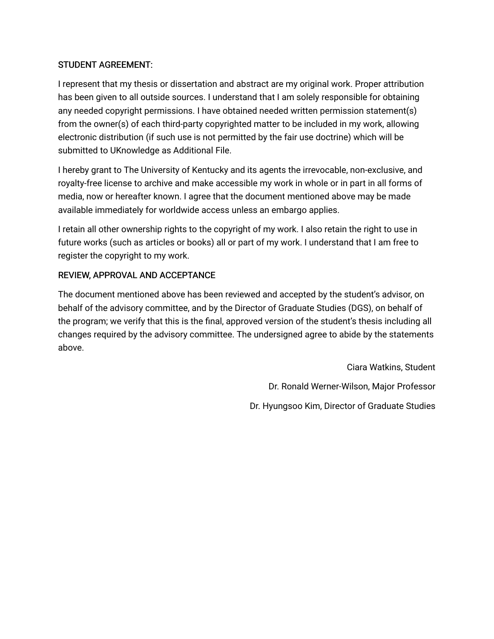## STUDENT AGREEMENT:

I represent that my thesis or dissertation and abstract are my original work. Proper attribution has been given to all outside sources. I understand that I am solely responsible for obtaining any needed copyright permissions. I have obtained needed written permission statement(s) from the owner(s) of each third-party copyrighted matter to be included in my work, allowing electronic distribution (if such use is not permitted by the fair use doctrine) which will be submitted to UKnowledge as Additional File.

I hereby grant to The University of Kentucky and its agents the irrevocable, non-exclusive, and royalty-free license to archive and make accessible my work in whole or in part in all forms of media, now or hereafter known. I agree that the document mentioned above may be made available immediately for worldwide access unless an embargo applies.

I retain all other ownership rights to the copyright of my work. I also retain the right to use in future works (such as articles or books) all or part of my work. I understand that I am free to register the copyright to my work.

## REVIEW, APPROVAL AND ACCEPTANCE

The document mentioned above has been reviewed and accepted by the student's advisor, on behalf of the advisory committee, and by the Director of Graduate Studies (DGS), on behalf of the program; we verify that this is the final, approved version of the student's thesis including all changes required by the advisory committee. The undersigned agree to abide by the statements above.

> Ciara Watkins, Student Dr. Ronald Werner-Wilson, Major Professor Dr. Hyungsoo Kim, Director of Graduate Studies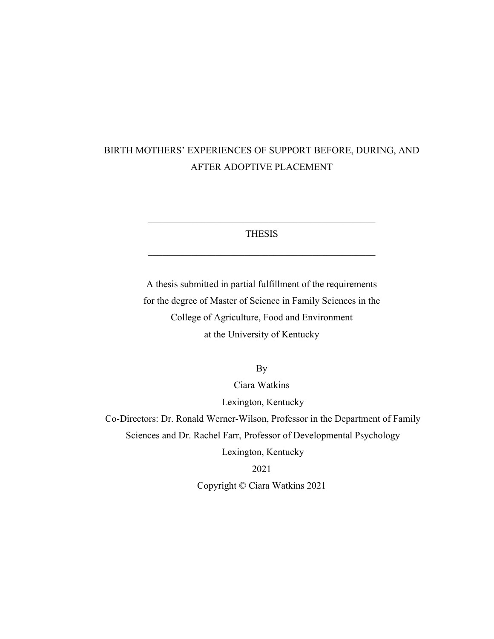## BIRTH MOTHERS' EXPERIENCES OF SUPPORT BEFORE, DURING, AND AFTER ADOPTIVE PLACEMENT

THESIS

 $\overline{\phantom{a}}$  , and the set of the set of the set of the set of the set of the set of the set of the set of the set of the set of the set of the set of the set of the set of the set of the set of the set of the set of the s

 $\overline{\phantom{a}}$  , and the set of the set of the set of the set of the set of the set of the set of the set of the set of the set of the set of the set of the set of the set of the set of the set of the set of the set of the s

A thesis submitted in partial fulfillment of the requirements for the degree of Master of Science in Family Sciences in the College of Agriculture, Food and Environment at the University of Kentucky

By

Ciara Watkins Lexington, Kentucky Co-Directors: Dr. Ronald Werner-Wilson, Professor in the Department of Family Sciences and Dr. Rachel Farr, Professor of Developmental Psychology Lexington, Kentucky 2021 Copyright © Ciara Watkins 2021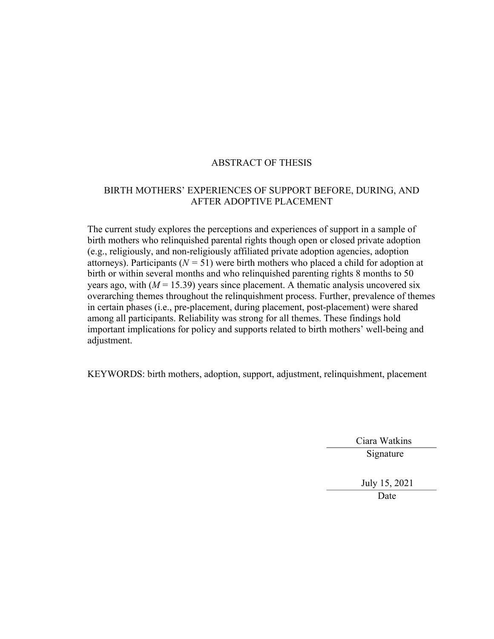## ABSTRACT OF THESIS

### BIRTH MOTHERS' EXPERIENCES OF SUPPORT BEFORE, DURING, AND AFTER ADOPTIVE PLACEMENT

The current study explores the perceptions and experiences of support in a sample of birth mothers who relinquished parental rights though open or closed private adoption (e.g., religiously, and non-religiously affiliated private adoption agencies, adoption attorneys). Participants ( $N = 51$ ) were birth mothers who placed a child for adoption at birth or within several months and who relinquished parenting rights 8 months to 50 years ago, with  $(M = 15.39)$  years since placement. A thematic analysis uncovered six overarching themes throughout the relinquishment process. Further, prevalence of themes in certain phases (i.e., pre-placement, during placement, post-placement) were shared among all participants. Reliability was strong for all themes. These findings hold important implications for policy and supports related to birth mothers' well-being and adjustment.

KEYWORDS: birth mothers, adoption, support, adjustment, relinquishment, placement

 Ciara Watkins Signature

> July 15, 2021 Date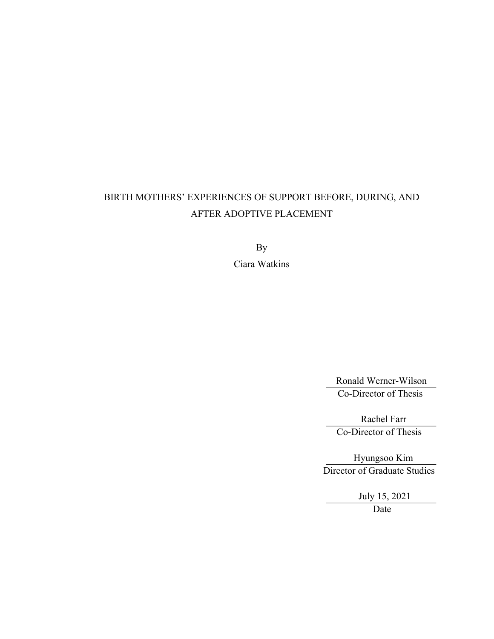## BIRTH MOTHERS' EXPERIENCES OF SUPPORT BEFORE, DURING, AND AFTER ADOPTIVE PLACEMENT

By Ciara Watkins

> Ronald Werner-Wilson Co-Director of Thesis

 Rachel Farr Co-Director of Thesis

 Hyungsoo Kim Director of Graduate Studies

> July 15, 2021 Date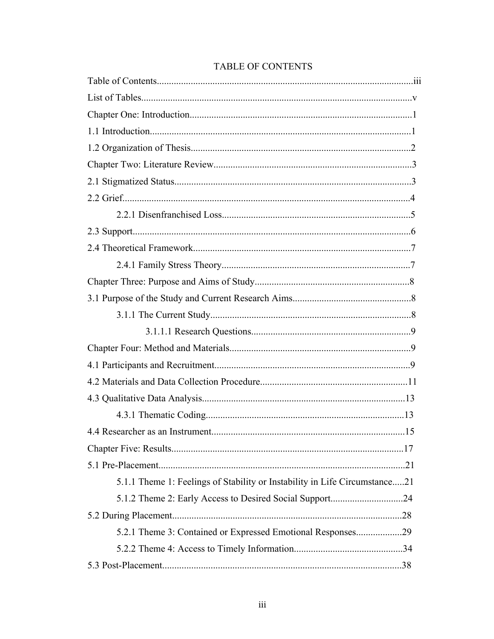| 5.1.1 Theme 1: Feelings of Stability or Instability in Life Circumstance21 |
|----------------------------------------------------------------------------|
|                                                                            |
|                                                                            |
| 5.2.1 Theme 3: Contained or Expressed Emotional Responses29                |
|                                                                            |
|                                                                            |

## **TABLE OF CONTENTS**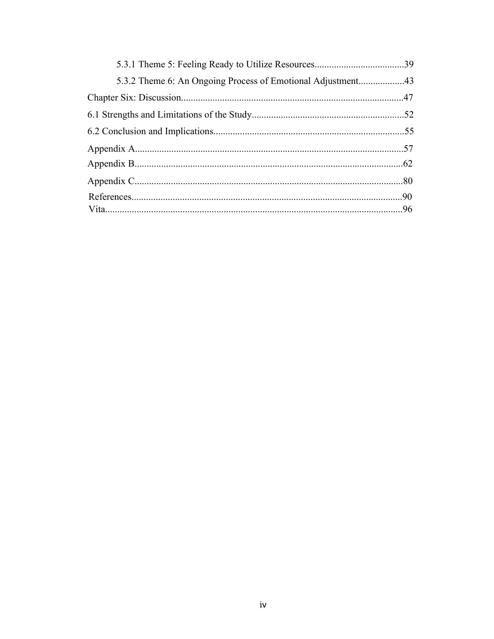| 5.3.2 Theme 6: An Ongoing Process of Emotional Adjustment43 |  |
|-------------------------------------------------------------|--|
|                                                             |  |
|                                                             |  |
|                                                             |  |
|                                                             |  |
|                                                             |  |
|                                                             |  |
|                                                             |  |
|                                                             |  |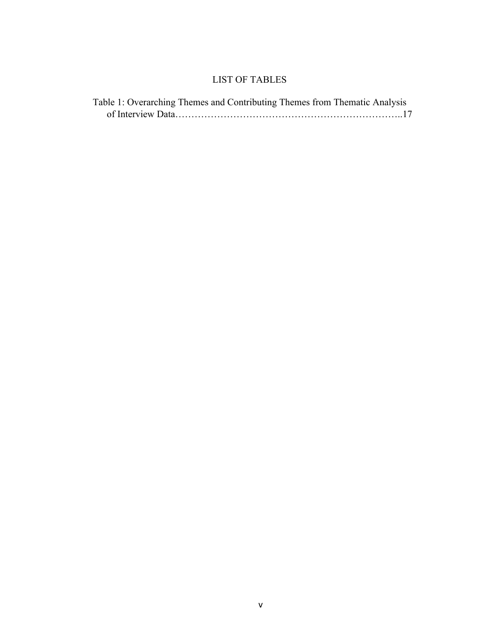## LIST OF TABLES

| Table 1: Overarching Themes and Contributing Themes from Thematic Analysis |  |
|----------------------------------------------------------------------------|--|
|                                                                            |  |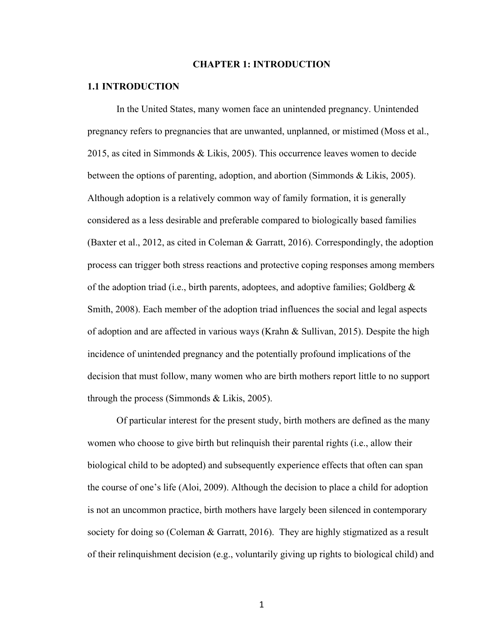#### **CHAPTER 1: INTRODUCTION**

#### **1.1 INTRODUCTION**

In the United States, many women face an unintended pregnancy. Unintended pregnancy refers to pregnancies that are unwanted, unplanned, or mistimed (Moss et al., 2015, as cited in Simmonds & Likis, 2005). This occurrence leaves women to decide between the options of parenting, adoption, and abortion (Simmonds & Likis, 2005). Although adoption is a relatively common way of family formation, it is generally considered as a less desirable and preferable compared to biologically based families (Baxter et al., 2012, as cited in Coleman & Garratt, 2016). Correspondingly, the adoption process can trigger both stress reactions and protective coping responses among members of the adoption triad (i.e., birth parents, adoptees, and adoptive families; Goldberg  $\&$ Smith, 2008). Each member of the adoption triad influences the social and legal aspects of adoption and are affected in various ways (Krahn & Sullivan, 2015). Despite the high incidence of unintended pregnancy and the potentially profound implications of the decision that must follow, many women who are birth mothers report little to no support through the process (Simmonds & Likis, 2005).

Of particular interest for the present study, birth mothers are defined as the many women who choose to give birth but relinquish their parental rights (i.e., allow their biological child to be adopted) and subsequently experience effects that often can span the course of one's life (Aloi, 2009). Although the decision to place a child for adoption is not an uncommon practice, birth mothers have largely been silenced in contemporary society for doing so (Coleman & Garratt, 2016). They are highly stigmatized as a result of their relinquishment decision (e.g., voluntarily giving up rights to biological child) and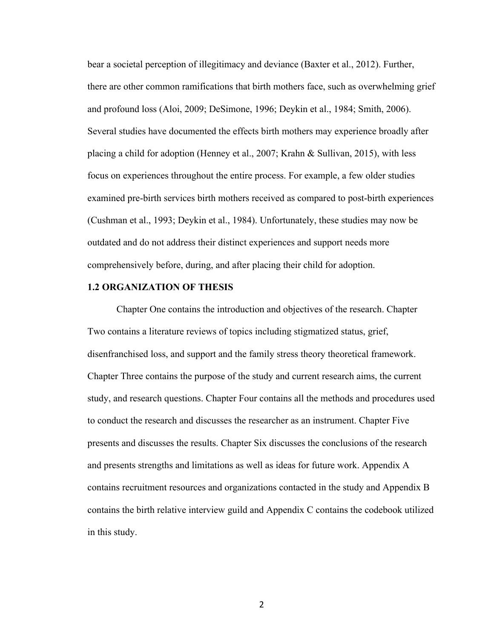bear a societal perception of illegitimacy and deviance (Baxter et al., 2012). Further, there are other common ramifications that birth mothers face, such as overwhelming grief and profound loss (Aloi, 2009; DeSimone, 1996; Deykin et al., 1984; Smith, 2006). Several studies have documented the effects birth mothers may experience broadly after placing a child for adoption (Henney et al., 2007; Krahn & Sullivan, 2015), with less focus on experiences throughout the entire process. For example, a few older studies examined pre-birth services birth mothers received as compared to post-birth experiences (Cushman et al., 1993; Deykin et al., 1984). Unfortunately, these studies may now be outdated and do not address their distinct experiences and support needs more comprehensively before, during, and after placing their child for adoption.

#### **1.2 ORGANIZATION OF THESIS**

Chapter One contains the introduction and objectives of the research. Chapter Two contains a literature reviews of topics including stigmatized status, grief, disenfranchised loss, and support and the family stress theory theoretical framework. Chapter Three contains the purpose of the study and current research aims, the current study, and research questions. Chapter Four contains all the methods and procedures used to conduct the research and discusses the researcher as an instrument. Chapter Five presents and discusses the results. Chapter Six discusses the conclusions of the research and presents strengths and limitations as well as ideas for future work. Appendix A contains recruitment resources and organizations contacted in the study and Appendix B contains the birth relative interview guild and Appendix C contains the codebook utilized in this study.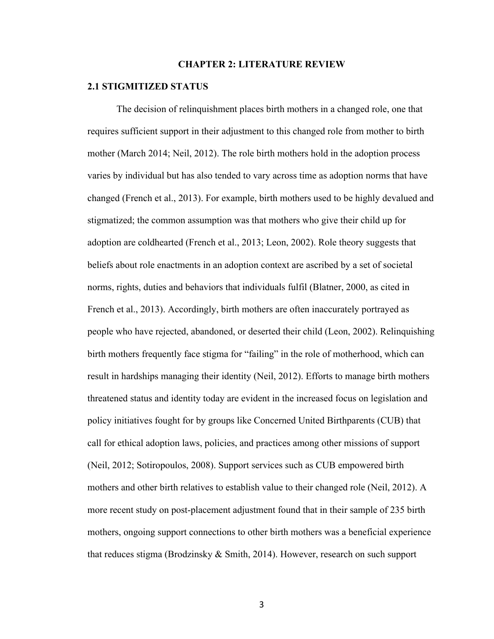#### **CHAPTER 2: LITERATURE REVIEW**

#### **2.1 STIGMITIZED STATUS**

The decision of relinquishment places birth mothers in a changed role, one that requires sufficient support in their adjustment to this changed role from mother to birth mother (March 2014; Neil, 2012). The role birth mothers hold in the adoption process varies by individual but has also tended to vary across time as adoption norms that have changed (French et al., 2013). For example, birth mothers used to be highly devalued and stigmatized; the common assumption was that mothers who give their child up for adoption are coldhearted (French et al., 2013; Leon, 2002). Role theory suggests that beliefs about role enactments in an adoption context are ascribed by a set of societal norms, rights, duties and behaviors that individuals fulfil (Blatner, 2000, as cited in French et al., 2013). Accordingly, birth mothers are often inaccurately portrayed as people who have rejected, abandoned, or deserted their child (Leon, 2002). Relinquishing birth mothers frequently face stigma for "failing" in the role of motherhood, which can result in hardships managing their identity (Neil, 2012). Efforts to manage birth mothers threatened status and identity today are evident in the increased focus on legislation and policy initiatives fought for by groups like Concerned United Birthparents (CUB) that call for ethical adoption laws, policies, and practices among other missions of support (Neil, 2012; Sotiropoulos, 2008). Support services such as CUB empowered birth mothers and other birth relatives to establish value to their changed role (Neil, 2012). A more recent study on post-placement adjustment found that in their sample of 235 birth mothers, ongoing support connections to other birth mothers was a beneficial experience that reduces stigma (Brodzinsky & Smith, 2014). However, research on such support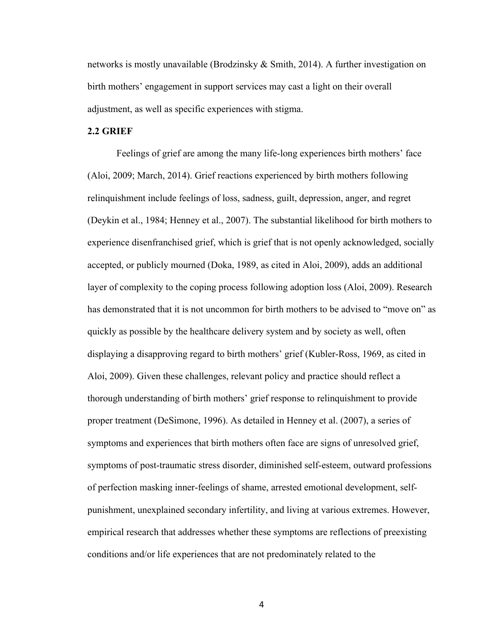networks is mostly unavailable (Brodzinsky & Smith, 2014). A further investigation on birth mothers' engagement in support services may cast a light on their overall adjustment, as well as specific experiences with stigma.

### **2.2 GRIEF**

Feelings of grief are among the many life-long experiences birth mothers' face (Aloi, 2009; March, 2014). Grief reactions experienced by birth mothers following relinquishment include feelings of loss, sadness, guilt, depression, anger, and regret (Deykin et al., 1984; Henney et al., 2007). The substantial likelihood for birth mothers to experience disenfranchised grief, which is grief that is not openly acknowledged, socially accepted, or publicly mourned (Doka, 1989, as cited in Aloi, 2009), adds an additional layer of complexity to the coping process following adoption loss (Aloi, 2009). Research has demonstrated that it is not uncommon for birth mothers to be advised to "move on" as quickly as possible by the healthcare delivery system and by society as well, often displaying a disapproving regard to birth mothers' grief (Kubler-Ross, 1969, as cited in Aloi, 2009). Given these challenges, relevant policy and practice should reflect a thorough understanding of birth mothers' grief response to relinquishment to provide proper treatment (DeSimone, 1996). As detailed in Henney et al. (2007), a series of symptoms and experiences that birth mothers often face are signs of unresolved grief, symptoms of post-traumatic stress disorder, diminished self-esteem, outward professions of perfection masking inner-feelings of shame, arrested emotional development, selfpunishment, unexplained secondary infertility, and living at various extremes. However, empirical research that addresses whether these symptoms are reflections of preexisting conditions and/or life experiences that are not predominately related to the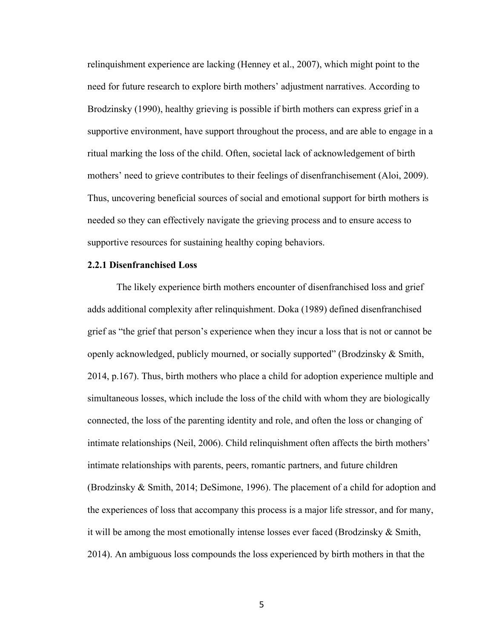relinquishment experience are lacking (Henney et al., 2007), which might point to the need for future research to explore birth mothers' adjustment narratives. According to Brodzinsky (1990), healthy grieving is possible if birth mothers can express grief in a supportive environment, have support throughout the process, and are able to engage in a ritual marking the loss of the child. Often, societal lack of acknowledgement of birth mothers' need to grieve contributes to their feelings of disenfranchisement (Aloi, 2009). Thus, uncovering beneficial sources of social and emotional support for birth mothers is needed so they can effectively navigate the grieving process and to ensure access to supportive resources for sustaining healthy coping behaviors.

#### **2.2.1 Disenfranchised Loss**

The likely experience birth mothers encounter of disenfranchised loss and grief adds additional complexity after relinquishment. Doka (1989) defined disenfranchised grief as "the grief that person's experience when they incur a loss that is not or cannot be openly acknowledged, publicly mourned, or socially supported" (Brodzinsky & Smith, 2014, p.167). Thus, birth mothers who place a child for adoption experience multiple and simultaneous losses, which include the loss of the child with whom they are biologically connected, the loss of the parenting identity and role, and often the loss or changing of intimate relationships (Neil, 2006). Child relinquishment often affects the birth mothers' intimate relationships with parents, peers, romantic partners, and future children (Brodzinsky & Smith, 2014; DeSimone, 1996). The placement of a child for adoption and the experiences of loss that accompany this process is a major life stressor, and for many, it will be among the most emotionally intense losses ever faced (Brodzinsky & Smith, 2014). An ambiguous loss compounds the loss experienced by birth mothers in that the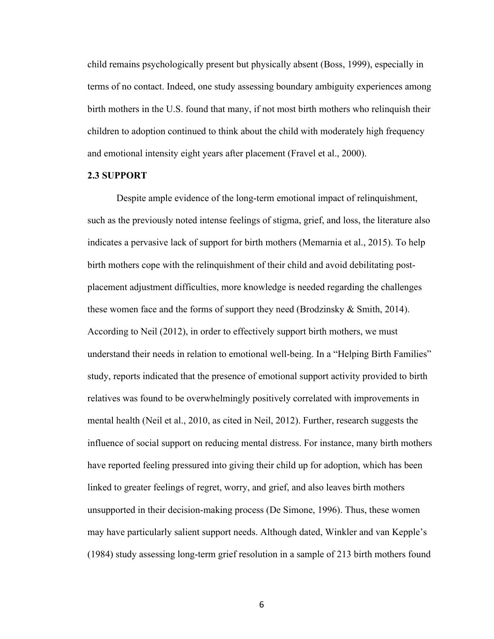child remains psychologically present but physically absent (Boss, 1999), especially in terms of no contact. Indeed, one study assessing boundary ambiguity experiences among birth mothers in the U.S. found that many, if not most birth mothers who relinquish their children to adoption continued to think about the child with moderately high frequency and emotional intensity eight years after placement (Fravel et al., 2000).

#### **2.3 SUPPORT**

Despite ample evidence of the long-term emotional impact of relinquishment, such as the previously noted intense feelings of stigma, grief, and loss, the literature also indicates a pervasive lack of support for birth mothers (Memarnia et al., 2015). To help birth mothers cope with the relinquishment of their child and avoid debilitating postplacement adjustment difficulties, more knowledge is needed regarding the challenges these women face and the forms of support they need (Brodzinsky & Smith, 2014). According to Neil (2012), in order to effectively support birth mothers, we must understand their needs in relation to emotional well-being. In a "Helping Birth Families" study, reports indicated that the presence of emotional support activity provided to birth relatives was found to be overwhelmingly positively correlated with improvements in mental health (Neil et al., 2010, as cited in Neil, 2012). Further, research suggests the influence of social support on reducing mental distress. For instance, many birth mothers have reported feeling pressured into giving their child up for adoption, which has been linked to greater feelings of regret, worry, and grief, and also leaves birth mothers unsupported in their decision-making process (De Simone, 1996). Thus, these women may have particularly salient support needs. Although dated, Winkler and van Kepple's (1984) study assessing long-term grief resolution in a sample of 213 birth mothers found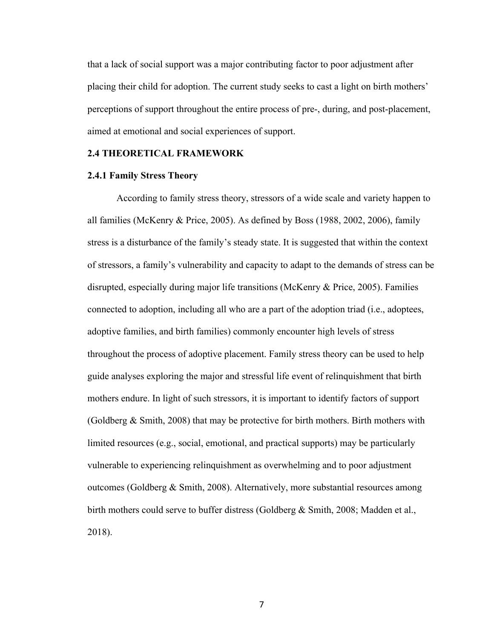that a lack of social support was a major contributing factor to poor adjustment after placing their child for adoption. The current study seeks to cast a light on birth mothers' perceptions of support throughout the entire process of pre-, during, and post-placement, aimed at emotional and social experiences of support.

#### **2.4 THEORETICAL FRAMEWORK**

#### **2.4.1 Family Stress Theory**

According to family stress theory, stressors of a wide scale and variety happen to all families (McKenry & Price, 2005). As defined by Boss (1988, 2002, 2006), family stress is a disturbance of the family's steady state. It is suggested that within the context of stressors, a family's vulnerability and capacity to adapt to the demands of stress can be disrupted, especially during major life transitions (McKenry & Price, 2005). Families connected to adoption, including all who are a part of the adoption triad (i.e., adoptees, adoptive families, and birth families) commonly encounter high levels of stress throughout the process of adoptive placement. Family stress theory can be used to help guide analyses exploring the major and stressful life event of relinquishment that birth mothers endure. In light of such stressors, it is important to identify factors of support (Goldberg & Smith, 2008) that may be protective for birth mothers. Birth mothers with limited resources (e.g., social, emotional, and practical supports) may be particularly vulnerable to experiencing relinquishment as overwhelming and to poor adjustment outcomes (Goldberg & Smith, 2008). Alternatively, more substantial resources among birth mothers could serve to buffer distress (Goldberg & Smith, 2008; Madden et al., 2018).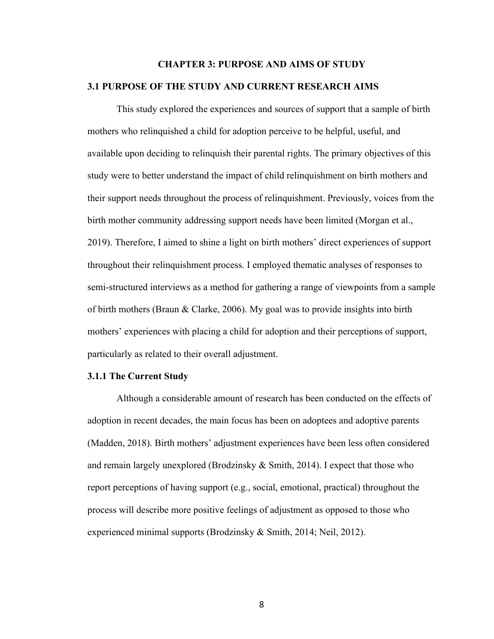## **CHAPTER 3: PURPOSE AND AIMS OF STUDY 3.1 PURPOSE OF THE STUDY AND CURRENT RESEARCH AIMS**

This study explored the experiences and sources of support that a sample of birth mothers who relinquished a child for adoption perceive to be helpful, useful, and available upon deciding to relinquish their parental rights. The primary objectives of this study were to better understand the impact of child relinquishment on birth mothers and their support needs throughout the process of relinquishment. Previously, voices from the birth mother community addressing support needs have been limited (Morgan et al., 2019). Therefore, I aimed to shine a light on birth mothers' direct experiences of support throughout their relinquishment process. I employed thematic analyses of responses to semi-structured interviews as a method for gathering a range of viewpoints from a sample of birth mothers (Braun & Clarke, 2006). My goal was to provide insights into birth mothers' experiences with placing a child for adoption and their perceptions of support, particularly as related to their overall adjustment.

#### **3.1.1 The Current Study**

Although a considerable amount of research has been conducted on the effects of adoption in recent decades, the main focus has been on adoptees and adoptive parents (Madden, 2018). Birth mothers' adjustment experiences have been less often considered and remain largely unexplored (Brodzinsky & Smith, 2014). I expect that those who report perceptions of having support (e.g., social, emotional, practical) throughout the process will describe more positive feelings of adjustment as opposed to those who experienced minimal supports (Brodzinsky & Smith, 2014; Neil, 2012).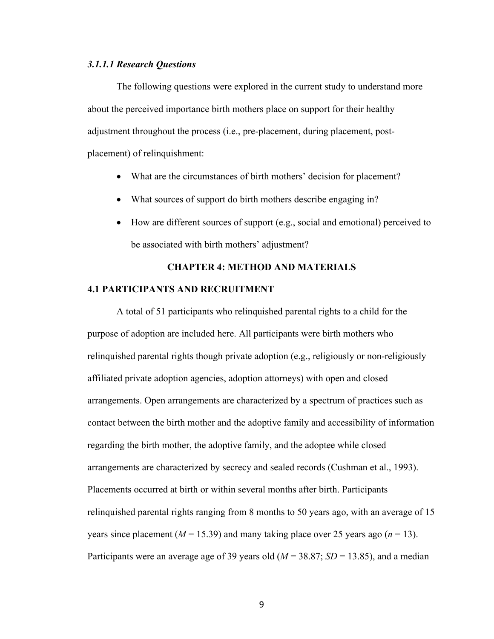#### *3.1.1.1 Research Questions*

The following questions were explored in the current study to understand more about the perceived importance birth mothers place on support for their healthy adjustment throughout the process (i.e., pre-placement, during placement, postplacement) of relinquishment:

- What are the circumstances of birth mothers' decision for placement?
- What sources of support do birth mothers describe engaging in?
- How are different sources of support (e.g., social and emotional) perceived to be associated with birth mothers' adjustment?

## **CHAPTER 4: METHOD AND MATERIALS**

#### **4.1 PARTICIPANTS AND RECRUITMENT**

A total of 51 participants who relinquished parental rights to a child for the purpose of adoption are included here. All participants were birth mothers who relinquished parental rights though private adoption (e.g., religiously or non-religiously affiliated private adoption agencies, adoption attorneys) with open and closed arrangements. Open arrangements are characterized by a spectrum of practices such as contact between the birth mother and the adoptive family and accessibility of information regarding the birth mother, the adoptive family, and the adoptee while closed arrangements are characterized by secrecy and sealed records (Cushman et al., 1993). Placements occurred at birth or within several months after birth. Participants relinquished parental rights ranging from 8 months to 50 years ago, with an average of 15 years since placement  $(M = 15.39)$  and many taking place over 25 years ago  $(n = 13)$ . Participants were an average age of 39 years old (*M* = 38.87; *SD* = 13.85), and a median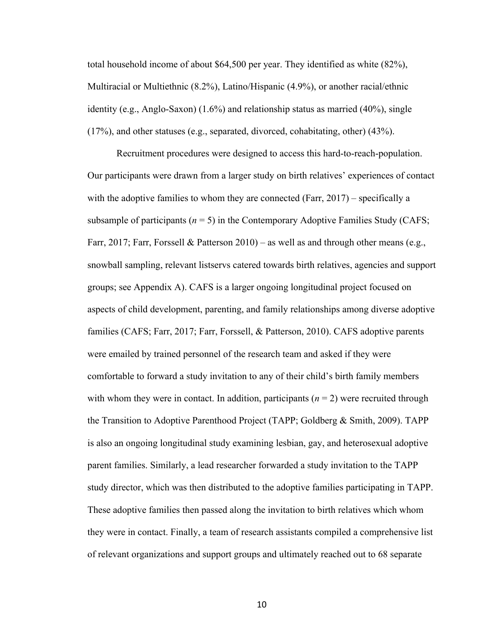total household income of about \$64,500 per year. They identified as white (82%), Multiracial or Multiethnic (8.2%), Latino/Hispanic (4.9%), or another racial/ethnic identity (e.g., Anglo-Saxon) (1.6%) and relationship status as married (40%), single (17%), and other statuses (e.g., separated, divorced, cohabitating, other) (43%).

Recruitment procedures were designed to access this hard-to-reach-population. Our participants were drawn from a larger study on birth relatives' experiences of contact with the adoptive families to whom they are connected (Farr,  $2017$ ) – specifically a subsample of participants  $(n = 5)$  in the Contemporary Adoptive Families Study (CAFS; Farr, 2017; Farr, Forssell & Patterson 2010) – as well as and through other means (e.g., snowball sampling, relevant listservs catered towards birth relatives, agencies and support groups; see Appendix A). CAFS is a larger ongoing longitudinal project focused on aspects of child development, parenting, and family relationships among diverse adoptive families (CAFS; Farr, 2017; Farr, Forssell, & Patterson, 2010). CAFS adoptive parents were emailed by trained personnel of the research team and asked if they were comfortable to forward a study invitation to any of their child's birth family members with whom they were in contact. In addition, participants  $(n = 2)$  were recruited through the Transition to Adoptive Parenthood Project (TAPP; Goldberg & Smith, 2009). TAPP is also an ongoing longitudinal study examining lesbian, gay, and heterosexual adoptive parent families. Similarly, a lead researcher forwarded a study invitation to the TAPP study director, which was then distributed to the adoptive families participating in TAPP. These adoptive families then passed along the invitation to birth relatives which whom they were in contact. Finally, a team of research assistants compiled a comprehensive list of relevant organizations and support groups and ultimately reached out to 68 separate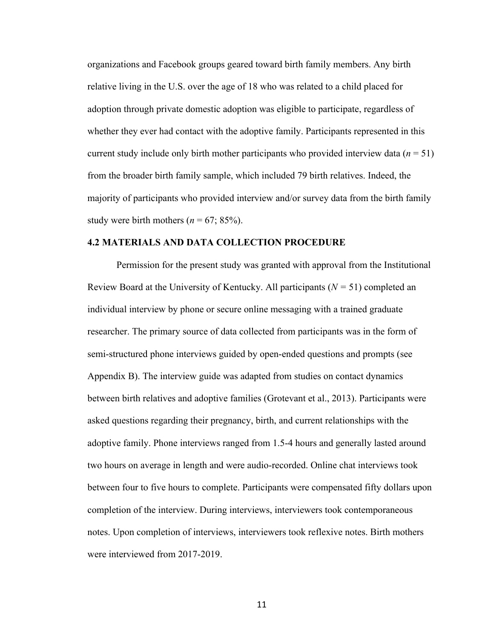organizations and Facebook groups geared toward birth family members. Any birth relative living in the U.S. over the age of 18 who was related to a child placed for adoption through private domestic adoption was eligible to participate, regardless of whether they ever had contact with the adoptive family. Participants represented in this current study include only birth mother participants who provided interview data  $(n = 51)$ from the broader birth family sample, which included 79 birth relatives. Indeed, the majority of participants who provided interview and/or survey data from the birth family study were birth mothers  $(n = 67, 85\%)$ .

#### **4.2 MATERIALS AND DATA COLLECTION PROCEDURE**

Permission for the present study was granted with approval from the Institutional Review Board at the University of Kentucky. All participants (*N =* 51) completed an individual interview by phone or secure online messaging with a trained graduate researcher. The primary source of data collected from participants was in the form of semi-structured phone interviews guided by open-ended questions and prompts (see Appendix B). The interview guide was adapted from studies on contact dynamics between birth relatives and adoptive families (Grotevant et al., 2013). Participants were asked questions regarding their pregnancy, birth, and current relationships with the adoptive family. Phone interviews ranged from 1.5-4 hours and generally lasted around two hours on average in length and were audio-recorded. Online chat interviews took between four to five hours to complete. Participants were compensated fifty dollars upon completion of the interview. During interviews, interviewers took contemporaneous notes. Upon completion of interviews, interviewers took reflexive notes. Birth mothers were interviewed from 2017-2019.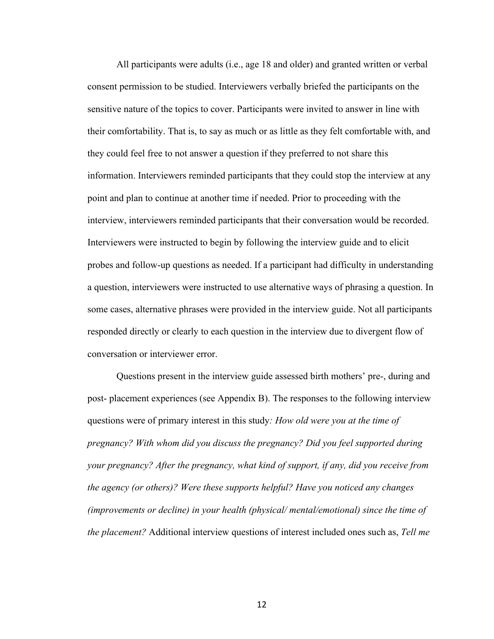All participants were adults (i.e., age 18 and older) and granted written or verbal consent permission to be studied. Interviewers verbally briefed the participants on the sensitive nature of the topics to cover. Participants were invited to answer in line with their comfortability. That is, to say as much or as little as they felt comfortable with, and they could feel free to not answer a question if they preferred to not share this information. Interviewers reminded participants that they could stop the interview at any point and plan to continue at another time if needed. Prior to proceeding with the interview, interviewers reminded participants that their conversation would be recorded. Interviewers were instructed to begin by following the interview guide and to elicit probes and follow-up questions as needed. If a participant had difficulty in understanding a question, interviewers were instructed to use alternative ways of phrasing a question. In some cases, alternative phrases were provided in the interview guide. Not all participants responded directly or clearly to each question in the interview due to divergent flow of conversation or interviewer error.

Questions present in the interview guide assessed birth mothers' pre-, during and post- placement experiences (see Appendix B). The responses to the following interview questions were of primary interest in this study*: How old were you at the time of pregnancy? With whom did you discuss the pregnancy? Did you feel supported during your pregnancy? After the pregnancy, what kind of support, if any, did you receive from the agency (or others)? Were these supports helpful? Have you noticed any changes (improvements or decline) in your health (physical/ mental/emotional) since the time of the placement?* Additional interview questions of interest included ones such as, *Tell me*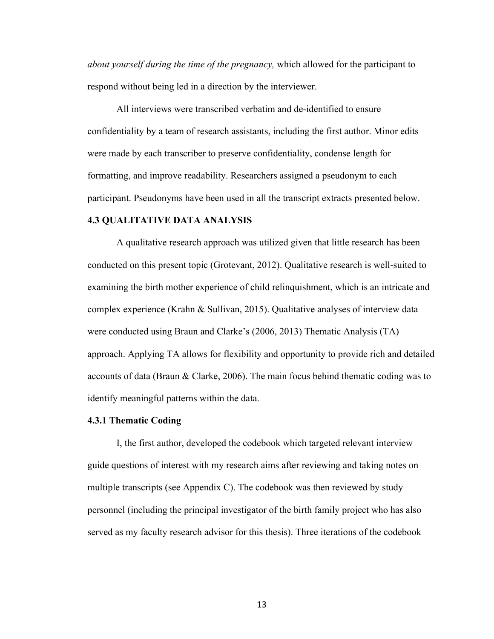*about yourself during the time of the pregnancy,* which allowed for the participant to respond without being led in a direction by the interviewer.

All interviews were transcribed verbatim and de-identified to ensure confidentiality by a team of research assistants, including the first author. Minor edits were made by each transcriber to preserve confidentiality, condense length for formatting, and improve readability. Researchers assigned a pseudonym to each participant. Pseudonyms have been used in all the transcript extracts presented below.

#### **4.3 QUALITATIVE DATA ANALYSIS**

A qualitative research approach was utilized given that little research has been conducted on this present topic (Grotevant, 2012). Qualitative research is well-suited to examining the birth mother experience of child relinquishment, which is an intricate and complex experience (Krahn & Sullivan, 2015). Qualitative analyses of interview data were conducted using Braun and Clarke's (2006, 2013) Thematic Analysis (TA) approach. Applying TA allows for flexibility and opportunity to provide rich and detailed accounts of data (Braun & Clarke, 2006). The main focus behind thematic coding was to identify meaningful patterns within the data.

#### **4.3.1 Thematic Coding**

I, the first author, developed the codebook which targeted relevant interview guide questions of interest with my research aims after reviewing and taking notes on multiple transcripts (see Appendix C). The codebook was then reviewed by study personnel (including the principal investigator of the birth family project who has also served as my faculty research advisor for this thesis). Three iterations of the codebook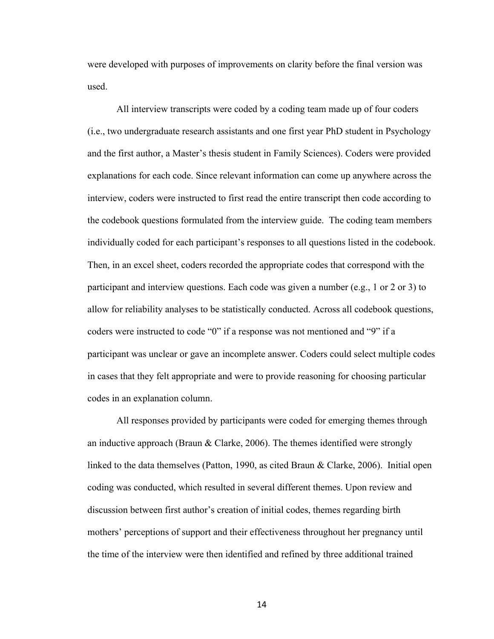were developed with purposes of improvements on clarity before the final version was used.

All interview transcripts were coded by a coding team made up of four coders (i.e., two undergraduate research assistants and one first year PhD student in Psychology and the first author, a Master's thesis student in Family Sciences). Coders were provided explanations for each code. Since relevant information can come up anywhere across the interview, coders were instructed to first read the entire transcript then code according to the codebook questions formulated from the interview guide. The coding team members individually coded for each participant's responses to all questions listed in the codebook. Then, in an excel sheet, coders recorded the appropriate codes that correspond with the participant and interview questions. Each code was given a number (e.g., 1 or 2 or 3) to allow for reliability analyses to be statistically conducted. Across all codebook questions, coders were instructed to code "0" if a response was not mentioned and "9" if a participant was unclear or gave an incomplete answer. Coders could select multiple codes in cases that they felt appropriate and were to provide reasoning for choosing particular codes in an explanation column.

All responses provided by participants were coded for emerging themes through an inductive approach (Braun & Clarke, 2006). The themes identified were strongly linked to the data themselves (Patton, 1990, as cited Braun & Clarke, 2006). Initial open coding was conducted, which resulted in several different themes. Upon review and discussion between first author's creation of initial codes, themes regarding birth mothers' perceptions of support and their effectiveness throughout her pregnancy until the time of the interview were then identified and refined by three additional trained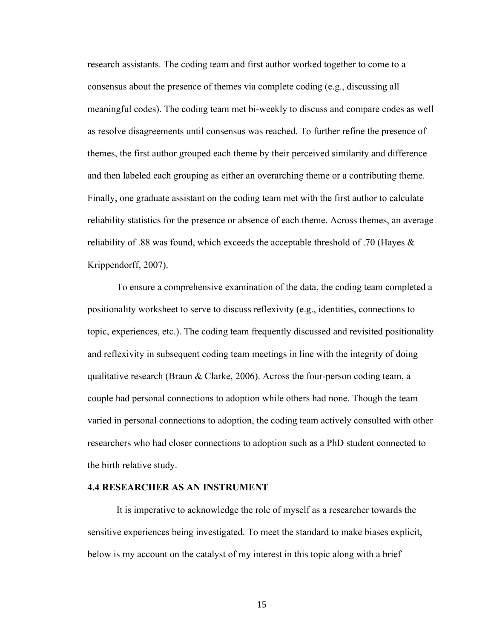research assistants. The coding team and first author worked together to come to a consensus about the presence of themes via complete coding (e.g., discussing all meaningful codes). The coding team met bi-weekly to discuss and compare codes as well as resolve disagreements until consensus was reached. To further refine the presence of themes, the first author grouped each theme by their perceived similarity and difference and then labeled each grouping as either an overarching theme or a contributing theme. Finally, one graduate assistant on the coding team met with the first author to calculate reliability statistics for the presence or absence of each theme. Across themes, an average reliability of .88 was found, which exceeds the acceptable threshold of .70 (Hayes & Krippendorff, 2007).

To ensure a comprehensive examination of the data, the coding team completed a positionality worksheet to serve to discuss reflexivity (e.g., identities, connections to topic, experiences, etc.). The coding team frequently discussed and revisited positionality and reflexivity in subsequent coding team meetings in line with the integrity of doing qualitative research (Braun & Clarke, 2006). Across the four-person coding team, a couple had personal connections to adoption while others had none. Though the team varied in personal connections to adoption, the coding team actively consulted with other researchers who had closer connections to adoption such as a PhD student connected to the birth relative study.

#### **4.4 RESEARCHER AS AN INSTRUMENT**

It is imperative to acknowledge the role of myself as a researcher towards the sensitive experiences being investigated. To meet the standard to make biases explicit, below is my account on the catalyst of my interest in this topic along with a brief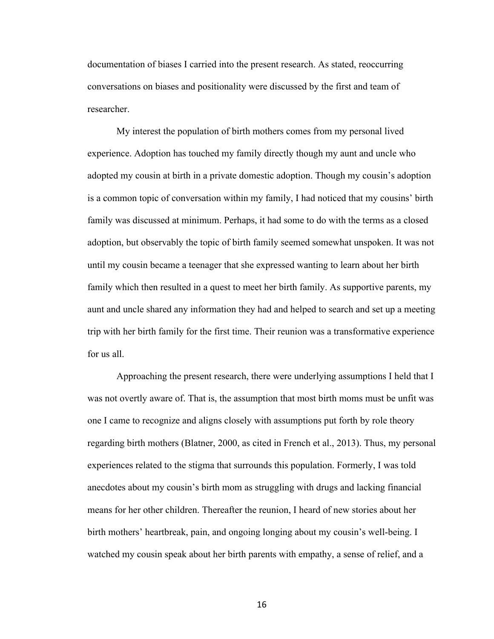documentation of biases I carried into the present research. As stated, reoccurring conversations on biases and positionality were discussed by the first and team of researcher.

My interest the population of birth mothers comes from my personal lived experience. Adoption has touched my family directly though my aunt and uncle who adopted my cousin at birth in a private domestic adoption. Though my cousin's adoption is a common topic of conversation within my family, I had noticed that my cousins' birth family was discussed at minimum. Perhaps, it had some to do with the terms as a closed adoption, but observably the topic of birth family seemed somewhat unspoken. It was not until my cousin became a teenager that she expressed wanting to learn about her birth family which then resulted in a quest to meet her birth family. As supportive parents, my aunt and uncle shared any information they had and helped to search and set up a meeting trip with her birth family for the first time. Their reunion was a transformative experience for us all.

Approaching the present research, there were underlying assumptions I held that I was not overtly aware of. That is, the assumption that most birth moms must be unfit was one I came to recognize and aligns closely with assumptions put forth by role theory regarding birth mothers (Blatner, 2000, as cited in French et al., 2013). Thus, my personal experiences related to the stigma that surrounds this population. Formerly, I was told anecdotes about my cousin's birth mom as struggling with drugs and lacking financial means for her other children. Thereafter the reunion, I heard of new stories about her birth mothers' heartbreak, pain, and ongoing longing about my cousin's well-being. I watched my cousin speak about her birth parents with empathy, a sense of relief, and a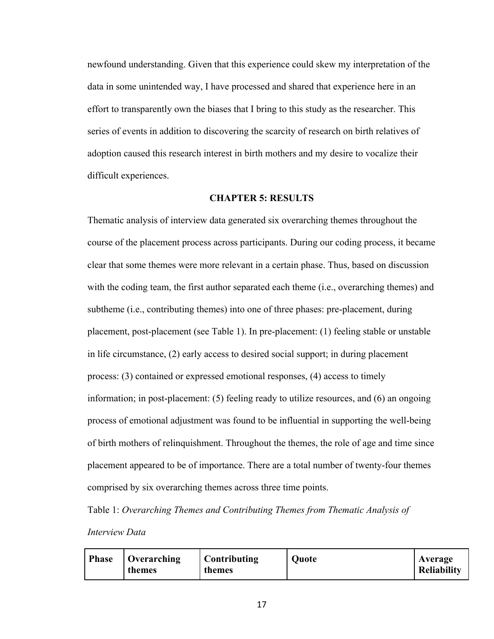newfound understanding. Given that this experience could skew my interpretation of the data in some unintended way, I have processed and shared that experience here in an effort to transparently own the biases that I bring to this study as the researcher. This series of events in addition to discovering the scarcity of research on birth relatives of adoption caused this research interest in birth mothers and my desire to vocalize their difficult experiences.

#### **CHAPTER 5: RESULTS**

Thematic analysis of interview data generated six overarching themes throughout the course of the placement process across participants. During our coding process, it became clear that some themes were more relevant in a certain phase. Thus, based on discussion with the coding team, the first author separated each theme (i.e., overarching themes) and subtheme (i.e., contributing themes) into one of three phases: pre-placement, during placement, post-placement (see Table 1). In pre-placement: (1) feeling stable or unstable in life circumstance, (2) early access to desired social support; in during placement process: (3) contained or expressed emotional responses, (4) access to timely information; in post-placement: (5) feeling ready to utilize resources, and (6) an ongoing process of emotional adjustment was found to be influential in supporting the well-being of birth mothers of relinquishment. Throughout the themes, the role of age and time since placement appeared to be of importance. There are a total number of twenty-four themes comprised by six overarching themes across three time points.

Table 1: *Overarching Themes and Contributing Themes from Thematic Analysis of Interview Data*

| <b>Phase</b> | $\overline{\mathbf{O}}$ Overarching<br>themes | <b>Contributing</b><br>themes | <b>Quote</b> | <b>Average</b><br>Reliability |
|--------------|-----------------------------------------------|-------------------------------|--------------|-------------------------------|
|--------------|-----------------------------------------------|-------------------------------|--------------|-------------------------------|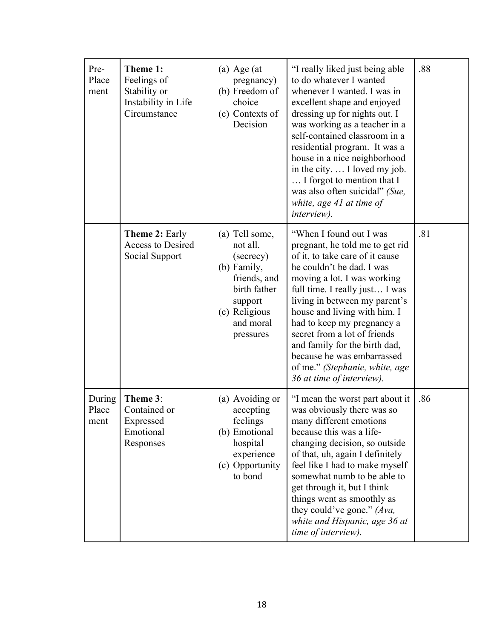| Pre-<br>Place<br>ment   | Theme 1:<br>Feelings of<br>Stability or<br>Instability in Life<br>Circumstance | $(a)$ Age $(at)$<br>pregnancy)<br>(b) Freedom of<br>choice<br>(c) Contexts of<br>Decision                                                    | "I really liked just being able<br>to do whatever I wanted<br>whenever I wanted. I was in<br>excellent shape and enjoyed<br>dressing up for nights out. I<br>was working as a teacher in a<br>self-contained classroom in a<br>residential program. It was a<br>house in a nice neighborhood<br>in the city.  I loved my job.<br>I forgot to mention that I<br>was also often suicidal" (Sue,<br>white, age $41$ at time of<br><i>interview</i> ).       | .88 |
|-------------------------|--------------------------------------------------------------------------------|----------------------------------------------------------------------------------------------------------------------------------------------|----------------------------------------------------------------------------------------------------------------------------------------------------------------------------------------------------------------------------------------------------------------------------------------------------------------------------------------------------------------------------------------------------------------------------------------------------------|-----|
|                         | <b>Theme 2: Early</b><br><b>Access to Desired</b><br>Social Support            | (a) Tell some,<br>not all.<br>(secrecy)<br>(b) Family,<br>friends, and<br>birth father<br>support<br>(c) Religious<br>and moral<br>pressures | "When I found out I was<br>pregnant, he told me to get rid<br>of it, to take care of it cause<br>he couldn't be dad. I was<br>moving a lot. I was working<br>full time. I really just I was<br>living in between my parent's<br>house and living with him. I<br>had to keep my pregnancy a<br>secret from a lot of friends<br>and family for the birth dad,<br>because he was embarrassed<br>of me." (Stephanie, white, age<br>36 at time of interview). | .81 |
| During<br>Place<br>ment | Theme 3:<br>Contained or<br>Expressed<br>Emotional<br>Responses                | (a) Avoiding or<br>accepting<br>feelings<br>(b) Emotional<br>hospital<br>experience<br>(c) Opportunity<br>to bond                            | "I mean the worst part about it<br>was obviously there was so<br>many different emotions<br>because this was a life-<br>changing decision, so outside<br>of that, uh, again I definitely<br>feel like I had to make myself<br>somewhat numb to be able to<br>get through it, but I think<br>things went as smoothly as<br>they could've gone." (Ava,<br>white and Hispanic, age 36 at<br>time of interview).                                             | .86 |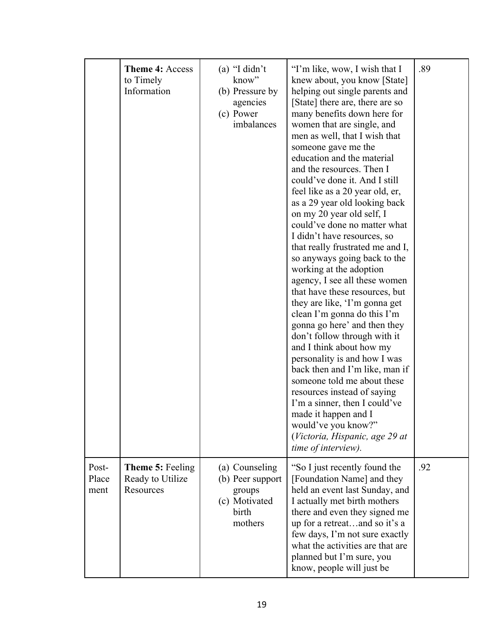|                        | Theme 4: Access<br>to Timely<br>Information              | $(a)$ "I didn't<br>know"<br>(b) Pressure by<br>agencies<br>(c) Power<br>imbalances | "I'm like, wow, I wish that I<br>knew about, you know [State]<br>helping out single parents and<br>[State] there are, there are so<br>many benefits down here for<br>women that are single, and<br>men as well, that I wish that<br>someone gave me the<br>education and the material<br>and the resources. Then I<br>could've done it. And I still<br>feel like as a 20 year old, er,<br>as a 29 year old looking back<br>on my 20 year old self, I<br>could've done no matter what<br>I didn't have resources, so<br>that really frustrated me and I,<br>so anyways going back to the<br>working at the adoption<br>agency, I see all these women<br>that have these resources, but<br>they are like, 'I'm gonna get<br>clean I'm gonna do this I'm<br>gonna go here' and then they<br>don't follow through with it<br>and I think about how my<br>personality is and how I was<br>back then and I'm like, man if<br>someone told me about these<br>resources instead of saying<br>I'm a sinner, then I could've<br>made it happen and I<br>would've you know?"<br>(Victoria, Hispanic, age 29 at<br>time of interview). | .89 |
|------------------------|----------------------------------------------------------|------------------------------------------------------------------------------------|----------------------------------------------------------------------------------------------------------------------------------------------------------------------------------------------------------------------------------------------------------------------------------------------------------------------------------------------------------------------------------------------------------------------------------------------------------------------------------------------------------------------------------------------------------------------------------------------------------------------------------------------------------------------------------------------------------------------------------------------------------------------------------------------------------------------------------------------------------------------------------------------------------------------------------------------------------------------------------------------------------------------------------------------------------------------------------------------------------------------------|-----|
| Post-<br>Place<br>ment | <b>Theme 5: Feeling</b><br>Ready to Utilize<br>Resources | (a) Counseling<br>(b) Peer support<br>groups<br>(c) Motivated<br>birth<br>mothers  | "So I just recently found the<br>[Foundation Name] and they<br>held an event last Sunday, and<br>I actually met birth mothers<br>there and even they signed me<br>up for a retreatand so it's a<br>few days, I'm not sure exactly<br>what the activities are that are<br>planned but I'm sure, you<br>know, people will just be                                                                                                                                                                                                                                                                                                                                                                                                                                                                                                                                                                                                                                                                                                                                                                                            | .92 |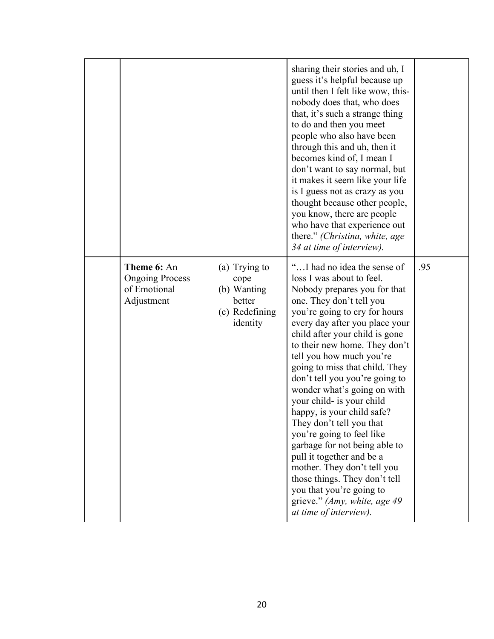|                                                                     |                                                                              | sharing their stories and uh, I<br>guess it's helpful because up<br>until then I felt like wow, this-<br>nobody does that, who does<br>that, it's such a strange thing<br>to do and then you meet<br>people who also have been<br>through this and uh, then it<br>becomes kind of, I mean I<br>don't want to say normal, but<br>it makes it seem like your life<br>is I guess not as crazy as you<br>thought because other people,<br>you know, there are people<br>who have that experience out<br>there." (Christina, white, age<br>34 at time of interview).                                                                                                                                                                    |     |
|---------------------------------------------------------------------|------------------------------------------------------------------------------|------------------------------------------------------------------------------------------------------------------------------------------------------------------------------------------------------------------------------------------------------------------------------------------------------------------------------------------------------------------------------------------------------------------------------------------------------------------------------------------------------------------------------------------------------------------------------------------------------------------------------------------------------------------------------------------------------------------------------------|-----|
| Theme 6: An<br><b>Ongoing Process</b><br>of Emotional<br>Adjustment | (a) Trying to<br>cope<br>(b) Wanting<br>better<br>(c) Redefining<br>identity | "I had no idea the sense of<br>loss I was about to feel.<br>Nobody prepares you for that<br>one. They don't tell you<br>you're going to cry for hours<br>every day after you place your<br>child after your child is gone<br>to their new home. They don't<br>tell you how much you're<br>going to miss that child. They<br>don't tell you you're going to<br>wonder what's going on with<br>your child- is your child<br>happy, is your child safe?<br>They don't tell you that<br>you're going to feel like<br>garbage for not being able to<br>pull it together and be a<br>mother. They don't tell you<br>those things. They don't tell<br>you that you're going to<br>grieve." (Amy, white, age 49)<br>at time of interview). | .95 |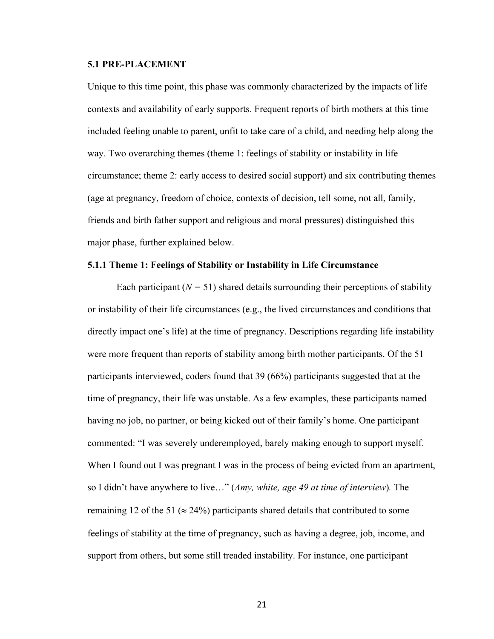#### **5.1 PRE-PLACEMENT**

Unique to this time point, this phase was commonly characterized by the impacts of life contexts and availability of early supports. Frequent reports of birth mothers at this time included feeling unable to parent, unfit to take care of a child, and needing help along the way. Two overarching themes (theme 1: feelings of stability or instability in life circumstance; theme 2: early access to desired social support) and six contributing themes (age at pregnancy, freedom of choice, contexts of decision, tell some, not all, family, friends and birth father support and religious and moral pressures) distinguished this major phase, further explained below.

#### **5.1.1 Theme 1: Feelings of Stability or Instability in Life Circumstance**

Each participant  $(N = 51)$  shared details surrounding their perceptions of stability or instability of their life circumstances (e.g., the lived circumstances and conditions that directly impact one's life) at the time of pregnancy. Descriptions regarding life instability were more frequent than reports of stability among birth mother participants. Of the 51 participants interviewed, coders found that 39 (66%) participants suggested that at the time of pregnancy, their life was unstable. As a few examples, these participants named having no job, no partner, or being kicked out of their family's home. One participant commented: "I was severely underemployed, barely making enough to support myself. When I found out I was pregnant I was in the process of being evicted from an apartment, so I didn't have anywhere to live…" (*Amy, white, age 49 at time of interview*)*.* The remaining 12 of the 51 ( $\approx$  24%) participants shared details that contributed to some feelings of stability at the time of pregnancy, such as having a degree, job, income, and support from others, but some still treaded instability. For instance, one participant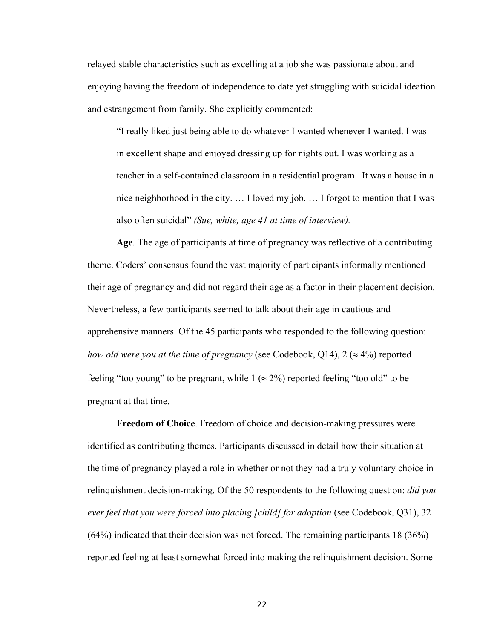relayed stable characteristics such as excelling at a job she was passionate about and enjoying having the freedom of independence to date yet struggling with suicidal ideation and estrangement from family. She explicitly commented:

"I really liked just being able to do whatever I wanted whenever I wanted. I was in excellent shape and enjoyed dressing up for nights out. I was working as a teacher in a self-contained classroom in a residential program. It was a house in a nice neighborhood in the city. … I loved my job. … I forgot to mention that I was also often suicidal" *(Sue, white, age 41 at time of interview).*

**Age**. The age of participants at time of pregnancy was reflective of a contributing theme. Coders' consensus found the vast majority of participants informally mentioned their age of pregnancy and did not regard their age as a factor in their placement decision. Nevertheless, a few participants seemed to talk about their age in cautious and apprehensive manners. Of the 45 participants who responded to the following question: *how old were you at the time of pregnancy* (see Codebook, Q14),  $2 \approx 4\%$ ) reported feeling "too young" to be pregnant, while  $1 \approx 2\%$ ) reported feeling "too old" to be pregnant at that time.

**Freedom of Choice**. Freedom of choice and decision-making pressures were identified as contributing themes. Participants discussed in detail how their situation at the time of pregnancy played a role in whether or not they had a truly voluntary choice in relinquishment decision-making. Of the 50 respondents to the following question: *did you ever feel that you were forced into placing [child] for adoption* (see Codebook, Q31), 32 (64%) indicated that their decision was not forced. The remaining participants 18 (36%) reported feeling at least somewhat forced into making the relinquishment decision. Some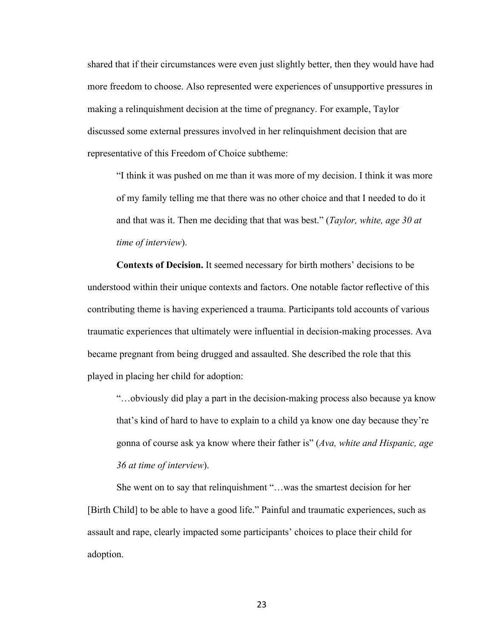shared that if their circumstances were even just slightly better, then they would have had more freedom to choose. Also represented were experiences of unsupportive pressures in making a relinquishment decision at the time of pregnancy. For example, Taylor discussed some external pressures involved in her relinquishment decision that are representative of this Freedom of Choice subtheme:

"I think it was pushed on me than it was more of my decision. I think it was more of my family telling me that there was no other choice and that I needed to do it and that was it. Then me deciding that that was best." (*Taylor, white, age 30 at time of interview*).

**Contexts of Decision.** It seemed necessary for birth mothers' decisions to be understood within their unique contexts and factors. One notable factor reflective of this contributing theme is having experienced a trauma. Participants told accounts of various traumatic experiences that ultimately were influential in decision-making processes. Ava became pregnant from being drugged and assaulted. She described the role that this played in placing her child for adoption:

"…obviously did play a part in the decision-making process also because ya know that's kind of hard to have to explain to a child ya know one day because they're gonna of course ask ya know where their father is" (*Ava, white and Hispanic, age 36 at time of interview*).

She went on to say that relinquishment "…was the smartest decision for her [Birth Child] to be able to have a good life." Painful and traumatic experiences, such as assault and rape, clearly impacted some participants' choices to place their child for adoption.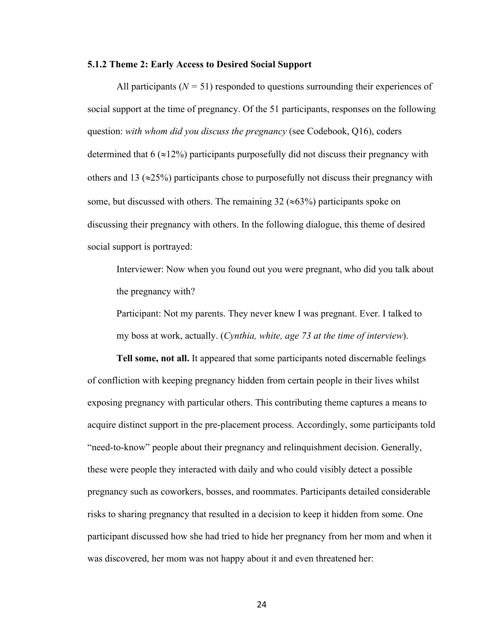#### **5.1.2 Theme 2: Early Access to Desired Social Support**

All participants  $(N = 51)$  responded to questions surrounding their experiences of social support at the time of pregnancy. Of the 51 participants, responses on the following question: *with whom did you discuss the pregnancy* (see Codebook, Q16), coders determined that  $6 \approx 12\%$ ) participants purposefully did not discuss their pregnancy with others and 13 ( $\approx$ 25%) participants chose to purposefully not discuss their pregnancy with some, but discussed with others. The remaining  $32 \approx 63\%$  participants spoke on discussing their pregnancy with others. In the following dialogue, this theme of desired social support is portrayed:

Interviewer: Now when you found out you were pregnant, who did you talk about the pregnancy with?

Participant: Not my parents. They never knew I was pregnant. Ever. I talked to my boss at work, actually. (*Cynthia, white, age 73 at the time of interview*).

**Tell some, not all.** It appeared that some participants noted discernable feelings of confliction with keeping pregnancy hidden from certain people in their lives whilst exposing pregnancy with particular others. This contributing theme captures a means to acquire distinct support in the pre-placement process. Accordingly, some participants told "need-to-know" people about their pregnancy and relinquishment decision. Generally, these were people they interacted with daily and who could visibly detect a possible pregnancy such as coworkers, bosses, and roommates. Participants detailed considerable risks to sharing pregnancy that resulted in a decision to keep it hidden from some. One participant discussed how she had tried to hide her pregnancy from her mom and when it was discovered, her mom was not happy about it and even threatened her: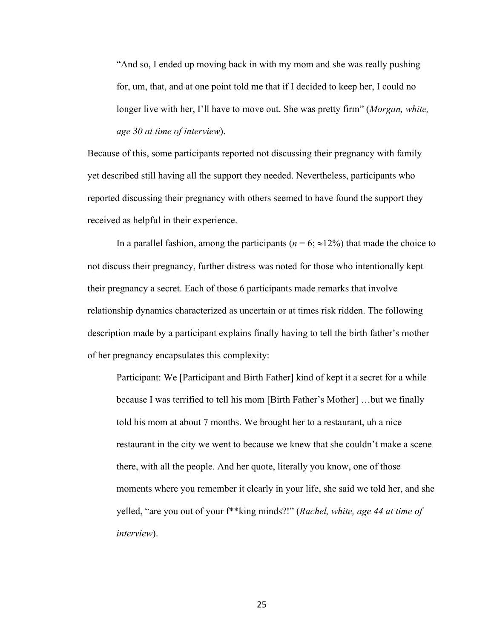"And so, I ended up moving back in with my mom and she was really pushing for, um, that, and at one point told me that if I decided to keep her, I could no longer live with her, I'll have to move out. She was pretty firm" (*Morgan, white, age 30 at time of interview*).

Because of this, some participants reported not discussing their pregnancy with family yet described still having all the support they needed. Nevertheless, participants who reported discussing their pregnancy with others seemed to have found the support they received as helpful in their experience.

In a parallel fashion, among the participants ( $n = 6$ ;  $\approx 12\%$ ) that made the choice to not discuss their pregnancy, further distress was noted for those who intentionally kept their pregnancy a secret. Each of those 6 participants made remarks that involve relationship dynamics characterized as uncertain or at times risk ridden. The following description made by a participant explains finally having to tell the birth father's mother of her pregnancy encapsulates this complexity:

Participant: We [Participant and Birth Father] kind of kept it a secret for a while because I was terrified to tell his mom [Birth Father's Mother] …but we finally told his mom at about 7 months. We brought her to a restaurant, uh a nice restaurant in the city we went to because we knew that she couldn't make a scene there, with all the people. And her quote, literally you know, one of those moments where you remember it clearly in your life, she said we told her, and she yelled, "are you out of your f\*\*king minds?!" (*Rachel, white, age 44 at time of interview*).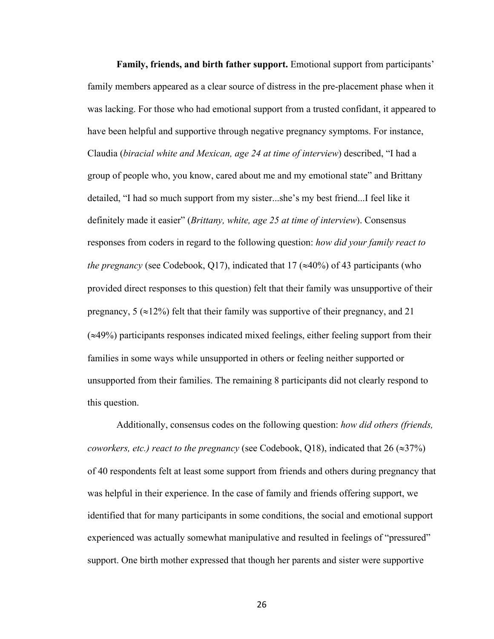**Family, friends, and birth father support.** Emotional support from participants' family members appeared as a clear source of distress in the pre-placement phase when it was lacking. For those who had emotional support from a trusted confidant, it appeared to have been helpful and supportive through negative pregnancy symptoms. For instance, Claudia (*biracial white and Mexican, age 24 at time of interview*) described, "I had a group of people who, you know, cared about me and my emotional state" and Brittany detailed, "I had so much support from my sister...she's my best friend...I feel like it definitely made it easier" (*Brittany, white, age 25 at time of interview*). Consensus responses from coders in regard to the following question: *how did your family react to the pregnancy* (see Codebook, Q17), indicated that 17 ( $\approx$ 40%) of 43 participants (who provided direct responses to this question) felt that their family was unsupportive of their pregnancy,  $5 \approx 12\%$ ) felt that their family was supportive of their pregnancy, and 21  $(\approx 49\%)$  participants responses indicated mixed feelings, either feeling support from their families in some ways while unsupported in others or feeling neither supported or unsupported from their families. The remaining 8 participants did not clearly respond to this question.

Additionally, consensus codes on the following question: *how did others (friends, coworkers, etc.) react to the pregnancy* (see Codebook, Q18), indicated that  $26 \approx 37\%$ ) of 40 respondents felt at least some support from friends and others during pregnancy that was helpful in their experience. In the case of family and friends offering support, we identified that for many participants in some conditions, the social and emotional support experienced was actually somewhat manipulative and resulted in feelings of "pressured" support. One birth mother expressed that though her parents and sister were supportive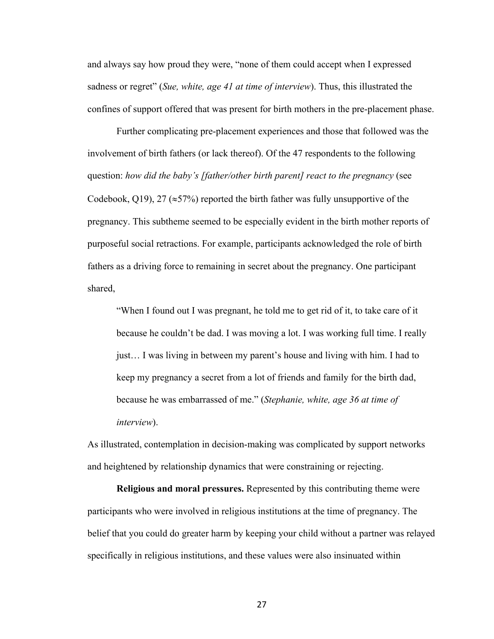and always say how proud they were, "none of them could accept when I expressed sadness or regret" (*Sue, white, age 41 at time of interview*). Thus, this illustrated the confines of support offered that was present for birth mothers in the pre-placement phase.

Further complicating pre-placement experiences and those that followed was the involvement of birth fathers (or lack thereof). Of the 47 respondents to the following question: *how did the baby's [father/other birth parent] react to the pregnancy* (see Codebook, Q19), 27 ( $\approx$ 57%) reported the birth father was fully unsupportive of the pregnancy. This subtheme seemed to be especially evident in the birth mother reports of purposeful social retractions. For example, participants acknowledged the role of birth fathers as a driving force to remaining in secret about the pregnancy. One participant shared,

"When I found out I was pregnant, he told me to get rid of it, to take care of it because he couldn't be dad. I was moving a lot. I was working full time. I really just… I was living in between my parent's house and living with him. I had to keep my pregnancy a secret from a lot of friends and family for the birth dad, because he was embarrassed of me." (*Stephanie, white, age 36 at time of interview*).

As illustrated, contemplation in decision-making was complicated by support networks and heightened by relationship dynamics that were constraining or rejecting.

**Religious and moral pressures.** Represented by this contributing theme were participants who were involved in religious institutions at the time of pregnancy. The belief that you could do greater harm by keeping your child without a partner was relayed specifically in religious institutions, and these values were also insinuated within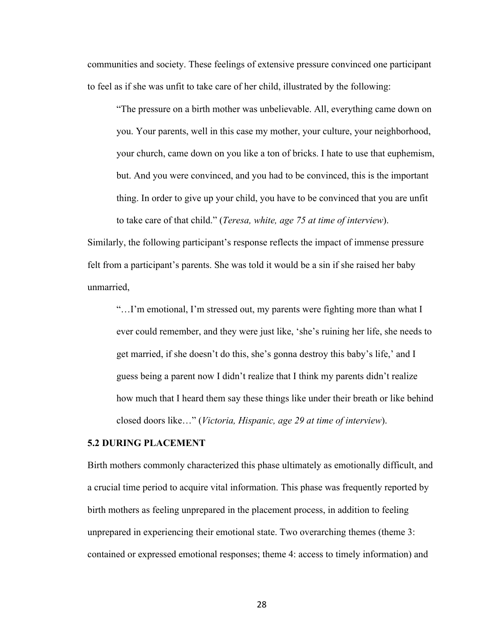communities and society. These feelings of extensive pressure convinced one participant to feel as if she was unfit to take care of her child, illustrated by the following:

"The pressure on a birth mother was unbelievable. All, everything came down on you. Your parents, well in this case my mother, your culture, your neighborhood, your church, came down on you like a ton of bricks. I hate to use that euphemism, but. And you were convinced, and you had to be convinced, this is the important thing. In order to give up your child, you have to be convinced that you are unfit to take care of that child." (*Teresa, white, age 75 at time of interview*).

Similarly, the following participant's response reflects the impact of immense pressure felt from a participant's parents. She was told it would be a sin if she raised her baby unmarried,

"…I'm emotional, I'm stressed out, my parents were fighting more than what I ever could remember, and they were just like, 'she's ruining her life, she needs to get married, if she doesn't do this, she's gonna destroy this baby's life,' and I guess being a parent now I didn't realize that I think my parents didn't realize how much that I heard them say these things like under their breath or like behind closed doors like…" (*Victoria, Hispanic, age 29 at time of interview*).

#### **5.2 DURING PLACEMENT**

Birth mothers commonly characterized this phase ultimately as emotionally difficult, and a crucial time period to acquire vital information. This phase was frequently reported by birth mothers as feeling unprepared in the placement process, in addition to feeling unprepared in experiencing their emotional state. Two overarching themes (theme 3: contained or expressed emotional responses; theme 4: access to timely information) and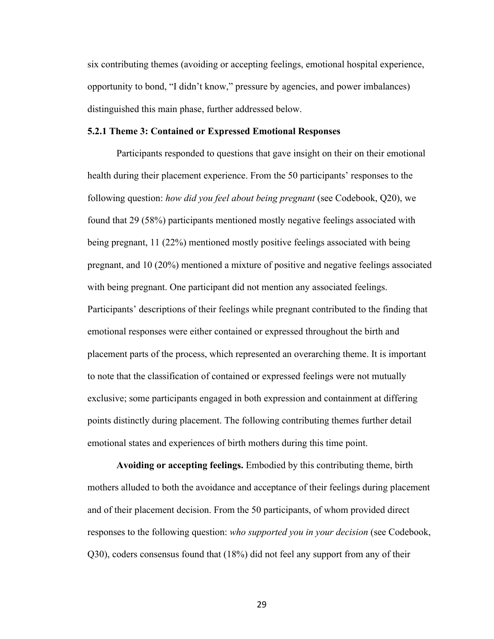six contributing themes (avoiding or accepting feelings, emotional hospital experience, opportunity to bond, "I didn't know," pressure by agencies, and power imbalances) distinguished this main phase, further addressed below.

# **5.2.1 Theme 3: Contained or Expressed Emotional Responses**

Participants responded to questions that gave insight on their on their emotional health during their placement experience. From the 50 participants' responses to the following question: *how did you feel about being pregnant* (see Codebook, Q20), we found that 29 (58%) participants mentioned mostly negative feelings associated with being pregnant, 11 (22%) mentioned mostly positive feelings associated with being pregnant, and 10 (20%) mentioned a mixture of positive and negative feelings associated with being pregnant. One participant did not mention any associated feelings. Participants' descriptions of their feelings while pregnant contributed to the finding that emotional responses were either contained or expressed throughout the birth and placement parts of the process, which represented an overarching theme. It is important to note that the classification of contained or expressed feelings were not mutually exclusive; some participants engaged in both expression and containment at differing points distinctly during placement. The following contributing themes further detail emotional states and experiences of birth mothers during this time point.

**Avoiding or accepting feelings.** Embodied by this contributing theme, birth mothers alluded to both the avoidance and acceptance of their feelings during placement and of their placement decision. From the 50 participants, of whom provided direct responses to the following question: *who supported you in your decision* (see Codebook, Q30), coders consensus found that (18%) did not feel any support from any of their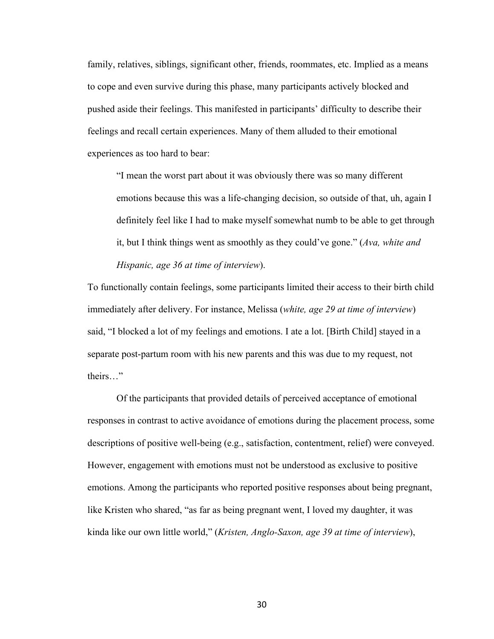family, relatives, siblings, significant other, friends, roommates, etc. Implied as a means to cope and even survive during this phase, many participants actively blocked and pushed aside their feelings. This manifested in participants' difficulty to describe their feelings and recall certain experiences. Many of them alluded to their emotional experiences as too hard to bear:

"I mean the worst part about it was obviously there was so many different emotions because this was a life-changing decision, so outside of that, uh, again I definitely feel like I had to make myself somewhat numb to be able to get through it, but I think things went as smoothly as they could've gone." (*Ava, white and Hispanic, age 36 at time of interview*).

To functionally contain feelings, some participants limited their access to their birth child immediately after delivery. For instance, Melissa (*white, age 29 at time of interview*) said, "I blocked a lot of my feelings and emotions. I ate a lot. [Birth Child] stayed in a separate post-partum room with his new parents and this was due to my request, not theirs…"

Of the participants that provided details of perceived acceptance of emotional responses in contrast to active avoidance of emotions during the placement process, some descriptions of positive well-being (e.g., satisfaction, contentment, relief) were conveyed. However, engagement with emotions must not be understood as exclusive to positive emotions. Among the participants who reported positive responses about being pregnant, like Kristen who shared, "as far as being pregnant went, I loved my daughter, it was kinda like our own little world," (*Kristen, Anglo-Saxon, age 39 at time of interview*),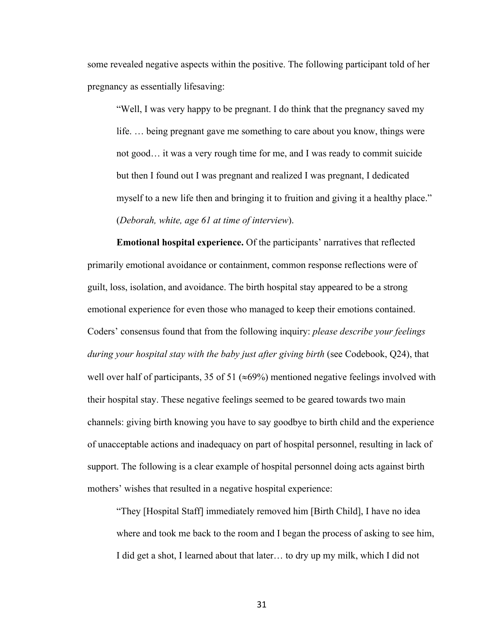some revealed negative aspects within the positive. The following participant told of her pregnancy as essentially lifesaving:

"Well, I was very happy to be pregnant. I do think that the pregnancy saved my life. … being pregnant gave me something to care about you know, things were not good… it was a very rough time for me, and I was ready to commit suicide but then I found out I was pregnant and realized I was pregnant, I dedicated myself to a new life then and bringing it to fruition and giving it a healthy place." (*Deborah, white, age 61 at time of interview*).

**Emotional hospital experience.** Of the participants' narratives that reflected primarily emotional avoidance or containment, common response reflections were of guilt, loss, isolation, and avoidance. The birth hospital stay appeared to be a strong emotional experience for even those who managed to keep their emotions contained. Coders' consensus found that from the following inquiry: *please describe your feelings during your hospital stay with the baby just after giving birth* (see Codebook, Q24), that well over half of participants, 35 of 51 ( $\approx$ 69%) mentioned negative feelings involved with their hospital stay. These negative feelings seemed to be geared towards two main channels: giving birth knowing you have to say goodbye to birth child and the experience of unacceptable actions and inadequacy on part of hospital personnel, resulting in lack of support. The following is a clear example of hospital personnel doing acts against birth mothers' wishes that resulted in a negative hospital experience:

"They [Hospital Staff] immediately removed him [Birth Child], I have no idea where and took me back to the room and I began the process of asking to see him, I did get a shot, I learned about that later… to dry up my milk, which I did not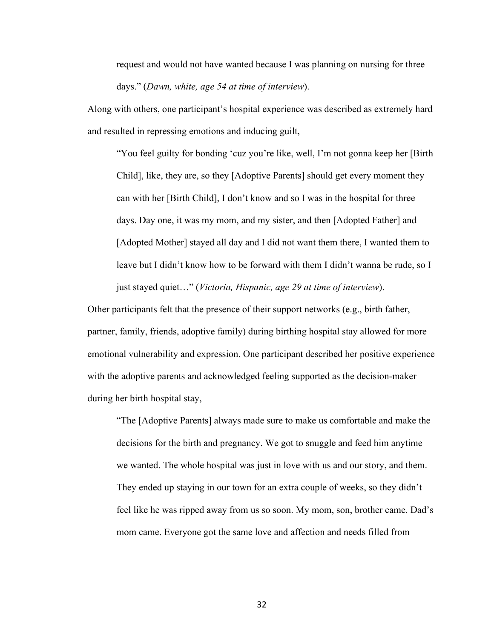request and would not have wanted because I was planning on nursing for three days." (*Dawn, white, age 54 at time of interview*).

Along with others, one participant's hospital experience was described as extremely hard and resulted in repressing emotions and inducing guilt,

"You feel guilty for bonding 'cuz you're like, well, I'm not gonna keep her [Birth Child], like, they are, so they [Adoptive Parents] should get every moment they can with her [Birth Child], I don't know and so I was in the hospital for three days. Day one, it was my mom, and my sister, and then [Adopted Father] and [Adopted Mother] stayed all day and I did not want them there, I wanted them to leave but I didn't know how to be forward with them I didn't wanna be rude, so I just stayed quiet…" (*Victoria, Hispanic, age 29 at time of interview*).

Other participants felt that the presence of their support networks (e.g., birth father, partner, family, friends, adoptive family) during birthing hospital stay allowed for more emotional vulnerability and expression. One participant described her positive experience with the adoptive parents and acknowledged feeling supported as the decision-maker during her birth hospital stay,

"The [Adoptive Parents] always made sure to make us comfortable and make the decisions for the birth and pregnancy. We got to snuggle and feed him anytime we wanted. The whole hospital was just in love with us and our story, and them. They ended up staying in our town for an extra couple of weeks, so they didn't feel like he was ripped away from us so soon. My mom, son, brother came. Dad's mom came. Everyone got the same love and affection and needs filled from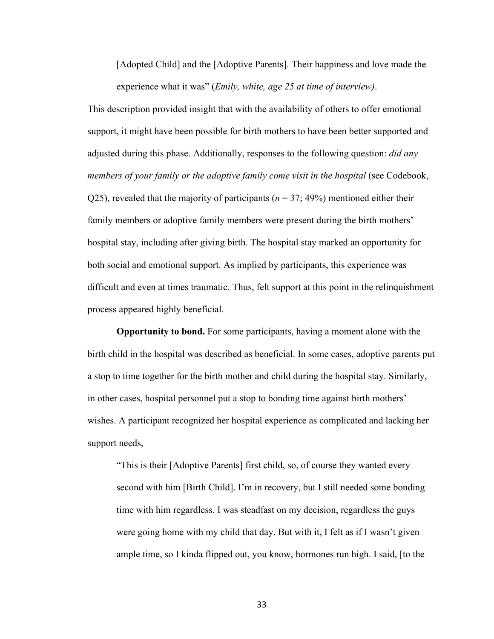[Adopted Child] and the [Adoptive Parents]. Their happiness and love made the experience what it was" (*Emily, white, age 25 at time of interview)*.

This description provided insight that with the availability of others to offer emotional support, it might have been possible for birth mothers to have been better supported and adjusted during this phase. Additionally, responses to the following question: *did any members of your family or the adoptive family come visit in the hospital* (see Codebook, Q25), revealed that the majority of participants ( $n = 37$ ; 49%) mentioned either their family members or adoptive family members were present during the birth mothers' hospital stay, including after giving birth. The hospital stay marked an opportunity for both social and emotional support. As implied by participants, this experience was difficult and even at times traumatic. Thus, felt support at this point in the relinquishment process appeared highly beneficial.

**Opportunity to bond.** For some participants, having a moment alone with the birth child in the hospital was described as beneficial. In some cases, adoptive parents put a stop to time together for the birth mother and child during the hospital stay. Similarly, in other cases, hospital personnel put a stop to bonding time against birth mothers' wishes. A participant recognized her hospital experience as complicated and lacking her support needs,

"This is their [Adoptive Parents] first child, so, of course they wanted every second with him [Birth Child]. I'm in recovery, but I still needed some bonding time with him regardless. I was steadfast on my decision, regardless the guys were going home with my child that day. But with it, I felt as if I wasn't given ample time, so I kinda flipped out, you know, hormones run high. I said, [to the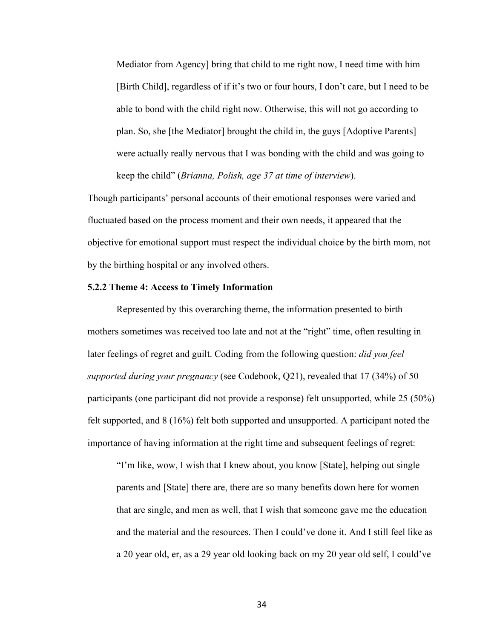Mediator from Agency] bring that child to me right now, I need time with him [Birth Child], regardless of if it's two or four hours, I don't care, but I need to be able to bond with the child right now. Otherwise, this will not go according to plan. So, she [the Mediator] brought the child in, the guys [Adoptive Parents] were actually really nervous that I was bonding with the child and was going to keep the child" (*Brianna, Polish, age 37 at time of interview*).

Though participants' personal accounts of their emotional responses were varied and fluctuated based on the process moment and their own needs, it appeared that the objective for emotional support must respect the individual choice by the birth mom, not by the birthing hospital or any involved others.

#### **5.2.2 Theme 4: Access to Timely Information**

Represented by this overarching theme, the information presented to birth mothers sometimes was received too late and not at the "right" time, often resulting in later feelings of regret and guilt. Coding from the following question: *did you feel supported during your pregnancy* (see Codebook, Q21), revealed that 17 (34%) of 50 participants (one participant did not provide a response) felt unsupported, while 25 (50%) felt supported, and 8 (16%) felt both supported and unsupported. A participant noted the importance of having information at the right time and subsequent feelings of regret:

"I'm like, wow, I wish that I knew about, you know [State], helping out single parents and [State] there are, there are so many benefits down here for women that are single, and men as well, that I wish that someone gave me the education and the material and the resources. Then I could've done it. And I still feel like as a 20 year old, er, as a 29 year old looking back on my 20 year old self, I could've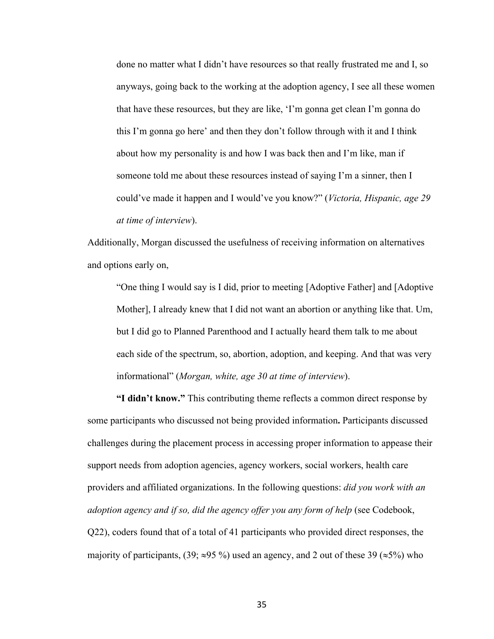done no matter what I didn't have resources so that really frustrated me and I, so anyways, going back to the working at the adoption agency, I see all these women that have these resources, but they are like, 'I'm gonna get clean I'm gonna do this I'm gonna go here' and then they don't follow through with it and I think about how my personality is and how I was back then and I'm like, man if someone told me about these resources instead of saying I'm a sinner, then I could've made it happen and I would've you know?" (*Victoria, Hispanic, age 29 at time of interview*).

Additionally, Morgan discussed the usefulness of receiving information on alternatives and options early on,

"One thing I would say is I did, prior to meeting [Adoptive Father] and [Adoptive Mother], I already knew that I did not want an abortion or anything like that. Um, but I did go to Planned Parenthood and I actually heard them talk to me about each side of the spectrum, so, abortion, adoption, and keeping. And that was very informational" (*Morgan, white, age 30 at time of interview*).

**"I didn't know."** This contributing theme reflects a common direct response by some participants who discussed not being provided information**.** Participants discussed challenges during the placement process in accessing proper information to appease their support needs from adoption agencies, agency workers, social workers, health care providers and affiliated organizations. In the following questions: *did you work with an adoption agency and if so, did the agency offer you any form of help* (see Codebook, Q22), coders found that of a total of 41 participants who provided direct responses, the majority of participants, (39;  $\approx$ 95 %) used an agency, and 2 out of these 39 ( $\approx$ 5%) who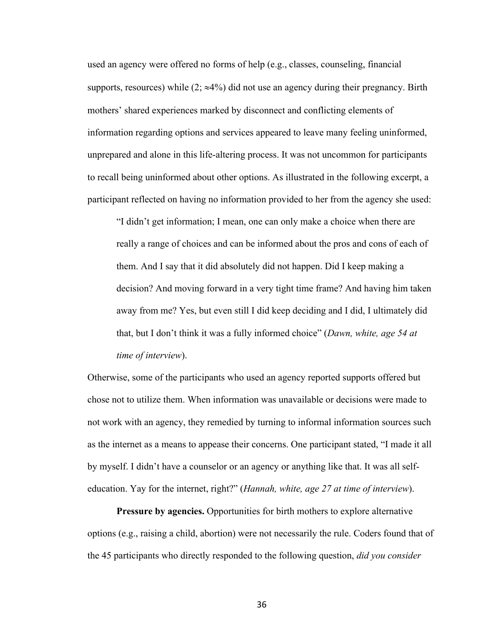used an agency were offered no forms of help (e.g., classes, counseling, financial supports, resources) while  $(2, \approx 4\%)$  did not use an agency during their pregnancy. Birth mothers' shared experiences marked by disconnect and conflicting elements of information regarding options and services appeared to leave many feeling uninformed, unprepared and alone in this life-altering process. It was not uncommon for participants to recall being uninformed about other options. As illustrated in the following excerpt, a participant reflected on having no information provided to her from the agency she used:

"I didn't get information; I mean, one can only make a choice when there are really a range of choices and can be informed about the pros and cons of each of them. And I say that it did absolutely did not happen. Did I keep making a decision? And moving forward in a very tight time frame? And having him taken away from me? Yes, but even still I did keep deciding and I did, I ultimately did that, but I don't think it was a fully informed choice" (*Dawn, white, age 54 at time of interview*).

Otherwise, some of the participants who used an agency reported supports offered but chose not to utilize them. When information was unavailable or decisions were made to not work with an agency, they remedied by turning to informal information sources such as the internet as a means to appease their concerns. One participant stated, "I made it all by myself. I didn't have a counselor or an agency or anything like that. It was all selfeducation. Yay for the internet, right?" (*Hannah, white, age 27 at time of interview*).

**Pressure by agencies.** Opportunities for birth mothers to explore alternative options (e.g., raising a child, abortion) were not necessarily the rule. Coders found that of the 45 participants who directly responded to the following question, *did you consider*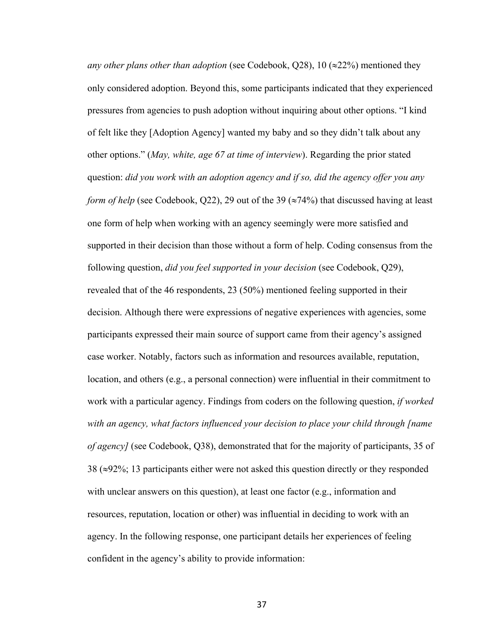*any other plans other than adoption* (see Codebook,  $Q28$ ), 10 ( $\approx$ 22%) mentioned they only considered adoption. Beyond this, some participants indicated that they experienced pressures from agencies to push adoption without inquiring about other options. "I kind of felt like they [Adoption Agency] wanted my baby and so they didn't talk about any other options." (*May, white, age 67 at time of interview*). Regarding the prior stated question: *did you work with an adoption agency and if so, did the agency offer you any form of help* (see Codebook, Q22), 29 out of the 39 ( $\approx$ 74%) that discussed having at least one form of help when working with an agency seemingly were more satisfied and supported in their decision than those without a form of help. Coding consensus from the following question, *did you feel supported in your decision* (see Codebook, Q29), revealed that of the 46 respondents, 23 (50%) mentioned feeling supported in their decision. Although there were expressions of negative experiences with agencies, some participants expressed their main source of support came from their agency's assigned case worker. Notably, factors such as information and resources available, reputation, location, and others (e.g., a personal connection) were influential in their commitment to work with a particular agency. Findings from coders on the following question, *if worked with an agency, what factors influenced your decision to place your child through [name of agency]* (see Codebook, Q38), demonstrated that for the majority of participants, 35 of  $38$  ( $\approx$ 92%; 13 participants either were not asked this question directly or they responded with unclear answers on this question), at least one factor (e.g., information and resources, reputation, location or other) was influential in deciding to work with an agency. In the following response, one participant details her experiences of feeling confident in the agency's ability to provide information: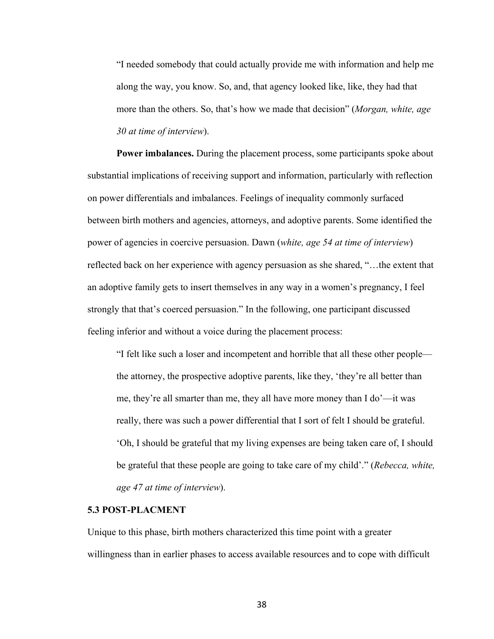"I needed somebody that could actually provide me with information and help me along the way, you know. So, and, that agency looked like, like, they had that more than the others. So, that's how we made that decision" (*Morgan, white, age 30 at time of interview*).

**Power imbalances.** During the placement process, some participants spoke about substantial implications of receiving support and information, particularly with reflection on power differentials and imbalances. Feelings of inequality commonly surfaced between birth mothers and agencies, attorneys, and adoptive parents. Some identified the power of agencies in coercive persuasion. Dawn (*white, age 54 at time of interview*) reflected back on her experience with agency persuasion as she shared, "…the extent that an adoptive family gets to insert themselves in any way in a women's pregnancy, I feel strongly that that's coerced persuasion." In the following, one participant discussed feeling inferior and without a voice during the placement process:

"I felt like such a loser and incompetent and horrible that all these other people the attorney, the prospective adoptive parents, like they, 'they're all better than me, they're all smarter than me, they all have more money than I do'—it was really, there was such a power differential that I sort of felt I should be grateful. 'Oh, I should be grateful that my living expenses are being taken care of, I should be grateful that these people are going to take care of my child'." (*Rebecca, white, age 47 at time of interview*).

# **5.3 POST-PLACMENT**

Unique to this phase, birth mothers characterized this time point with a greater willingness than in earlier phases to access available resources and to cope with difficult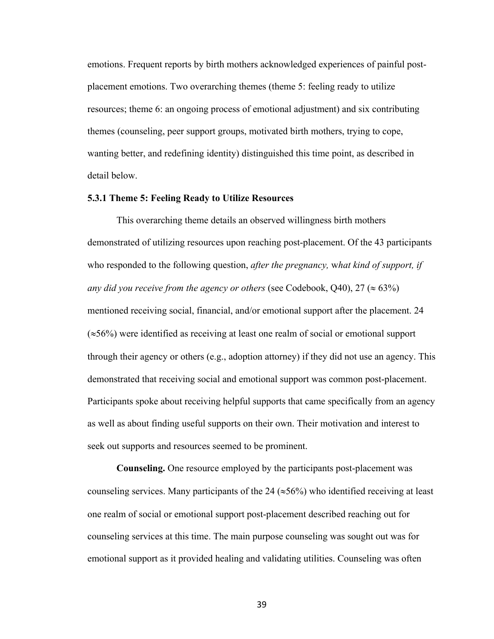emotions. Frequent reports by birth mothers acknowledged experiences of painful postplacement emotions. Two overarching themes (theme 5: feeling ready to utilize resources; theme 6: an ongoing process of emotional adjustment) and six contributing themes (counseling, peer support groups, motivated birth mothers, trying to cope, wanting better, and redefining identity) distinguished this time point, as described in detail below.

## **5.3.1 Theme 5: Feeling Ready to Utilize Resources**

This overarching theme details an observed willingness birth mothers demonstrated of utilizing resources upon reaching post-placement. Of the 43 participants who responded to the following question, *after the pregnancy,* w*hat kind of support, if any did you receive from the agency or others* (see Codebook, Q40), 27 ( $\approx$  63%) mentioned receiving social, financial, and/or emotional support after the placement. 24  $(\approx 56\%)$  were identified as receiving at least one realm of social or emotional support through their agency or others (e.g., adoption attorney) if they did not use an agency. This demonstrated that receiving social and emotional support was common post-placement. Participants spoke about receiving helpful supports that came specifically from an agency as well as about finding useful supports on their own. Their motivation and interest to seek out supports and resources seemed to be prominent.

**Counseling.** One resource employed by the participants post-placement was counseling services. Many participants of the 24 ( $\approx$ 56%) who identified receiving at least one realm of social or emotional support post-placement described reaching out for counseling services at this time. The main purpose counseling was sought out was for emotional support as it provided healing and validating utilities. Counseling was often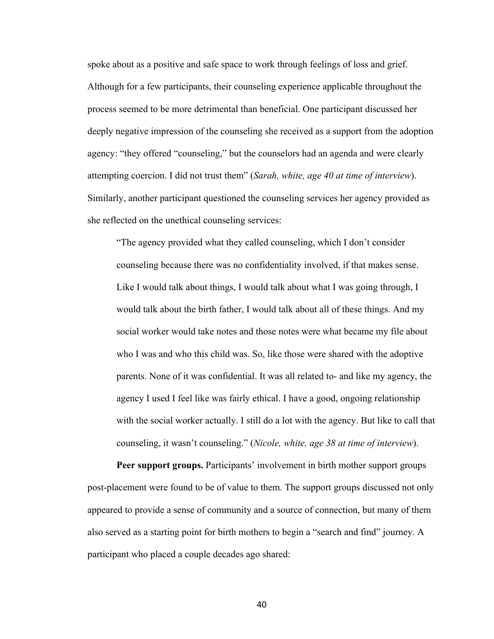spoke about as a positive and safe space to work through feelings of loss and grief. Although for a few participants, their counseling experience applicable throughout the process seemed to be more detrimental than beneficial. One participant discussed her deeply negative impression of the counseling she received as a support from the adoption agency: "they offered "counseling," but the counselors had an agenda and were clearly attempting coercion. I did not trust them" (*Sarah, white, age 40 at time of interview*). Similarly, another participant questioned the counseling services her agency provided as she reflected on the unethical counseling services:

"The agency provided what they called counseling, which I don't consider counseling because there was no confidentiality involved, if that makes sense. Like I would talk about things, I would talk about what I was going through, I would talk about the birth father, I would talk about all of these things. And my social worker would take notes and those notes were what became my file about who I was and who this child was. So, like those were shared with the adoptive parents. None of it was confidential. It was all related to- and like my agency, the agency I used I feel like was fairly ethical. I have a good, ongoing relationship with the social worker actually. I still do a lot with the agency. But like to call that counseling, it wasn't counseling." (*Nicole, white, age 38 at time of interview*).

**Peer support groups.** Participants' involvement in birth mother support groups post-placement were found to be of value to them. The support groups discussed not only appeared to provide a sense of community and a source of connection, but many of them also served as a starting point for birth mothers to begin a "search and find" journey. A participant who placed a couple decades ago shared: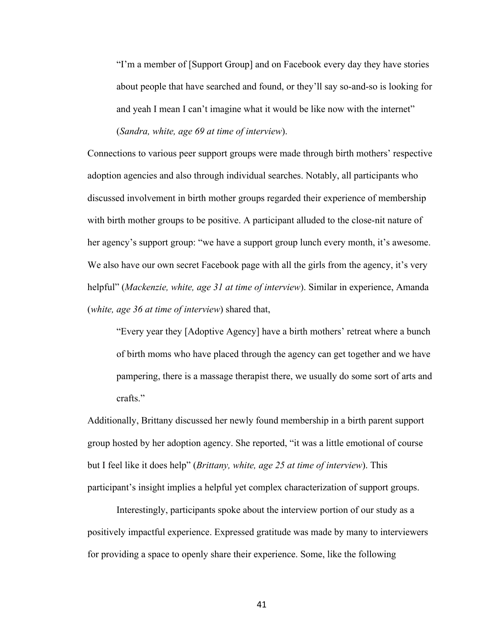"I'm a member of [Support Group] and on Facebook every day they have stories about people that have searched and found, or they'll say so-and-so is looking for and yeah I mean I can't imagine what it would be like now with the internet"

(*Sandra, white, age 69 at time of interview*).

Connections to various peer support groups were made through birth mothers' respective adoption agencies and also through individual searches. Notably, all participants who discussed involvement in birth mother groups regarded their experience of membership with birth mother groups to be positive. A participant alluded to the close-nit nature of her agency's support group: "we have a support group lunch every month, it's awesome. We also have our own secret Facebook page with all the girls from the agency, it's very helpful" (*Mackenzie, white, age 31 at time of interview*). Similar in experience, Amanda (*white, age 36 at time of interview*) shared that,

"Every year they [Adoptive Agency] have a birth mothers' retreat where a bunch of birth moms who have placed through the agency can get together and we have pampering, there is a massage therapist there, we usually do some sort of arts and crafts."

Additionally, Brittany discussed her newly found membership in a birth parent support group hosted by her adoption agency. She reported, "it was a little emotional of course but I feel like it does help" (*Brittany, white, age 25 at time of interview*). This participant's insight implies a helpful yet complex characterization of support groups.

Interestingly, participants spoke about the interview portion of our study as a positively impactful experience. Expressed gratitude was made by many to interviewers for providing a space to openly share their experience. Some, like the following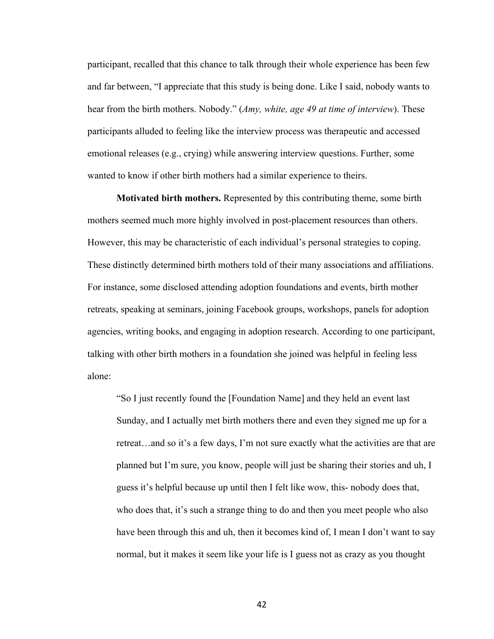participant, recalled that this chance to talk through their whole experience has been few and far between, "I appreciate that this study is being done. Like I said, nobody wants to hear from the birth mothers. Nobody." (*Amy, white, age 49 at time of interview*). These participants alluded to feeling like the interview process was therapeutic and accessed emotional releases (e.g., crying) while answering interview questions. Further, some wanted to know if other birth mothers had a similar experience to theirs.

**Motivated birth mothers.** Represented by this contributing theme, some birth mothers seemed much more highly involved in post-placement resources than others. However, this may be characteristic of each individual's personal strategies to coping. These distinctly determined birth mothers told of their many associations and affiliations. For instance, some disclosed attending adoption foundations and events, birth mother retreats, speaking at seminars, joining Facebook groups, workshops, panels for adoption agencies, writing books, and engaging in adoption research. According to one participant, talking with other birth mothers in a foundation she joined was helpful in feeling less alone:

"So I just recently found the [Foundation Name] and they held an event last Sunday, and I actually met birth mothers there and even they signed me up for a retreat…and so it's a few days, I'm not sure exactly what the activities are that are planned but I'm sure, you know, people will just be sharing their stories and uh, I guess it's helpful because up until then I felt like wow, this- nobody does that, who does that, it's such a strange thing to do and then you meet people who also have been through this and uh, then it becomes kind of, I mean I don't want to say normal, but it makes it seem like your life is I guess not as crazy as you thought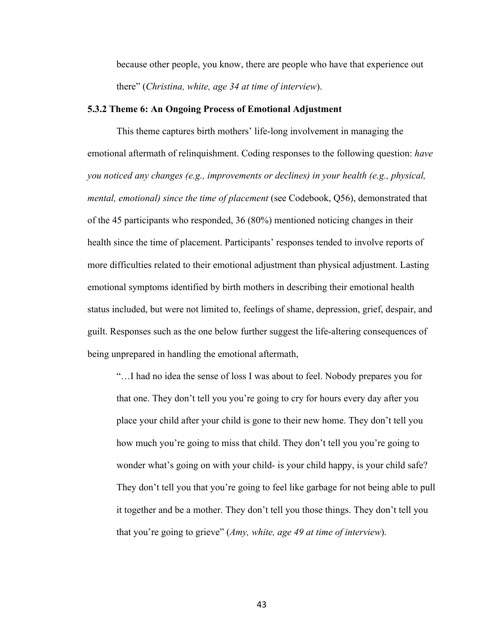because other people, you know, there are people who have that experience out there" (*Christina, white, age 34 at time of interview*).

#### **5.3.2 Theme 6: An Ongoing Process of Emotional Adjustment**

This theme captures birth mothers' life-long involvement in managing the emotional aftermath of relinquishment. Coding responses to the following question: *have you noticed any changes (e.g., improvements or declines) in your health (e.g., physical, mental, emotional) since the time of placement* (see Codebook, Q56), demonstrated that of the 45 participants who responded, 36 (80%) mentioned noticing changes in their health since the time of placement. Participants' responses tended to involve reports of more difficulties related to their emotional adjustment than physical adjustment. Lasting emotional symptoms identified by birth mothers in describing their emotional health status included, but were not limited to, feelings of shame, depression, grief, despair, and guilt. Responses such as the one below further suggest the life-altering consequences of being unprepared in handling the emotional aftermath,

"…I had no idea the sense of loss I was about to feel. Nobody prepares you for that one. They don't tell you you're going to cry for hours every day after you place your child after your child is gone to their new home. They don't tell you how much you're going to miss that child. They don't tell you you're going to wonder what's going on with your child- is your child happy, is your child safe? They don't tell you that you're going to feel like garbage for not being able to pull it together and be a mother. They don't tell you those things. They don't tell you that you're going to grieve" (*Amy, white, age 49 at time of interview*).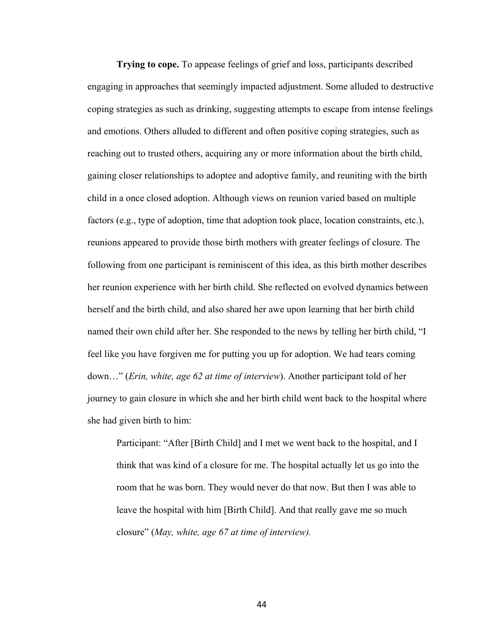**Trying to cope.** To appease feelings of grief and loss, participants described engaging in approaches that seemingly impacted adjustment. Some alluded to destructive coping strategies as such as drinking, suggesting attempts to escape from intense feelings and emotions. Others alluded to different and often positive coping strategies, such as reaching out to trusted others, acquiring any or more information about the birth child, gaining closer relationships to adoptee and adoptive family, and reuniting with the birth child in a once closed adoption. Although views on reunion varied based on multiple factors (e.g., type of adoption, time that adoption took place, location constraints, etc.), reunions appeared to provide those birth mothers with greater feelings of closure. The following from one participant is reminiscent of this idea, as this birth mother describes her reunion experience with her birth child. She reflected on evolved dynamics between herself and the birth child, and also shared her awe upon learning that her birth child named their own child after her. She responded to the news by telling her birth child, "I feel like you have forgiven me for putting you up for adoption. We had tears coming down…" (*Erin, white, age 62 at time of interview*). Another participant told of her journey to gain closure in which she and her birth child went back to the hospital where she had given birth to him:

Participant: "After [Birth Child] and I met we went back to the hospital, and I think that was kind of a closure for me. The hospital actually let us go into the room that he was born. They would never do that now. But then I was able to leave the hospital with him [Birth Child]. And that really gave me so much closure" (*May, white, age 67 at time of interview).*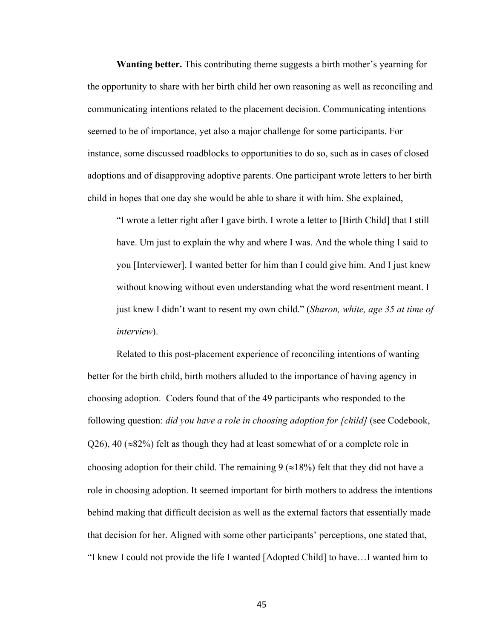**Wanting better.** This contributing theme suggests a birth mother's yearning for the opportunity to share with her birth child her own reasoning as well as reconciling and communicating intentions related to the placement decision. Communicating intentions seemed to be of importance, yet also a major challenge for some participants. For instance, some discussed roadblocks to opportunities to do so, such as in cases of closed adoptions and of disapproving adoptive parents. One participant wrote letters to her birth child in hopes that one day she would be able to share it with him. She explained,

"I wrote a letter right after I gave birth. I wrote a letter to [Birth Child] that I still have. Um just to explain the why and where I was. And the whole thing I said to you [Interviewer]. I wanted better for him than I could give him. And I just knew without knowing without even understanding what the word resentment meant. I just knew I didn't want to resent my own child." (*Sharon, white, age 35 at time of interview*).

Related to this post-placement experience of reconciling intentions of wanting better for the birth child, birth mothers alluded to the importance of having agency in choosing adoption. Coders found that of the 49 participants who responded to the following question: *did you have a role in choosing adoption for [child]* (see Codebook,  $Q26$ , 40 ( $\approx$ 82%) felt as though they had at least somewhat of or a complete role in choosing adoption for their child. The remaining  $9 \approx 18\%$  felt that they did not have a role in choosing adoption. It seemed important for birth mothers to address the intentions behind making that difficult decision as well as the external factors that essentially made that decision for her. Aligned with some other participants' perceptions, one stated that, "I knew I could not provide the life I wanted [Adopted Child] to have…I wanted him to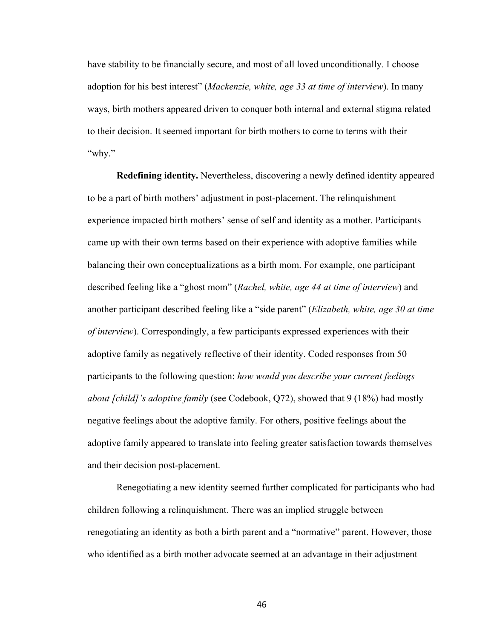have stability to be financially secure, and most of all loved unconditionally. I choose adoption for his best interest" (*Mackenzie, white, age 33 at time of interview*). In many ways, birth mothers appeared driven to conquer both internal and external stigma related to their decision. It seemed important for birth mothers to come to terms with their "why."

**Redefining identity.** Nevertheless, discovering a newly defined identity appeared to be a part of birth mothers' adjustment in post-placement. The relinquishment experience impacted birth mothers' sense of self and identity as a mother. Participants came up with their own terms based on their experience with adoptive families while balancing their own conceptualizations as a birth mom. For example, one participant described feeling like a "ghost mom" (*Rachel, white, age 44 at time of interview*) and another participant described feeling like a "side parent" (*Elizabeth, white, age 30 at time of interview*). Correspondingly, a few participants expressed experiences with their adoptive family as negatively reflective of their identity. Coded responses from 50 participants to the following question: *how would you describe your current feelings about [child]'s adoptive family* (see Codebook, Q72), showed that 9 (18%) had mostly negative feelings about the adoptive family. For others, positive feelings about the adoptive family appeared to translate into feeling greater satisfaction towards themselves and their decision post-placement.

Renegotiating a new identity seemed further complicated for participants who had children following a relinquishment. There was an implied struggle between renegotiating an identity as both a birth parent and a "normative" parent. However, those who identified as a birth mother advocate seemed at an advantage in their adjustment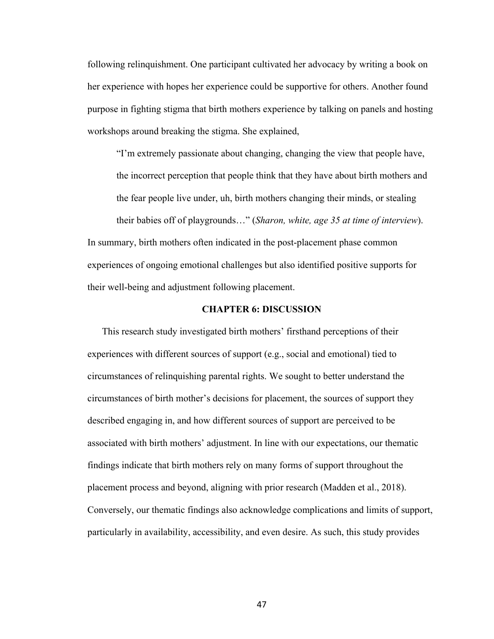following relinquishment. One participant cultivated her advocacy by writing a book on her experience with hopes her experience could be supportive for others. Another found purpose in fighting stigma that birth mothers experience by talking on panels and hosting workshops around breaking the stigma. She explained,

"I'm extremely passionate about changing, changing the view that people have, the incorrect perception that people think that they have about birth mothers and the fear people live under, uh, birth mothers changing their minds, or stealing their babies off of playgrounds…" (*Sharon, white, age 35 at time of interview*). In summary, birth mothers often indicated in the post-placement phase common

experiences of ongoing emotional challenges but also identified positive supports for their well-being and adjustment following placement.

## **CHAPTER 6: DISCUSSION**

This research study investigated birth mothers' firsthand perceptions of their experiences with different sources of support (e.g., social and emotional) tied to circumstances of relinquishing parental rights. We sought to better understand the circumstances of birth mother's decisions for placement, the sources of support they described engaging in, and how different sources of support are perceived to be associated with birth mothers' adjustment. In line with our expectations, our thematic findings indicate that birth mothers rely on many forms of support throughout the placement process and beyond, aligning with prior research (Madden et al., 2018). Conversely, our thematic findings also acknowledge complications and limits of support, particularly in availability, accessibility, and even desire. As such, this study provides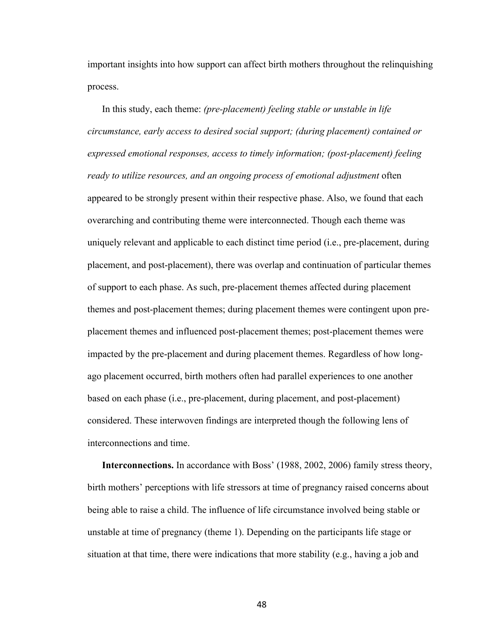important insights into how support can affect birth mothers throughout the relinquishing process.

In this study, each theme: *(pre-placement) feeling stable or unstable in life circumstance, early access to desired social support; (during placement) contained or expressed emotional responses, access to timely informati*o*n; (post-placement) feeling ready to utilize resources, and an ongoing process of emotional adjustment* often appeared to be strongly present within their respective phase. Also, we found that each overarching and contributing theme were interconnected. Though each theme was uniquely relevant and applicable to each distinct time period (i.e., pre-placement, during placement, and post-placement), there was overlap and continuation of particular themes of support to each phase. As such, pre-placement themes affected during placement themes and post-placement themes; during placement themes were contingent upon preplacement themes and influenced post-placement themes; post-placement themes were impacted by the pre-placement and during placement themes. Regardless of how longago placement occurred, birth mothers often had parallel experiences to one another based on each phase (i.e., pre-placement, during placement, and post-placement) considered. These interwoven findings are interpreted though the following lens of interconnections and time.

**Interconnections.** In accordance with Boss' (1988, 2002, 2006) family stress theory, birth mothers' perceptions with life stressors at time of pregnancy raised concerns about being able to raise a child. The influence of life circumstance involved being stable or unstable at time of pregnancy (theme 1). Depending on the participants life stage or situation at that time, there were indications that more stability (e.g., having a job and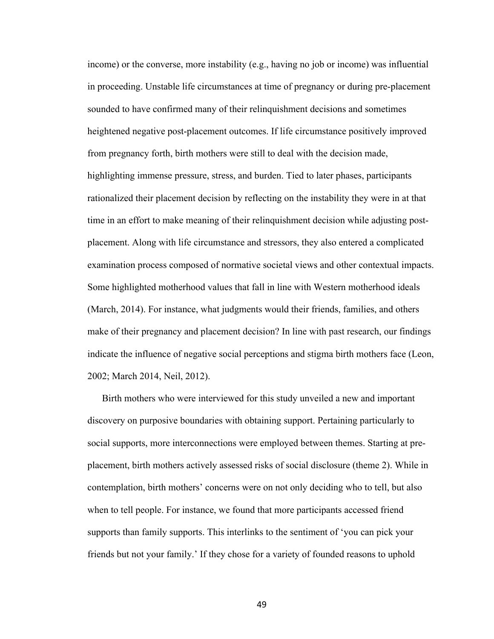income) or the converse, more instability (e.g., having no job or income) was influential in proceeding. Unstable life circumstances at time of pregnancy or during pre-placement sounded to have confirmed many of their relinquishment decisions and sometimes heightened negative post-placement outcomes. If life circumstance positively improved from pregnancy forth, birth mothers were still to deal with the decision made, highlighting immense pressure, stress, and burden. Tied to later phases, participants rationalized their placement decision by reflecting on the instability they were in at that time in an effort to make meaning of their relinquishment decision while adjusting postplacement. Along with life circumstance and stressors, they also entered a complicated examination process composed of normative societal views and other contextual impacts. Some highlighted motherhood values that fall in line with Western motherhood ideals (March, 2014). For instance, what judgments would their friends, families, and others make of their pregnancy and placement decision? In line with past research, our findings indicate the influence of negative social perceptions and stigma birth mothers face (Leon, 2002; March 2014, Neil, 2012).

Birth mothers who were interviewed for this study unveiled a new and important discovery on purposive boundaries with obtaining support. Pertaining particularly to social supports, more interconnections were employed between themes. Starting at preplacement, birth mothers actively assessed risks of social disclosure (theme 2). While in contemplation, birth mothers' concerns were on not only deciding who to tell, but also when to tell people. For instance, we found that more participants accessed friend supports than family supports. This interlinks to the sentiment of 'you can pick your friends but not your family.' If they chose for a variety of founded reasons to uphold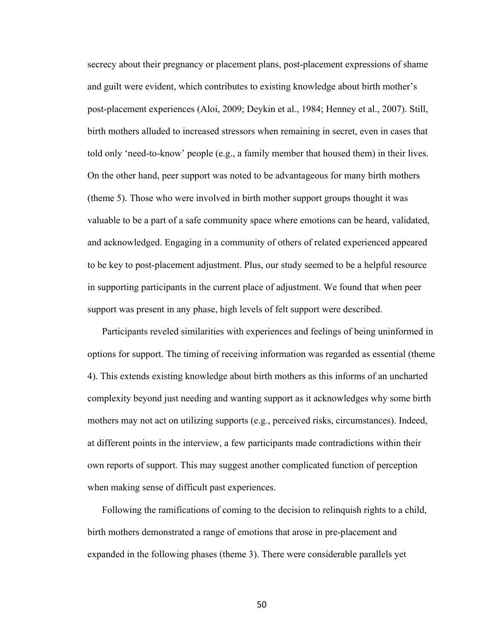secrecy about their pregnancy or placement plans, post-placement expressions of shame and guilt were evident, which contributes to existing knowledge about birth mother's post-placement experiences (Aloi, 2009; Deykin et al., 1984; Henney et al., 2007). Still, birth mothers alluded to increased stressors when remaining in secret, even in cases that told only 'need-to-know' people (e.g., a family member that housed them) in their lives. On the other hand, peer support was noted to be advantageous for many birth mothers (theme 5). Those who were involved in birth mother support groups thought it was valuable to be a part of a safe community space where emotions can be heard, validated, and acknowledged. Engaging in a community of others of related experienced appeared to be key to post-placement adjustment. Plus, our study seemed to be a helpful resource in supporting participants in the current place of adjustment. We found that when peer support was present in any phase, high levels of felt support were described.

Participants reveled similarities with experiences and feelings of being uninformed in options for support. The timing of receiving information was regarded as essential (theme 4). This extends existing knowledge about birth mothers as this informs of an uncharted complexity beyond just needing and wanting support as it acknowledges why some birth mothers may not act on utilizing supports (e.g., perceived risks, circumstances). Indeed, at different points in the interview, a few participants made contradictions within their own reports of support. This may suggest another complicated function of perception when making sense of difficult past experiences.

Following the ramifications of coming to the decision to relinquish rights to a child, birth mothers demonstrated a range of emotions that arose in pre-placement and expanded in the following phases (theme 3). There were considerable parallels yet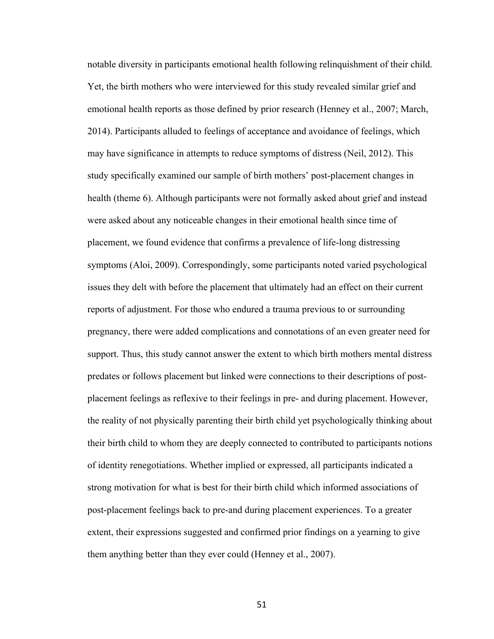notable diversity in participants emotional health following relinquishment of their child. Yet, the birth mothers who were interviewed for this study revealed similar grief and emotional health reports as those defined by prior research (Henney et al., 2007; March, 2014). Participants alluded to feelings of acceptance and avoidance of feelings, which may have significance in attempts to reduce symptoms of distress (Neil, 2012). This study specifically examined our sample of birth mothers' post-placement changes in health (theme 6). Although participants were not formally asked about grief and instead were asked about any noticeable changes in their emotional health since time of placement, we found evidence that confirms a prevalence of life-long distressing symptoms (Aloi, 2009). Correspondingly, some participants noted varied psychological issues they delt with before the placement that ultimately had an effect on their current reports of adjustment. For those who endured a trauma previous to or surrounding pregnancy, there were added complications and connotations of an even greater need for support. Thus, this study cannot answer the extent to which birth mothers mental distress predates or follows placement but linked were connections to their descriptions of postplacement feelings as reflexive to their feelings in pre- and during placement. However, the reality of not physically parenting their birth child yet psychologically thinking about their birth child to whom they are deeply connected to contributed to participants notions of identity renegotiations. Whether implied or expressed, all participants indicated a strong motivation for what is best for their birth child which informed associations of post-placement feelings back to pre-and during placement experiences. To a greater extent, their expressions suggested and confirmed prior findings on a yearning to give them anything better than they ever could (Henney et al., 2007).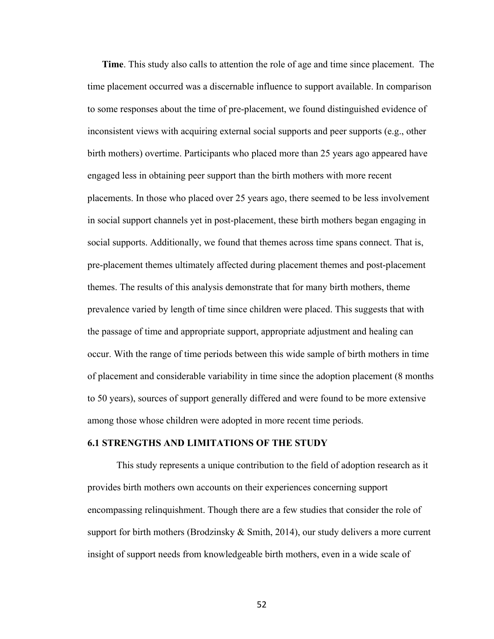**Time**. This study also calls to attention the role of age and time since placement. The time placement occurred was a discernable influence to support available. In comparison to some responses about the time of pre-placement, we found distinguished evidence of inconsistent views with acquiring external social supports and peer supports (e.g., other birth mothers) overtime. Participants who placed more than 25 years ago appeared have engaged less in obtaining peer support than the birth mothers with more recent placements. In those who placed over 25 years ago, there seemed to be less involvement in social support channels yet in post-placement, these birth mothers began engaging in social supports. Additionally, we found that themes across time spans connect. That is, pre-placement themes ultimately affected during placement themes and post-placement themes. The results of this analysis demonstrate that for many birth mothers, theme prevalence varied by length of time since children were placed. This suggests that with the passage of time and appropriate support, appropriate adjustment and healing can occur. With the range of time periods between this wide sample of birth mothers in time of placement and considerable variability in time since the adoption placement (8 months to 50 years), sources of support generally differed and were found to be more extensive among those whose children were adopted in more recent time periods.

#### **6.1 STRENGTHS AND LIMITATIONS OF THE STUDY**

This study represents a unique contribution to the field of adoption research as it provides birth mothers own accounts on their experiences concerning support encompassing relinquishment. Though there are a few studies that consider the role of support for birth mothers (Brodzinsky & Smith, 2014), our study delivers a more current insight of support needs from knowledgeable birth mothers, even in a wide scale of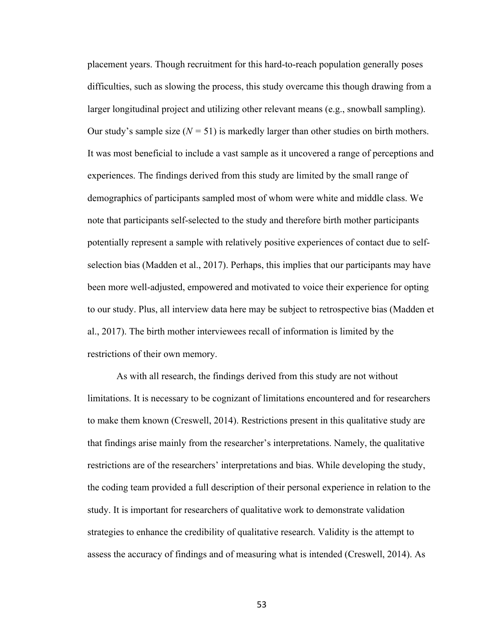placement years. Though recruitment for this hard-to-reach population generally poses difficulties, such as slowing the process, this study overcame this though drawing from a larger longitudinal project and utilizing other relevant means (e.g., snowball sampling). Our study's sample size  $(N = 51)$  is markedly larger than other studies on birth mothers. It was most beneficial to include a vast sample as it uncovered a range of perceptions and experiences. The findings derived from this study are limited by the small range of demographics of participants sampled most of whom were white and middle class. We note that participants self-selected to the study and therefore birth mother participants potentially represent a sample with relatively positive experiences of contact due to selfselection bias (Madden et al., 2017). Perhaps, this implies that our participants may have been more well-adjusted, empowered and motivated to voice their experience for opting to our study. Plus, all interview data here may be subject to retrospective bias (Madden et al., 2017). The birth mother interviewees recall of information is limited by the restrictions of their own memory.

As with all research, the findings derived from this study are not without limitations. It is necessary to be cognizant of limitations encountered and for researchers to make them known (Creswell, 2014). Restrictions present in this qualitative study are that findings arise mainly from the researcher's interpretations. Namely, the qualitative restrictions are of the researchers' interpretations and bias. While developing the study, the coding team provided a full description of their personal experience in relation to the study. It is important for researchers of qualitative work to demonstrate validation strategies to enhance the credibility of qualitative research. Validity is the attempt to assess the accuracy of findings and of measuring what is intended (Creswell, 2014). As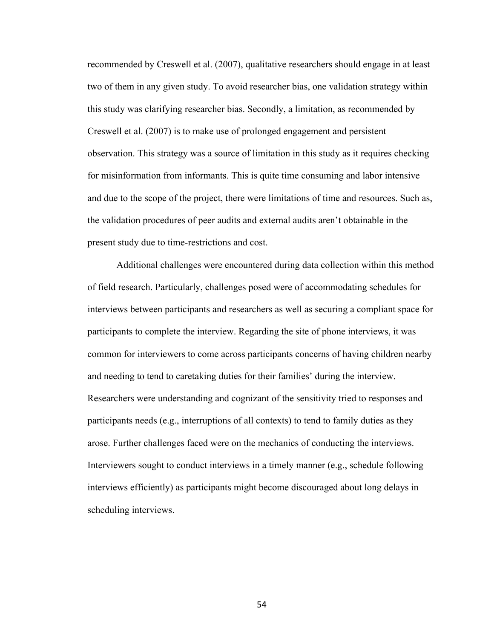recommended by Creswell et al. (2007), qualitative researchers should engage in at least two of them in any given study. To avoid researcher bias, one validation strategy within this study was clarifying researcher bias. Secondly, a limitation, as recommended by Creswell et al. (2007) is to make use of prolonged engagement and persistent observation. This strategy was a source of limitation in this study as it requires checking for misinformation from informants. This is quite time consuming and labor intensive and due to the scope of the project, there were limitations of time and resources. Such as, the validation procedures of peer audits and external audits aren't obtainable in the present study due to time-restrictions and cost.

Additional challenges were encountered during data collection within this method of field research. Particularly, challenges posed were of accommodating schedules for interviews between participants and researchers as well as securing a compliant space for participants to complete the interview. Regarding the site of phone interviews, it was common for interviewers to come across participants concerns of having children nearby and needing to tend to caretaking duties for their families' during the interview. Researchers were understanding and cognizant of the sensitivity tried to responses and participants needs (e.g., interruptions of all contexts) to tend to family duties as they arose. Further challenges faced were on the mechanics of conducting the interviews. Interviewers sought to conduct interviews in a timely manner (e.g., schedule following interviews efficiently) as participants might become discouraged about long delays in scheduling interviews.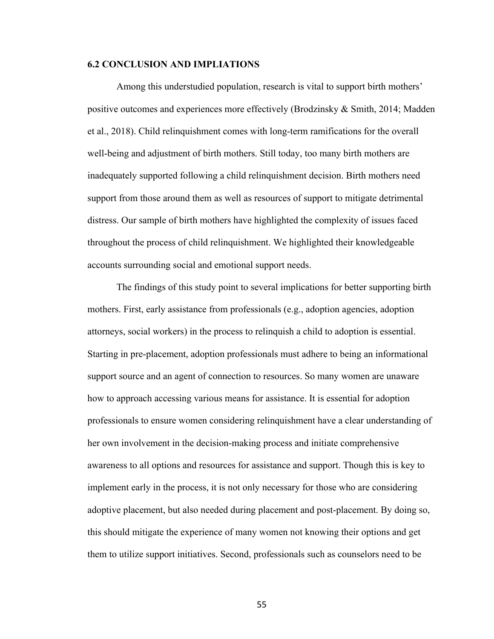#### **6.2 CONCLUSION AND IMPLIATIONS**

Among this understudied population, research is vital to support birth mothers' positive outcomes and experiences more effectively (Brodzinsky & Smith, 2014; Madden et al., 2018). Child relinquishment comes with long-term ramifications for the overall well-being and adjustment of birth mothers. Still today, too many birth mothers are inadequately supported following a child relinquishment decision. Birth mothers need support from those around them as well as resources of support to mitigate detrimental distress. Our sample of birth mothers have highlighted the complexity of issues faced throughout the process of child relinquishment. We highlighted their knowledgeable accounts surrounding social and emotional support needs.

The findings of this study point to several implications for better supporting birth mothers. First, early assistance from professionals (e.g., adoption agencies, adoption attorneys, social workers) in the process to relinquish a child to adoption is essential. Starting in pre-placement, adoption professionals must adhere to being an informational support source and an agent of connection to resources. So many women are unaware how to approach accessing various means for assistance. It is essential for adoption professionals to ensure women considering relinquishment have a clear understanding of her own involvement in the decision-making process and initiate comprehensive awareness to all options and resources for assistance and support. Though this is key to implement early in the process, it is not only necessary for those who are considering adoptive placement, but also needed during placement and post-placement. By doing so, this should mitigate the experience of many women not knowing their options and get them to utilize support initiatives. Second, professionals such as counselors need to be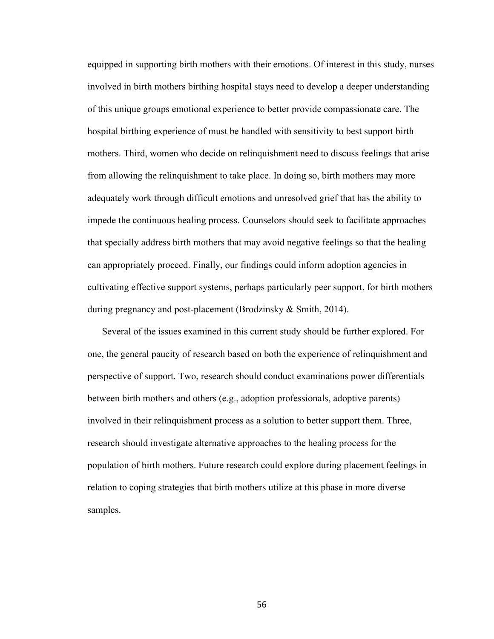equipped in supporting birth mothers with their emotions. Of interest in this study, nurses involved in birth mothers birthing hospital stays need to develop a deeper understanding of this unique groups emotional experience to better provide compassionate care. The hospital birthing experience of must be handled with sensitivity to best support birth mothers. Third, women who decide on relinquishment need to discuss feelings that arise from allowing the relinquishment to take place. In doing so, birth mothers may more adequately work through difficult emotions and unresolved grief that has the ability to impede the continuous healing process. Counselors should seek to facilitate approaches that specially address birth mothers that may avoid negative feelings so that the healing can appropriately proceed. Finally, our findings could inform adoption agencies in cultivating effective support systems, perhaps particularly peer support, for birth mothers during pregnancy and post-placement (Brodzinsky & Smith, 2014).

Several of the issues examined in this current study should be further explored. For one, the general paucity of research based on both the experience of relinquishment and perspective of support. Two, research should conduct examinations power differentials between birth mothers and others (e.g., adoption professionals, adoptive parents) involved in their relinquishment process as a solution to better support them. Three, research should investigate alternative approaches to the healing process for the population of birth mothers. Future research could explore during placement feelings in relation to coping strategies that birth mothers utilize at this phase in more diverse samples.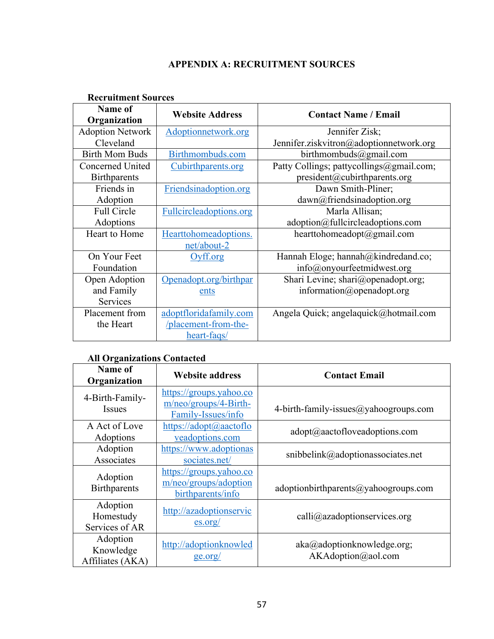# **APPENDIX A: RECRUITMENT SOURCES**

| Recruitment Sources     |                         |                                          |
|-------------------------|-------------------------|------------------------------------------|
| Name of<br>Organization | <b>Website Address</b>  | <b>Contact Name / Email</b>              |
| <b>Adoption Network</b> | Adoptionnetwork.org     | Jennifer Zisk;                           |
| Cleveland               |                         | Jennifer.ziskvitron@adoptionnetwork.org  |
| <b>Birth Mom Buds</b>   | Birthmombuds.com        | birthmombuds@gmail.com                   |
| <b>Concerned United</b> | Cubirthparents.org      | Patty Collings; pattycollings@gmail.com; |
| <b>Birthparents</b>     |                         | president@cubirthparents.org             |
| Friends in              | Friendsinadoption.org   | Dawn Smith-Pliner;                       |
| Adoption                |                         | dawn@friendsinadoption.org               |
| Full Circle             | Fullcircleadoptions.org | Marla Allisan;                           |
| Adoptions               |                         | adoption@fullcircleadoptions.com         |
| Heart to Home           | Hearttohomeadoptions.   | hearttohomeadopt@gmail.com               |
|                         | net/about-2             |                                          |
| On Your Feet            | Oyff.org                | Hannah Eloge; hannah@kindredand.co;      |
| Foundation              |                         | info@onyourfeetmidwest.org               |
| Open Adoption           | Openadopt.org/birthpar  | Shari Levine; shari@openadopt.org;       |
| and Family              | ents                    | information@openadopt.org                |
| Services                |                         |                                          |
| Placement from          | adoptfloridafamily.com  | Angela Quick; angelaquick@hotmail.com    |
| the Heart               | /placement-from-the-    |                                          |
|                         | heart-faqs/             |                                          |

# **Recruitment Sources**

# **All Organizations Contacted**

| Name of<br>Organization                   | <b>Website address</b>                                                   | <b>Contact Email</b>                                |
|-------------------------------------------|--------------------------------------------------------------------------|-----------------------------------------------------|
| 4-Birth-Family-<br><b>Issues</b>          | https://groups.yahoo.co<br>$m/neo/groups/4-Birth-$<br>Family-Issues/info | 4-birth-family-issues@yahoogroups.com               |
| A Act of Love<br>Adoptions                | https://adopt@aactoflo<br>veadoptions.com                                | $\text{adopt}(\widehat{a})$ aactofloveadoptions.com |
| Adoption<br>Associates                    | https://www.adoptionas<br>sociates.net/                                  | snibbelink@adoptionassociates.net                   |
| Adoption<br><b>Birthparents</b>           | https://groups.yahoo.co<br>m/neo/groups/adoption<br>birthparents/info    | adoptionbirthparents@yahoogroups.com                |
| Adoption<br>Homestudy<br>Services of AR   | http://azadoptionservic<br>$\frac{\text{es.org}}{\text{es.org}}$         | $calli@azadoptions$ ervices.org                     |
| Adoption<br>Knowledge<br>Affiliates (AKA) | http://adoptionknowled<br>ge.org/                                        | aka@adoptionknowledge.org;<br>AKAdoption@aol.com    |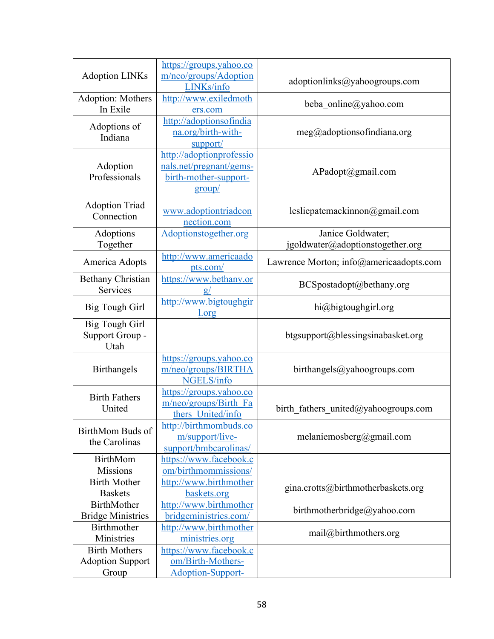| <b>Adoption LINKs</b>                                    | https://groups.yahoo.co<br>m/neo/groups/Adoption<br>LINKs/info                         | adoptionlinks@yahoogroups.com                         |
|----------------------------------------------------------|----------------------------------------------------------------------------------------|-------------------------------------------------------|
| Adoption: Mothers<br>In Exile                            | http://www.exiledmoth<br>ers.com                                                       | beba online@yahoo.com                                 |
| Adoptions of<br>Indiana                                  | http://adoptionsofindia<br>na.org/birth-with-<br>support/                              | meg@adoptions of Indiana.org                          |
| Adoption<br>Professionals                                | http://adoptionprofessio<br>nals.net/pregnant/gems-<br>birth-mother-support-<br>group/ | APadopt@gmail.com                                     |
| <b>Adoption Triad</b><br>Connection                      | www.adoptiontriadcon<br>nection.com                                                    | lesliepatemackinnon@gmail.com                         |
| Adoptions<br>Together                                    | Adoptionstogether.org                                                                  | Janice Goldwater;<br>jgoldwater@adoptionstogether.org |
| America Adopts                                           | http://www.americaado<br>pts.com/                                                      | Lawrence Morton; info@americaadopts.com               |
| <b>Bethany Christian</b><br>Services                     | https://www.bethany.or                                                                 | BCSpostadopt@bethany.org                              |
| <b>Big Tough Girl</b>                                    | http://www.bigtoughgir<br>1.org                                                        | hi@bigtoughgirl.org                                   |
| <b>Big Tough Girl</b><br>Support Group -<br>Utah         |                                                                                        | btgsupport@blessingsinabasket.org                     |
| <b>Birthangels</b>                                       | https://groups.yahoo.co<br>m/neo/groups/BIRTHA<br>NGELS/info                           | birthangles@yshoogroups.com                           |
| <b>Birth Fathers</b><br>United                           | https://groups.yahoo.co<br>m/neo/groups/Birth Fa<br>thers United/info                  | birth fathers united@yahoogroups.com                  |
| BirthMom Buds of<br>the Carolinas                        | http://birthmombuds.co<br>m/support/live-<br>support/bmbcarolinas/                     | melaniemosberg@gmail.com                              |
| <b>BirthMom</b><br><b>Missions</b>                       | https://www.facebook.c<br>om/birthmommissions/                                         |                                                       |
| <b>Birth Mother</b><br><b>Baskets</b>                    | http://www.birthmother<br>baskets.org                                                  | gina.crotts@birthmotherbaskets.org                    |
| BirthMother<br><b>Bridge Ministries</b>                  | http://www.birthmother<br>bridgeministries.com/                                        | birthmotherbridge@yahoo.com                           |
| Birthmother<br>Ministries                                | http://www.birthmother<br>ministries.org                                               | mail@birthmothers.org                                 |
| <b>Birth Mothers</b><br><b>Adoption Support</b><br>Group | https://www.facebook.c<br>om/Birth-Mothers-<br><b>Adoption-Support-</b>                |                                                       |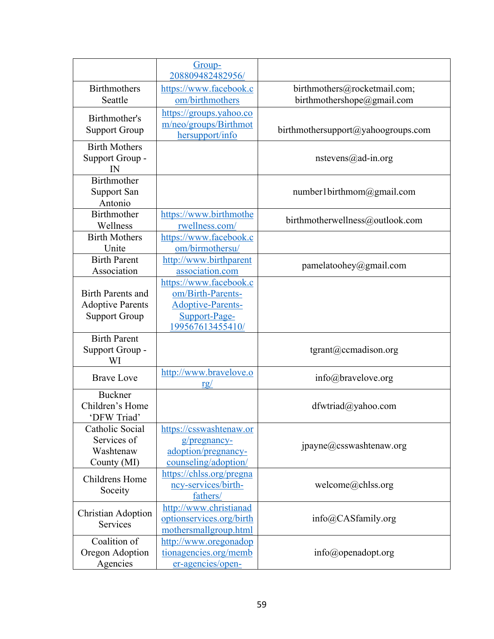|                           | Group-                                          |                                    |
|---------------------------|-------------------------------------------------|------------------------------------|
|                           | 208809482482956/                                |                                    |
| <b>Birthmothers</b>       | https://www.facebook.c                          | birthmothers@rocketmail.com;       |
| Seattle                   | om/birthmothers                                 | birthmothershope@gmail.com         |
| Birthmother's             | https://groups.yahoo.co                         |                                    |
| <b>Support Group</b>      | m/neo/groups/Birthmot                           | birthmothersupport@yahoogroups.com |
|                           | hersupport/info                                 |                                    |
| <b>Birth Mothers</b>      |                                                 |                                    |
| Support Group -<br>IN     |                                                 | $n$ stevens@ad-in.org              |
| Birthmother               |                                                 |                                    |
| <b>Support San</b>        |                                                 | number1birthmom@gmail.com          |
| Antonio                   |                                                 |                                    |
| Birthmother               | https://www.birthmothe                          |                                    |
| Wellness                  | rwellness.com/                                  | birthmotherwellness@outlook.com    |
| <b>Birth Mothers</b>      | https://www.facebook.c                          |                                    |
| Unite                     | om/birmothersu/                                 |                                    |
| <b>Birth Parent</b>       | http://www.birthparent                          | pamelatoohey@gmail.com             |
| Association               | association.com                                 |                                    |
|                           | https://www.facebook.c                          |                                    |
| <b>Birth Parents and</b>  | om/Birth-Parents-                               |                                    |
| <b>Adoptive Parents</b>   | <b>Adoptive-Parents-</b>                        |                                    |
| <b>Support Group</b>      | Support-Page-                                   |                                    |
|                           | 199567613455410/                                |                                    |
| <b>Birth Parent</b>       |                                                 |                                    |
| Support Group -<br>WI     |                                                 | $t$ grant@ccmadison.org            |
|                           | http://www.bravelove.o                          |                                    |
| <b>Brave Love</b>         | <u>rg/</u>                                      | $info@$ bravelove.org              |
| <b>Buckner</b>            |                                                 |                                    |
| Children's Home           |                                                 | dfwtriad@yahoo.com                 |
| 'DFW Triad'               |                                                 |                                    |
| Catholic Social           | https://csswashtenaw.or                         |                                    |
| Services of               | $g$ /pregnancy-                                 | jpayne@csswashtenaw.org            |
| Washtenaw                 | adoption/pregnancy-                             |                                    |
| County (MI)               | counseling/adoption/                            |                                    |
| Childrens Home            | https://chlss.org/pregna<br>ncy-services/birth- | welcome@chlss.org                  |
| Soceity                   | fathers/                                        |                                    |
|                           | http://www.christianad                          |                                    |
| <b>Christian Adoption</b> | optionservices.org/birth                        | info@CASfamily.org                 |
| Services                  | mothersmallgroup.html                           |                                    |
| Coalition of              | http://www.oregonadop                           |                                    |
| Oregon Adoption           | tionagencies.org/memb                           | $info(\omega)$ openadopt.org       |
| Agencies                  | er-agencies/open-                               |                                    |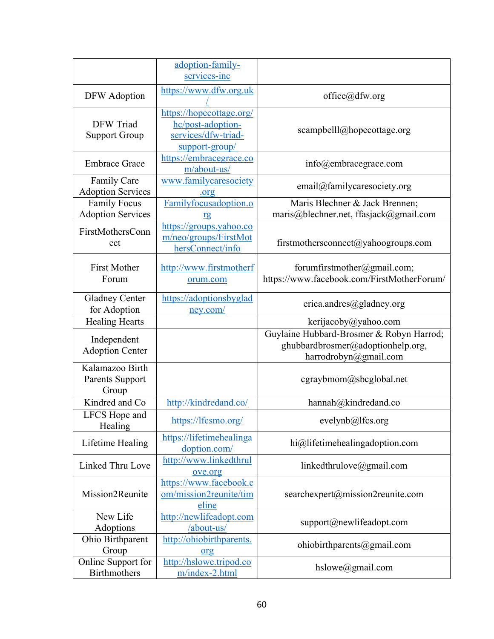|                                                 | adoption-family-<br>services-inc                                                       |                                                                                                        |
|-------------------------------------------------|----------------------------------------------------------------------------------------|--------------------------------------------------------------------------------------------------------|
| DFW Adoption                                    | https://www.dfw.org.uk                                                                 | $office(\omega)$ dfw.org                                                                               |
| DFW Triad<br><b>Support Group</b>               | https://hopecottage.org/<br>hc/post-adoption-<br>services/dfw-triad-<br>support-group/ | scampbelll@hopecottage.org                                                                             |
| <b>Embrace Grace</b>                            | https://embracegrace.co<br>m/about-us/                                                 | info@embracegrace.com                                                                                  |
| <b>Family Care</b><br><b>Adoption Services</b>  | www.familycaresociety<br>.org                                                          | email@familycaresociety.org                                                                            |
| <b>Family Focus</b><br><b>Adoption Services</b> | Familyfocusadoption.o<br>rg                                                            | Maris Blechner & Jack Brennen;<br>maris@blechner.net, ffasjack@gmail.com                               |
| FirstMothersConn<br>ect                         | https://groups.yahoo.co<br>m/neo/groups/FirstMot<br>hersConnect/info                   | firstmothersconnect@yahoogroups.com                                                                    |
| <b>First Mother</b><br>Forum                    | http://www.firstmotherf<br>orum.com                                                    | forumfirstmother@gmail.com;<br>https://www.facebook.com/FirstMotherForum/                              |
| <b>Gladney Center</b><br>for Adoption           | https://adoptionsbyglad<br>ney.com/                                                    | erica.andres@gladney.org                                                                               |
| <b>Healing Hearts</b>                           |                                                                                        | kerijacoby@yahoo.com                                                                                   |
| Independent<br><b>Adoption Center</b>           |                                                                                        | Guylaine Hubbard-Brosmer & Robyn Harrod;<br>ghubbardbrosmer@adoptionhelp.org,<br>harrodrobyn@gmail.com |
| Kalamazoo Birth<br>Parents Support<br>Group     |                                                                                        | cgraybmom@sbcglobal.net                                                                                |
| Kindred and Co                                  | http://kindredand.co/                                                                  | hannah@kindredand.co                                                                                   |
| LFCS Hope and<br>Healing                        | https://lfcsmo.org/                                                                    | evelynb@lfcs.org                                                                                       |
| Lifetime Healing                                | https://lifetimehealinga<br>doption.com/                                               | hi@lifetimehealingadoption.com                                                                         |
| Linked Thru Love                                | http://www.linkedthrul<br>ove.org                                                      | linkedthrulove@gmail.com                                                                               |
| Mission2Reunite                                 | https://www.facebook.c<br>om/mission2reunite/tim<br>eline                              | searchexpert@mission2reunite.com                                                                       |
| New Life<br>Adoptions                           | http://newlifeadopt.com<br>/about-us/                                                  | support@newlifeadopt.com                                                                               |
| Ohio Birthparent<br>Group                       | http://ohiobirthparents.<br>org                                                        | ohiobirthparents@gmail.com                                                                             |
| Online Support for<br><b>Birthmothers</b>       | http://hslowe.tripod.co<br>m/index-2.html                                              | hslowe@gmail.com                                                                                       |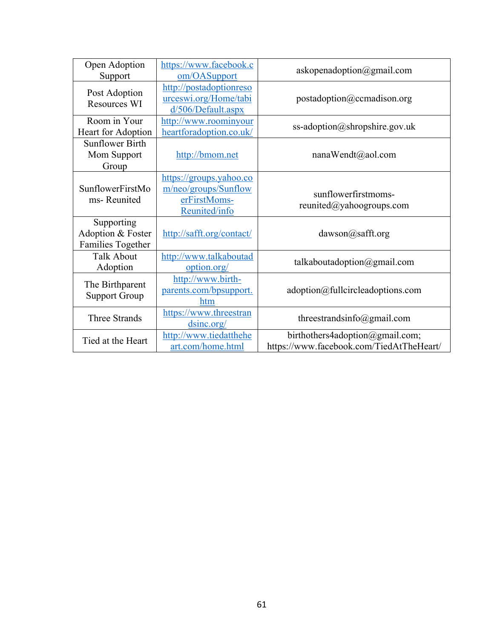| Open Adoption<br>Support                                    | https://www.facebook.c<br>om/OASupport                                           | askopenadoption@gmail.com                                                   |
|-------------------------------------------------------------|----------------------------------------------------------------------------------|-----------------------------------------------------------------------------|
| Post Adoption<br><b>Resources WI</b>                        | http://postadoptionreso<br>urceswi.org/Home/tabi<br>d/506/Default.aspx           | postadoption@ccmadison.org                                                  |
| Room in Your<br>Heart for Adoption                          | http://www.roominyour<br>heartforadoption.co.uk/                                 | ss-adoption@shropshire.gov.uk                                               |
| <b>Sunflower Birth</b><br>Mom Support<br>Group              | http://bmom.net                                                                  | nanaWendt@aol.com                                                           |
| SunflowerFirstMo<br>ms-Reunited                             | https://groups.yahoo.co<br>m/neo/groups/Sunflow<br>erFirstMoms-<br>Reunited/info | sunflowerfirstmoms-<br>reunited@yahoogroups.com                             |
| Supporting<br>Adoption & Foster<br><b>Families Together</b> | http://safft.org/contact/                                                        | $dawson(a)$ safft.org                                                       |
| <b>Talk About</b><br>Adoption                               | http://www.talkaboutad<br>option.org/                                            | talkaboutadoption@gmail.com                                                 |
| The Birthparent<br><b>Support Group</b>                     | http://www.birth-<br>parents.com/bpsupport.<br>htm                               | adoption@fullcircleadoptions.com                                            |
| <b>Three Strands</b>                                        | https://www.threestran<br>dsinc.org/                                             | threestrandsinfo@gmail.com                                                  |
| Tied at the Heart                                           | http://www.tiedatthehe<br>art.com/home.html                                      | birthothers4adoption@gmail.com;<br>https://www.facebook.com/TiedAtTheHeart/ |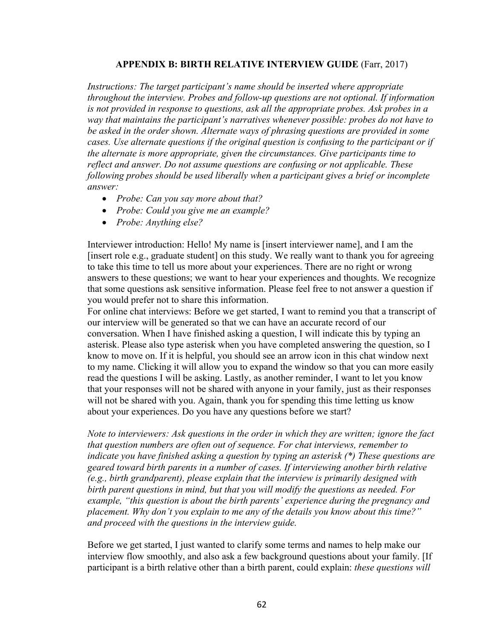# **APPENDIX B: BIRTH RELATIVE INTERVIEW GUIDE** (Farr, 2017)

*Instructions: The target participant's name should be inserted where appropriate throughout the interview. Probes and follow-up questions are not optional. If information is not provided in response to questions, ask all the appropriate probes. Ask probes in a way that maintains the participant's narratives whenever possible: probes do not have to be asked in the order shown. Alternate ways of phrasing questions are provided in some cases. Use alternate questions if the original question is confusing to the participant or if the alternate is more appropriate, given the circumstances. Give participants time to reflect and answer. Do not assume questions are confusing or not applicable. These following probes should be used liberally when a participant gives a brief or incomplete answer:* 

- *Probe: Can you say more about that?*
- *Probe: Could you give me an example?*
- *Probe: Anything else?*

Interviewer introduction: Hello! My name is [insert interviewer name], and I am the [insert role e.g., graduate student] on this study. We really want to thank you for agreeing to take this time to tell us more about your experiences. There are no right or wrong answers to these questions; we want to hear your experiences and thoughts. We recognize that some questions ask sensitive information. Please feel free to not answer a question if you would prefer not to share this information.

For online chat interviews: Before we get started, I want to remind you that a transcript of our interview will be generated so that we can have an accurate record of our conversation. When I have finished asking a question, I will indicate this by typing an asterisk. Please also type asterisk when you have completed answering the question, so I know to move on. If it is helpful, you should see an arrow icon in this chat window next to my name. Clicking it will allow you to expand the window so that you can more easily read the questions I will be asking. Lastly, as another reminder, I want to let you know that your responses will not be shared with anyone in your family, just as their responses will not be shared with you. Again, thank you for spending this time letting us know about your experiences. Do you have any questions before we start?

*Note to interviewers: Ask questions in the order in which they are written; ignore the fact that question numbers are often out of sequence. For chat interviews, remember to indicate you have finished asking a question by typing an asterisk (\*) These questions are geared toward birth parents in a number of cases. If interviewing another birth relative (e.g., birth grandparent), please explain that the interview is primarily designed with birth parent questions in mind, but that you will modify the questions as needed. For example, "this question is about the birth parents' experience during the pregnancy and placement. Why don't you explain to me any of the details you know about this time?" and proceed with the questions in the interview guide.*

Before we get started, I just wanted to clarify some terms and names to help make our interview flow smoothly, and also ask a few background questions about your family. [If participant is a birth relative other than a birth parent, could explain: *these questions will*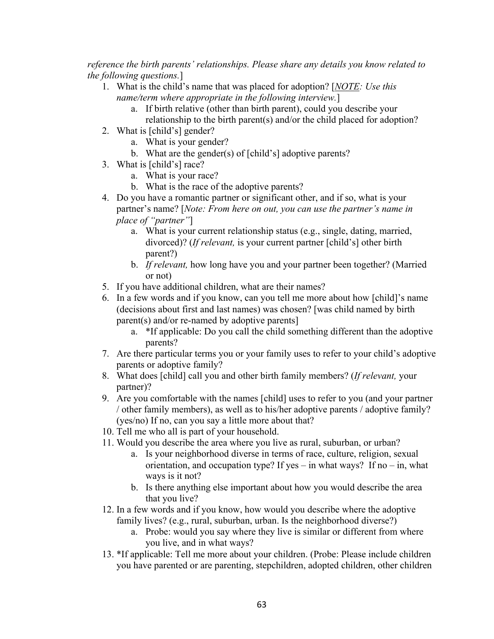*reference the birth parents' relationships. Please share any details you know related to the following questions.*]

- 1. What is the child's name that was placed for adoption? [*NOTE: Use this name/term where appropriate in the following interview.*]
	- a. If birth relative (other than birth parent), could you describe your relationship to the birth parent(s) and/or the child placed for adoption?
- 2. What is [child's] gender?
	- a. What is your gender?
	- b. What are the gender(s) of [child's] adoptive parents?
- 3. What is [child's] race?
	- a. What is your race?
	- b. What is the race of the adoptive parents?
- 4. Do you have a romantic partner or significant other, and if so, what is your partner's name? [*Note: From here on out, you can use the partner's name in place of "partner"*]
	- a. What is your current relationship status (e.g., single, dating, married, divorced)? (*If relevant,* is your current partner [child's] other birth parent?)
	- b. *If relevant,* how long have you and your partner been together? (Married or not)
- 5. If you have additional children, what are their names?
- 6. In a few words and if you know, can you tell me more about how [child]'s name (decisions about first and last names) was chosen? [was child named by birth parent(s) and/or re-named by adoptive parents]
	- a. \*If applicable: Do you call the child something different than the adoptive parents?
- 7. Are there particular terms you or your family uses to refer to your child's adoptive parents or adoptive family?
- 8. What does [child] call you and other birth family members? (*If relevant,* your partner)?
- 9. Are you comfortable with the names [child] uses to refer to you (and your partner / other family members), as well as to his/her adoptive parents / adoptive family? (yes/no) If no, can you say a little more about that?
- 10. Tell me who all is part of your household.
- 11. Would you describe the area where you live as rural, suburban, or urban?
	- a. Is your neighborhood diverse in terms of race, culture, religion, sexual orientation, and occupation type? If yes – in what ways? If no – in, what ways is it not?
	- b. Is there anything else important about how you would describe the area that you live?
- 12. In a few words and if you know, how would you describe where the adoptive family lives? (e.g., rural, suburban, urban. Is the neighborhood diverse?)
	- a. Probe: would you say where they live is similar or different from where you live, and in what ways?
- 13. \*If applicable: Tell me more about your children. (Probe: Please include children you have parented or are parenting, stepchildren, adopted children, other children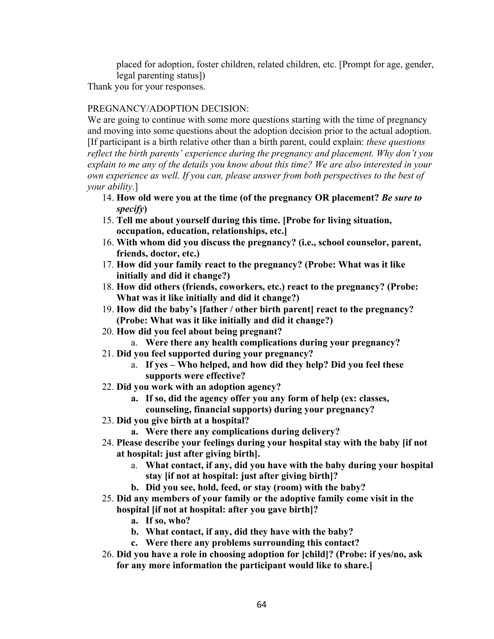placed for adoption, foster children, related children, etc. [Prompt for age, gender, legal parenting status])

Thank you for your responses.

# PREGNANCY/ADOPTION DECISION:

We are going to continue with some more questions starting with the time of pregnancy and moving into some questions about the adoption decision prior to the actual adoption. [If participant is a birth relative other than a birth parent, could explain: *these questions reflect the birth parents' experience during the pregnancy and placement. Why don't you explain to me any of the details you know about this time? We are also interested in your own experience as well. If you can, please answer from both perspectives to the best of your ability.*]

- 14. **How old were you at the time (of the pregnancy OR placement?** *Be sure to specify***)**
- 15. **Tell me about yourself during this time. [Probe for living situation, occupation, education, relationships, etc.]**
- 16. **With whom did you discuss the pregnancy? (i.e., school counselor, parent, friends, doctor, etc.)**
- 17. **How did your family react to the pregnancy? (Probe: What was it like initially and did it change?)**
- 18. **How did others (friends, coworkers, etc.) react to the pregnancy? (Probe: What was it like initially and did it change?)**
- 19. **How did the baby's [father / other birth parent] react to the pregnancy? (Probe: What was it like initially and did it change?)**
- 20. **How did you feel about being pregnant?**
	- a. **Were there any health complications during your pregnancy?**
- 21. **Did you feel supported during your pregnancy?**
	- a. **If yes – Who helped, and how did they help? Did you feel these supports were effective?**
- 22. **Did you work with an adoption agency?** 
	- **a. If so, did the agency offer you any form of help (ex: classes, counseling, financial supports) during your pregnancy?**
- 23. **Did you give birth at a hospital?**
	- **a. Were there any complications during delivery?**
- 24. **Please describe your feelings during your hospital stay with the baby [if not at hospital: just after giving birth].** 
	- a. **What contact, if any, did you have with the baby during your hospital stay [if not at hospital: just after giving birth]?**
	- **b. Did you see, hold, feed, or stay (room) with the baby?**
- 25. **Did any members of your family or the adoptive family come visit in the hospital [if not at hospital: after you gave birth]?** 
	- **a. If so, who?**
	- **b. What contact, if any, did they have with the baby?**
	- **c. Were there any problems surrounding this contact?**
- 26. **Did you have a role in choosing adoption for [child]? (Probe: if yes/no, ask for any more information the participant would like to share.]**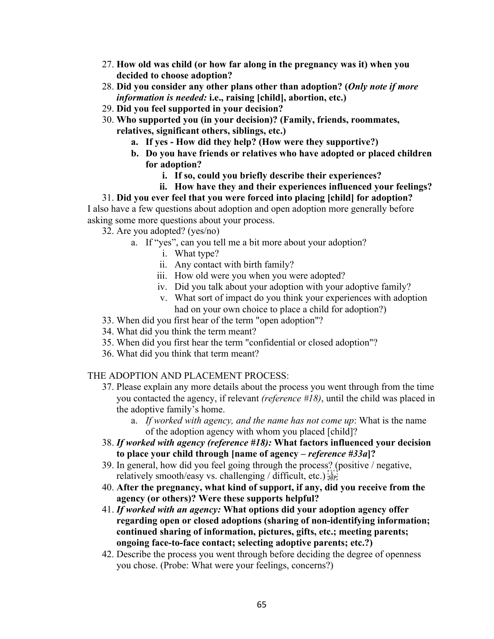- 27. **How old was child (or how far along in the pregnancy was it) when you decided to choose adoption?**
- 28. **Did you consider any other plans other than adoption? (***Only note if more information is needed:* **i.e., raising [child], abortion, etc.)**
- 29. **Did you feel supported in your decision?**
- 30. **Who supported you (in your decision)? (Family, friends, roommates, relatives, significant others, siblings, etc.)**
	- **a. If yes - How did they help? (How were they supportive?)**
	- **b. Do you have friends or relatives who have adopted or placed children for adoption?** 
		- **i. If so, could you briefly describe their experiences?**
		- **ii. How have they and their experiences influenced your feelings?**

31. **Did you ever feel that you were forced into placing [child] for adoption?** I also have a few questions about adoption and open adoption more generally before asking some more questions about your process.

32. Are you adopted? (yes/no)

- a. If "yes", can you tell me a bit more about your adoption?
	- i. What type?
	- ii. Any contact with birth family?
	- iii. How old were you when you were adopted?
	- iv. Did you talk about your adoption with your adoptive family?
	- v. What sort of impact do you think your experiences with adoption had on your own choice to place a child for adoption?)
- 33. When did you first hear of the term "open adoption"?
- 34. What did you think the term meant?
- 35. When did you first hear the term "confidential or closed adoption"?
- 36. What did you think that term meant?

#### THE ADOPTION AND PLACEMENT PROCESS:

- 37. Please explain any more details about the process you went through from the time you contacted the agency, if relevant *(reference #18)*, until the child was placed in the adoptive family's home.
	- a. *If worked with agency, and the name has not come up*: What is the name of the adoption agency with whom you placed [child]?
- 38. *If worked with agency (reference #18):* **What factors influenced your decision to place your child through [name of agency –** *reference #33a***]?**
- 39. In general, how did you feel going through the process? (positive / negative, relatively smooth/easy vs. challenging / difficult, etc.)  $\frac{1}{15}$
- 40. **After the pregnancy, what kind of support, if any, did you receive from the agency (or others)? Were these supports helpful?**
- 41. *If worked with an agency:* **What options did your adoption agency offer regarding open or closed adoptions (sharing of non-identifying information; continued sharing of information, pictures, gifts, etc.; meeting parents; ongoing face-to-face contact; selecting adoptive parents; etc.?)**
- 42. Describe the process you went through before deciding the degree of openness you chose. (Probe: What were your feelings, concerns?)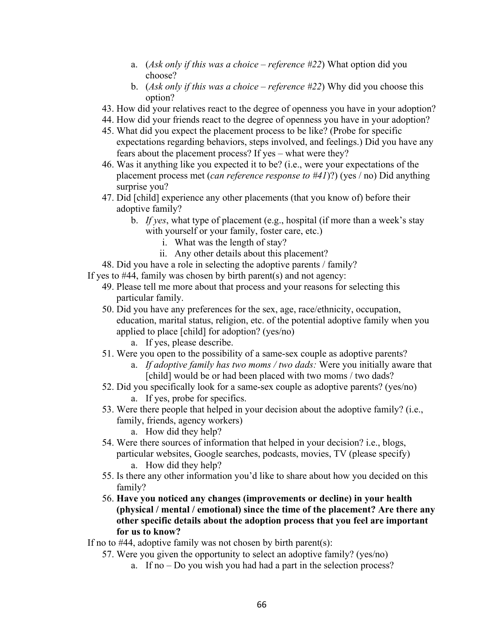- a. (*Ask only if this was a choice – reference #22*) What option did you choose?
- b. (*Ask only if this was a choice – reference #22*) Why did you choose this option?
- 43. How did your relatives react to the degree of openness you have in your adoption?
- 44. How did your friends react to the degree of openness you have in your adoption?
- 45. What did you expect the placement process to be like? (Probe for specific expectations regarding behaviors, steps involved, and feelings.) Did you have any fears about the placement process? If yes – what were they?
- 46. Was it anything like you expected it to be? (i.e., were your expectations of the placement process met (*can reference response to #41*)?) (yes / no) Did anything surprise you?
- 47. Did [child] experience any other placements (that you know of) before their adoptive family?
	- b. *If yes*, what type of placement (e.g., hospital (if more than a week's stay with yourself or your family, foster care, etc.)
		- i. What was the length of stay?
		- ii. Any other details about this placement?
- 48. Did you have a role in selecting the adoptive parents / family?
- If yes to #44, family was chosen by birth parent(s) and not agency:
	- 49. Please tell me more about that process and your reasons for selecting this particular family.
	- 50. Did you have any preferences for the sex, age, race/ethnicity, occupation, education, marital status, religion, etc. of the potential adoptive family when you applied to place [child] for adoption? (yes/no)
		- a. If yes, please describe.
	- 51. Were you open to the possibility of a same-sex couple as adoptive parents?
		- a. *If adoptive family has two moms / two dads:* Were you initially aware that [child] would be or had been placed with two moms / two dads?
	- 52. Did you specifically look for a same-sex couple as adoptive parents? (yes/no) a. If yes, probe for specifics.
	- 53. Were there people that helped in your decision about the adoptive family? (i.e., family, friends, agency workers)
		- a. How did they help?
	- 54. Were there sources of information that helped in your decision? i.e., blogs, particular websites, Google searches, podcasts, movies, TV (please specify) a. How did they help?
	- 55. Is there any other information you'd like to share about how you decided on this family?
	- 56. **Have you noticed any changes (improvements or decline) in your health (physical / mental / emotional) since the time of the placement? Are there any other specific details about the adoption process that you feel are important for us to know?**
- If no to  $#44$ , adoptive family was not chosen by birth parent(s):
	- 57. Were you given the opportunity to select an adoptive family? (yes/no)
		- a. If no Do you wish you had had a part in the selection process?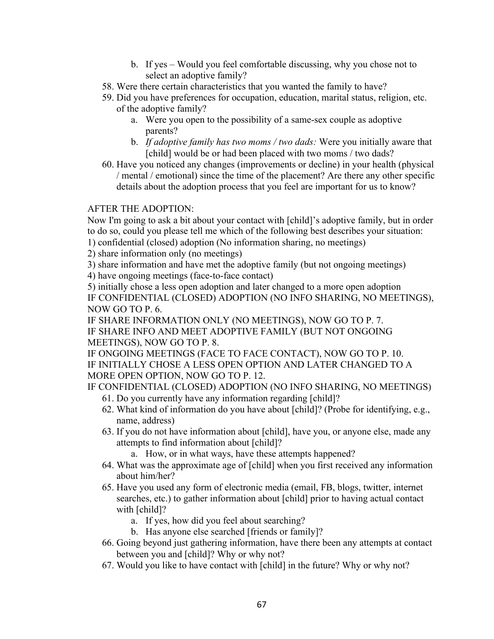- b. If yes Would you feel comfortable discussing, why you chose not to select an adoptive family?
- 58. Were there certain characteristics that you wanted the family to have?
- 59. Did you have preferences for occupation, education, marital status, religion, etc. of the adoptive family?
	- a. Were you open to the possibility of a same-sex couple as adoptive parents?
	- b. *If adoptive family has two moms / two dads:* Were you initially aware that [child] would be or had been placed with two moms / two dads?
- 60. Have you noticed any changes (improvements or decline) in your health (physical / mental / emotional) since the time of the placement? Are there any other specific details about the adoption process that you feel are important for us to know?

# AFTER THE ADOPTION:

Now I'm going to ask a bit about your contact with [child]'s adoptive family, but in order to do so, could you please tell me which of the following best describes your situation:

- 1) confidential (closed) adoption (No information sharing, no meetings)
- 2) share information only (no meetings)
- 3) share information and have met the adoptive family (but not ongoing meetings)
- 4) have ongoing meetings (face-to-face contact)

5) initially chose a less open adoption and later changed to a more open adoption IF CONFIDENTIAL (CLOSED) ADOPTION (NO INFO SHARING, NO MEETINGS), NOW GO TO P. 6.

IF SHARE INFORMATION ONLY (NO MEETINGS), NOW GO TO P. 7. IF SHARE INFO AND MEET ADOPTIVE FAMILY (BUT NOT ONGOING MEETINGS), NOW GO TO P. 8.

IF ONGOING MEETINGS (FACE TO FACE CONTACT), NOW GO TO P. 10. IF INITIALLY CHOSE A LESS OPEN OPTION AND LATER CHANGED TO A MORE OPEN OPTION, NOW GO TO P. 12.

IF CONFIDENTIAL (CLOSED) ADOPTION (NO INFO SHARING, NO MEETINGS)

- 61. Do you currently have any information regarding [child]?
- 62. What kind of information do you have about [child]? (Probe for identifying, e.g., name, address)
- 63. If you do not have information about [child], have you, or anyone else, made any attempts to find information about [child]?
	- a. How, or in what ways, have these attempts happened?
- 64. What was the approximate age of [child] when you first received any information about him/her?
- 65. Have you used any form of electronic media (email, FB, blogs, twitter, internet searches, etc.) to gather information about [child] prior to having actual contact with [child]?
	- a. If yes, how did you feel about searching?
	- b. Has anyone else searched [friends or family]?
- 66. Going beyond just gathering information, have there been any attempts at contact between you and [child]? Why or why not?
- 67. Would you like to have contact with [child] in the future? Why or why not?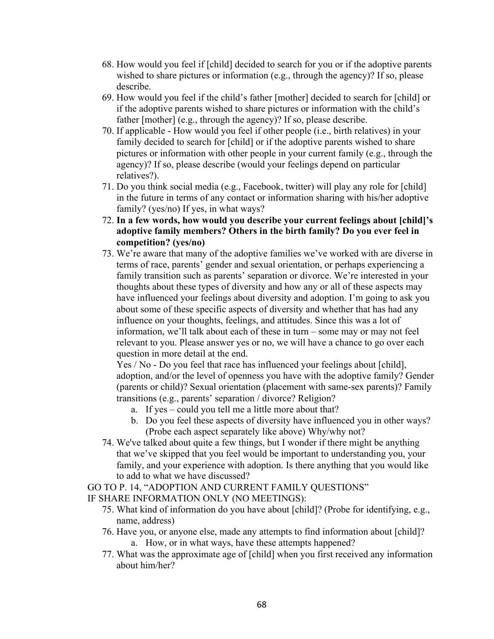- 68. How would you feel if [child] decided to search for you or if the adoptive parents wished to share pictures or information (e.g., through the agency)? If so, please describe.
- 69. How would you feel if the child's father [mother] decided to search for [child] or if the adoptive parents wished to share pictures or information with the child's father [mother] (e.g., through the agency)? If so, please describe.
- 70. If applicable How would you feel if other people (i.e., birth relatives) in your family decided to search for [child] or if the adoptive parents wished to share pictures or information with other people in your current family (e.g., through the agency)? If so, please describe (would your feelings depend on particular relatives?).
- 71. Do you think social media (e.g., Facebook, twitter) will play any role for [child] in the future in terms of any contact or information sharing with his/her adoptive family? (yes/no) If yes, in what ways?
- 72. **In a few words, how would you describe your current feelings about [child]'s adoptive family members? Others in the birth family? Do you ever feel in competition? (yes/no)**
- 73. We're aware that many of the adoptive families we've worked with are diverse in terms of race, parents' gender and sexual orientation, or perhaps experiencing a family transition such as parents' separation or divorce. We're interested in your thoughts about these types of diversity and how any or all of these aspects may have influenced your feelings about diversity and adoption. I'm going to ask you about some of these specific aspects of diversity and whether that has had any influence on your thoughts, feelings, and attitudes. Since this was a lot of information, we'll talk about each of these in turn – some may or may not feel relevant to you. Please answer yes or no, we will have a chance to go over each question in more detail at the end.

Yes / No - Do you feel that race has influenced your feelings about [child], adoption, and/or the level of openness you have with the adoptive family? Gender (parents or child)? Sexual orientation (placement with same-sex parents)? Family transitions (e.g., parents' separation / divorce? Religion?

- a. If yes could you tell me a little more about that?
- b. Do you feel these aspects of diversity have influenced you in other ways? (Probe each aspect separately like above) Why/why not?
- 74. We've talked about quite a few things, but I wonder if there might be anything that we've skipped that you feel would be important to understanding you, your family, and your experience with adoption. Is there anything that you would like to add to what we have discussed?

GO TO P. 14, "ADOPTION AND CURRENT FAMILY QUESTIONS" IF SHARE INFORMATION ONLY (NO MEETINGS):

- 75. What kind of information do you have about [child]? (Probe for identifying, e.g., name, address)
- 76. Have you, or anyone else, made any attempts to find information about [child]? a. How, or in what ways, have these attempts happened?
- 77. What was the approximate age of [child] when you first received any information about him/her?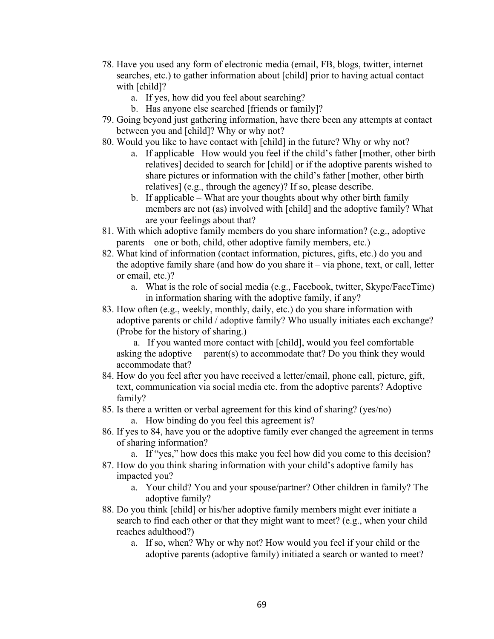- 78. Have you used any form of electronic media (email, FB, blogs, twitter, internet searches, etc.) to gather information about [child] prior to having actual contact with [child]?
	- a. If yes, how did you feel about searching?
	- b. Has anyone else searched [friends or family]?
- 79. Going beyond just gathering information, have there been any attempts at contact between you and [child]? Why or why not?
- 80. Would you like to have contact with [child] in the future? Why or why not?
	- a. If applicable– How would you feel if the child's father [mother, other birth relatives] decided to search for [child] or if the adoptive parents wished to share pictures or information with the child's father [mother, other birth relatives] (e.g., through the agency)? If so, please describe.
	- b. If applicable What are your thoughts about why other birth family members are not (as) involved with [child] and the adoptive family? What are your feelings about that?
- 81. With which adoptive family members do you share information? (e.g., adoptive parents – one or both, child, other adoptive family members, etc.)
- 82. What kind of information (contact information, pictures, gifts, etc.) do you and the adoptive family share (and how do you share it – via phone, text, or call, letter or email, etc.)?
	- a. What is the role of social media (e.g., Facebook, twitter, Skype/FaceTime) in information sharing with the adoptive family, if any?
- 83. How often (e.g., weekly, monthly, daily, etc.) do you share information with adoptive parents or child / adoptive family? Who usually initiates each exchange? (Probe for the history of sharing.)

 a. If you wanted more contact with [child], would you feel comfortable asking the adoptive parent(s) to accommodate that? Do you think they would accommodate that?

- 84. How do you feel after you have received a letter/email, phone call, picture, gift, text, communication via social media etc. from the adoptive parents? Adoptive family?
- 85. Is there a written or verbal agreement for this kind of sharing? (yes/no)
	- a. How binding do you feel this agreement is?
- 86. If yes to 84, have you or the adoptive family ever changed the agreement in terms of sharing information?
	- a. If "yes," how does this make you feel how did you come to this decision?
- 87. How do you think sharing information with your child's adoptive family has impacted you?
	- a. Your child? You and your spouse/partner? Other children in family? The adoptive family?
- 88. Do you think [child] or his/her adoptive family members might ever initiate a search to find each other or that they might want to meet? (e.g., when your child reaches adulthood?)
	- a. If so, when? Why or why not? How would you feel if your child or the adoptive parents (adoptive family) initiated a search or wanted to meet?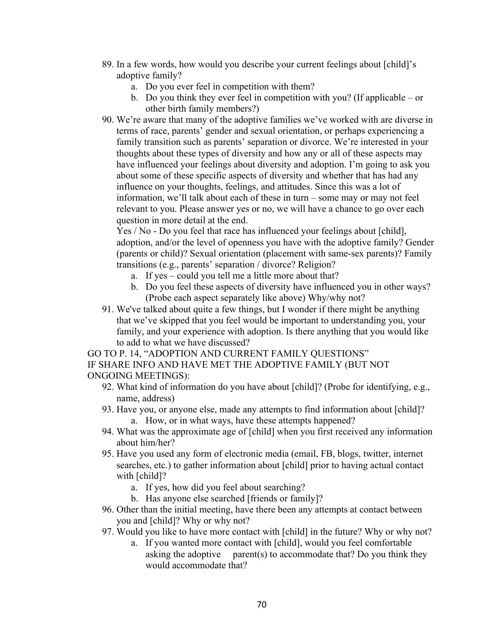- 89. In a few words, how would you describe your current feelings about [child]'s adoptive family?
	- a. Do you ever feel in competition with them?
	- b. Do you think they ever feel in competition with you? (If applicable or other birth family members?)
- 90. We're aware that many of the adoptive families we've worked with are diverse in terms of race, parents' gender and sexual orientation, or perhaps experiencing a family transition such as parents' separation or divorce. We're interested in your thoughts about these types of diversity and how any or all of these aspects may have influenced your feelings about diversity and adoption. I'm going to ask you about some of these specific aspects of diversity and whether that has had any influence on your thoughts, feelings, and attitudes. Since this was a lot of information, we'll talk about each of these in turn – some may or may not feel relevant to you. Please answer yes or no, we will have a chance to go over each question in more detail at the end.

Yes / No - Do you feel that race has influenced your feelings about [child], adoption, and/or the level of openness you have with the adoptive family? Gender (parents or child)? Sexual orientation (placement with same-sex parents)? Family transitions (e.g., parents' separation / divorce? Religion?

- a. If yes could you tell me a little more about that?
- b. Do you feel these aspects of diversity have influenced you in other ways? (Probe each aspect separately like above) Why/why not?
- 91. We've talked about quite a few things, but I wonder if there might be anything that we've skipped that you feel would be important to understanding you, your family, and your experience with adoption. Is there anything that you would like to add to what we have discussed?

GO TO P. 14, "ADOPTION AND CURRENT FAMILY QUESTIONS" IF SHARE INFO AND HAVE MET THE ADOPTIVE FAMILY (BUT NOT ONGOING MEETINGS):

- 92. What kind of information do you have about [child]? (Probe for identifying, e.g., name, address)
- 93. Have you, or anyone else, made any attempts to find information about [child]? a. How, or in what ways, have these attempts happened?
- 94. What was the approximate age of [child] when you first received any information about him/her?
- 95. Have you used any form of electronic media (email, FB, blogs, twitter, internet searches, etc.) to gather information about [child] prior to having actual contact with [child]?
	- a. If yes, how did you feel about searching?
	- b. Has anyone else searched [friends or family]?
- 96. Other than the initial meeting, have there been any attempts at contact between you and [child]? Why or why not?
- 97. Would you like to have more contact with [child] in the future? Why or why not?
	- a. If you wanted more contact with [child], would you feel comfortable asking the adoptive parent(s) to accommodate that? Do you think they would accommodate that?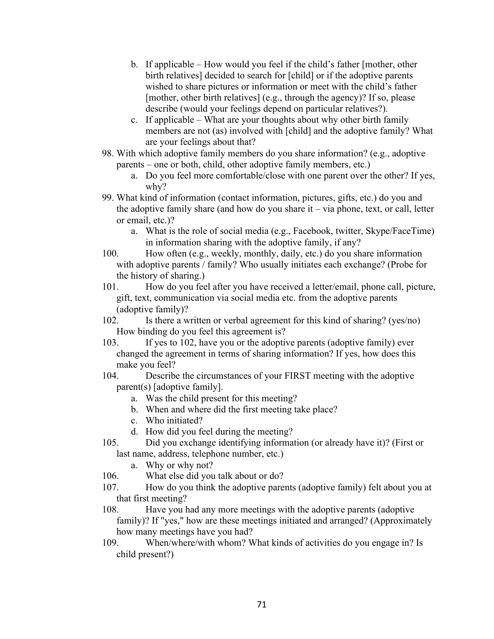- b. If applicable How would you feel if the child's father [mother, other birth relatives] decided to search for [child] or if the adoptive parents wished to share pictures or information or meet with the child's father [mother, other birth relatives] (e.g., through the agency)? If so, please describe (would your feelings depend on particular relatives?).
- c. If applicable What are your thoughts about why other birth family members are not (as) involved with [child] and the adoptive family? What are your feelings about that?
- 98. With which adoptive family members do you share information? (e.g., adoptive parents – one or both, child, other adoptive family members, etc.)
	- a. Do you feel more comfortable/close with one parent over the other? If yes, why?
- 99. What kind of information (contact information, pictures, gifts, etc.) do you and the adoptive family share (and how do you share it – via phone, text, or call, letter or email, etc.)?
	- a. What is the role of social media (e.g., Facebook, twitter, Skype/FaceTime) in information sharing with the adoptive family, if any?
- 100. How often (e.g., weekly, monthly, daily, etc.) do you share information with adoptive parents / family? Who usually initiates each exchange? (Probe for the history of sharing.)
- 101. How do you feel after you have received a letter/email, phone call, picture, gift, text, communication via social media etc. from the adoptive parents (adoptive family)?
- 102. Is there a written or verbal agreement for this kind of sharing? (yes/no) How binding do you feel this agreement is?
- 103. If yes to 102, have you or the adoptive parents (adoptive family) ever changed the agreement in terms of sharing information? If yes, how does this make you feel?
- 104. Describe the circumstances of your FIRST meeting with the adoptive parent(s) [adoptive family].
	- a. Was the child present for this meeting?
	- b. When and where did the first meeting take place?
	- c. Who initiated?
	- d. How did you feel during the meeting?
- 105. Did you exchange identifying information (or already have it)? (First or last name, address, telephone number, etc.)
	- a. Why or why not?
- 106. What else did you talk about or do?
- 107. How do you think the adoptive parents (adoptive family) felt about you at that first meeting?
- 108. Have you had any more meetings with the adoptive parents (adoptive family)? If "yes," how are these meetings initiated and arranged? (Approximately how many meetings have you had?
- 109. When/where/with whom? What kinds of activities do you engage in? Is child present?)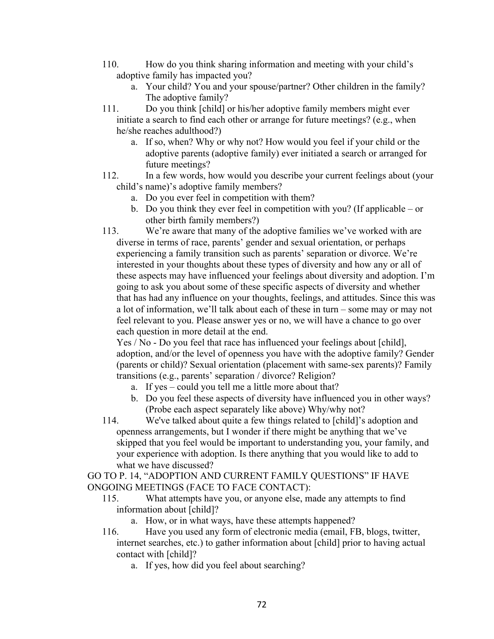- 110. How do you think sharing information and meeting with your child's adoptive family has impacted you?
	- a. Your child? You and your spouse/partner? Other children in the family? The adoptive family?
- 111. Do you think [child] or his/her adoptive family members might ever initiate a search to find each other or arrange for future meetings? (e.g., when he/she reaches adulthood?)
	- a. If so, when? Why or why not? How would you feel if your child or the adoptive parents (adoptive family) ever initiated a search or arranged for future meetings?
- 112. In a few words, how would you describe your current feelings about (your child's name)'s adoptive family members?
	- a. Do you ever feel in competition with them?
	- b. Do you think they ever feel in competition with you? (If applicable or other birth family members?)
- 113. We're aware that many of the adoptive families we've worked with are diverse in terms of race, parents' gender and sexual orientation, or perhaps experiencing a family transition such as parents' separation or divorce. We're interested in your thoughts about these types of diversity and how any or all of these aspects may have influenced your feelings about diversity and adoption. I'm going to ask you about some of these specific aspects of diversity and whether that has had any influence on your thoughts, feelings, and attitudes. Since this was a lot of information, we'll talk about each of these in turn – some may or may not feel relevant to you. Please answer yes or no, we will have a chance to go over each question in more detail at the end.

Yes / No - Do you feel that race has influenced your feelings about [child], adoption, and/or the level of openness you have with the adoptive family? Gender (parents or child)? Sexual orientation (placement with same-sex parents)? Family transitions (e.g., parents' separation / divorce? Religion?

- a. If yes could you tell me a little more about that?
- b. Do you feel these aspects of diversity have influenced you in other ways? (Probe each aspect separately like above) Why/why not?
- 114. We've talked about quite a few things related to [child]'s adoption and openness arrangements, but I wonder if there might be anything that we've skipped that you feel would be important to understanding you, your family, and your experience with adoption. Is there anything that you would like to add to what we have discussed?

GO TO P. 14, "ADOPTION AND CURRENT FAMILY QUESTIONS" IF HAVE ONGOING MEETINGS (FACE TO FACE CONTACT):

- 115. What attempts have you, or anyone else, made any attempts to find information about [child]?
	- a. How, or in what ways, have these attempts happened?
- 116. Have you used any form of electronic media (email, FB, blogs, twitter, internet searches, etc.) to gather information about [child] prior to having actual contact with [child]?
	- a. If yes, how did you feel about searching?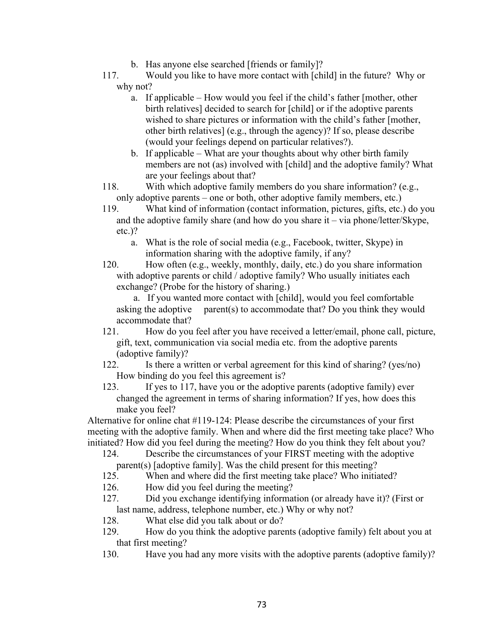- b. Has anyone else searched [friends or family]?
- 117. Would you like to have more contact with [child] in the future? Why or why not?
	- a. If applicable How would you feel if the child's father [mother, other birth relatives] decided to search for [child] or if the adoptive parents wished to share pictures or information with the child's father [mother, other birth relatives] (e.g., through the agency)? If so, please describe (would your feelings depend on particular relatives?).
	- b. If applicable What are your thoughts about why other birth family members are not (as) involved with [child] and the adoptive family? What are your feelings about that?
- 118. With which adoptive family members do you share information? (e.g., only adoptive parents – one or both, other adoptive family members, etc.)
- 119. What kind of information (contact information, pictures, gifts, etc.) do you and the adoptive family share (and how do you share it – via phone/letter/Skype, etc.)?
	- a. What is the role of social media (e.g., Facebook, twitter, Skype) in information sharing with the adoptive family, if any?
- 120. How often (e.g., weekly, monthly, daily, etc.) do you share information with adoptive parents or child / adoptive family? Who usually initiates each exchange? (Probe for the history of sharing.)

 a. If you wanted more contact with [child], would you feel comfortable asking the adoptive parent(s) to accommodate that? Do you think they would accommodate that?

- 121. How do you feel after you have received a letter/email, phone call, picture, gift, text, communication via social media etc. from the adoptive parents (adoptive family)?
- 122. Is there a written or verbal agreement for this kind of sharing? (yes/no) How binding do you feel this agreement is?
- 123. If yes to 117, have you or the adoptive parents (adoptive family) ever changed the agreement in terms of sharing information? If yes, how does this make you feel?

Alternative for online chat #119-124: Please describe the circumstances of your first meeting with the adoptive family. When and where did the first meeting take place? Who initiated? How did you feel during the meeting? How do you think they felt about you?

124. Describe the circumstances of your FIRST meeting with the adoptive parent(s) [adoptive family]. Was the child present for this meeting?

125. When and where did the first meeting take place? Who initiated?

- 126. How did you feel during the meeting?
- 127. Did you exchange identifying information (or already have it)? (First or last name, address, telephone number, etc.) Why or why not?
- 128. What else did you talk about or do?
- 129. How do you think the adoptive parents (adoptive family) felt about you at that first meeting?
- 130. Have you had any more visits with the adoptive parents (adoptive family)?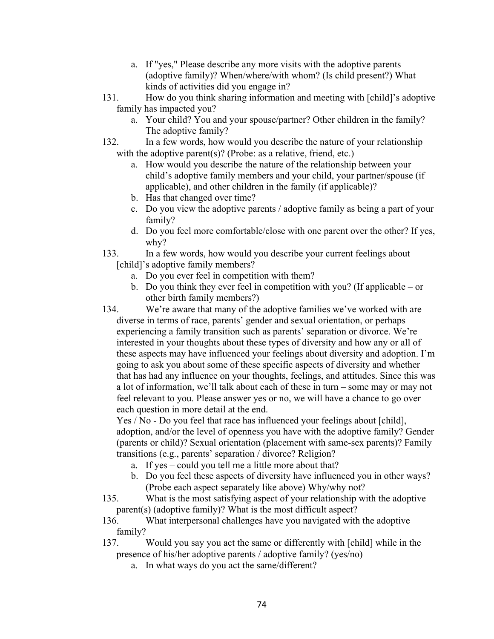- a. If "yes," Please describe any more visits with the adoptive parents (adoptive family)? When/where/with whom? (Is child present?) What kinds of activities did you engage in?
- 131. How do you think sharing information and meeting with [child]'s adoptive family has impacted you?
	- a. Your child? You and your spouse/partner? Other children in the family? The adoptive family?
- 132. In a few words, how would you describe the nature of your relationship with the adoptive parent(s)? (Probe: as a relative, friend, etc.)
	- a. How would you describe the nature of the relationship between your child's adoptive family members and your child, your partner/spouse (if applicable), and other children in the family (if applicable)?
	- b. Has that changed over time?
	- c. Do you view the adoptive parents / adoptive family as being a part of your family?
	- d. Do you feel more comfortable/close with one parent over the other? If yes, why?
- 133. In a few words, how would you describe your current feelings about [child]'s adoptive family members?
	- a. Do you ever feel in competition with them?
	- b. Do you think they ever feel in competition with you? (If applicable or other birth family members?)
- 134. We're aware that many of the adoptive families we've worked with are diverse in terms of race, parents' gender and sexual orientation, or perhaps experiencing a family transition such as parents' separation or divorce. We're interested in your thoughts about these types of diversity and how any or all of these aspects may have influenced your feelings about diversity and adoption. I'm going to ask you about some of these specific aspects of diversity and whether that has had any influence on your thoughts, feelings, and attitudes. Since this was a lot of information, we'll talk about each of these in turn – some may or may not feel relevant to you. Please answer yes or no, we will have a chance to go over each question in more detail at the end.

Yes / No - Do you feel that race has influenced your feelings about [child], adoption, and/or the level of openness you have with the adoptive family? Gender (parents or child)? Sexual orientation (placement with same-sex parents)? Family transitions (e.g., parents' separation / divorce? Religion?

- a. If yes could you tell me a little more about that?
- b. Do you feel these aspects of diversity have influenced you in other ways? (Probe each aspect separately like above) Why/why not?
- 135. What is the most satisfying aspect of your relationship with the adoptive parent(s) (adoptive family)? What is the most difficult aspect?
- 136. What interpersonal challenges have you navigated with the adoptive family?
- 137. Would you say you act the same or differently with [child] while in the presence of his/her adoptive parents / adoptive family? (yes/no)
	- a. In what ways do you act the same/different?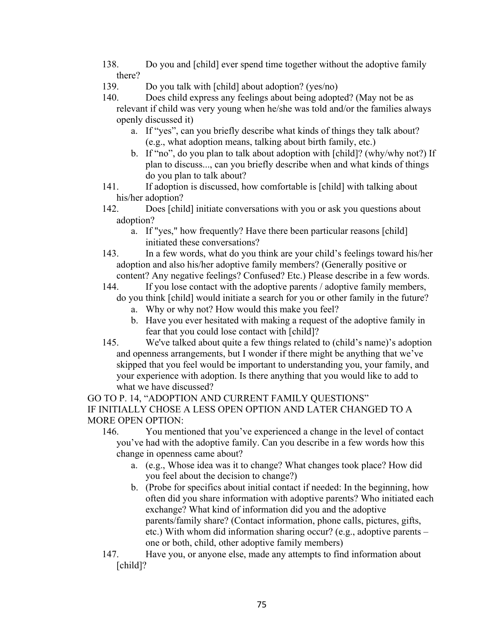- 138. Do you and [child] ever spend time together without the adoptive family there?
- 139. Do you talk with [child] about adoption? (yes/no)
- 140. Does child express any feelings about being adopted? (May not be as relevant if child was very young when he/she was told and/or the families always openly discussed it)
	- a. If "yes", can you briefly describe what kinds of things they talk about? (e.g., what adoption means, talking about birth family, etc.)
	- b. If "no", do you plan to talk about adoption with [child]? (why/why not?) If plan to discuss..., can you briefly describe when and what kinds of things do you plan to talk about?
- 141. If adoption is discussed, how comfortable is [child] with talking about his/her adoption?
- 142. Does [child] initiate conversations with you or ask you questions about adoption?
	- a. If "yes," how frequently? Have there been particular reasons [child] initiated these conversations?
- 143. In a few words, what do you think are your child's feelings toward his/her adoption and also his/her adoptive family members? (Generally positive or content? Any negative feelings? Confused? Etc.) Please describe in a few words.
- 144. If you lose contact with the adoptive parents / adoptive family members, do you think [child] would initiate a search for you or other family in the future?
	- a. Why or why not? How would this make you feel?
	- b. Have you ever hesitated with making a request of the adoptive family in fear that you could lose contact with [child]?
- 145. We've talked about quite a few things related to (child's name)'s adoption and openness arrangements, but I wonder if there might be anything that we've skipped that you feel would be important to understanding you, your family, and your experience with adoption. Is there anything that you would like to add to what we have discussed?

GO TO P. 14, "ADOPTION AND CURRENT FAMILY QUESTIONS" IF INITIALLY CHOSE A LESS OPEN OPTION AND LATER CHANGED TO A MORE OPEN OPTION:

- 146. You mentioned that you've experienced a change in the level of contact you've had with the adoptive family. Can you describe in a few words how this change in openness came about?
	- a. (e.g., Whose idea was it to change? What changes took place? How did you feel about the decision to change?)
	- b. (Probe for specifics about initial contact if needed: In the beginning, how often did you share information with adoptive parents? Who initiated each exchange? What kind of information did you and the adoptive parents/family share? (Contact information, phone calls, pictures, gifts, etc.) With whom did information sharing occur? (e.g., adoptive parents – one or both, child, other adoptive family members)
- 147. Have you, or anyone else, made any attempts to find information about [child]?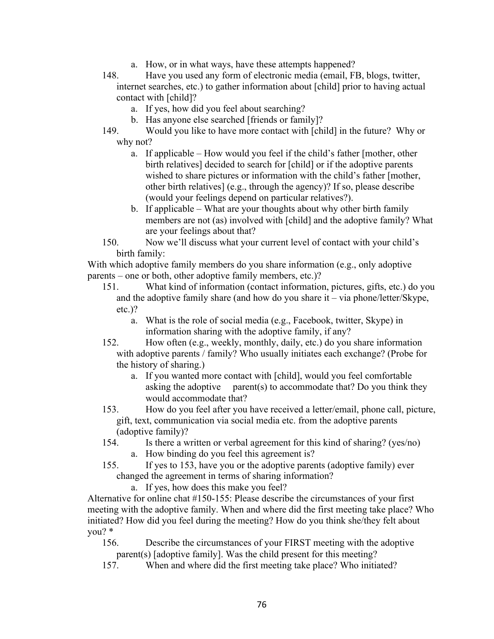- a. How, or in what ways, have these attempts happened?
- 148. Have you used any form of electronic media (email, FB, blogs, twitter, internet searches, etc.) to gather information about [child] prior to having actual contact with [child]?
	- a. If yes, how did you feel about searching?
	- b. Has anyone else searched [friends or family]?
- 149. Would you like to have more contact with [child] in the future? Why or why not?
	- a. If applicable How would you feel if the child's father [mother, other birth relatives] decided to search for [child] or if the adoptive parents wished to share pictures or information with the child's father [mother, other birth relatives] (e.g., through the agency)? If so, please describe (would your feelings depend on particular relatives?).
	- b. If applicable What are your thoughts about why other birth family members are not (as) involved with [child] and the adoptive family? What are your feelings about that?
- 150. Now we'll discuss what your current level of contact with your child's birth family:

With which adoptive family members do you share information (e.g., only adoptive parents – one or both, other adoptive family members, etc.)?

- 151. What kind of information (contact information, pictures, gifts, etc.) do you and the adoptive family share (and how do you share it – via phone/letter/Skype, etc.)?
	- a. What is the role of social media (e.g., Facebook, twitter, Skype) in information sharing with the adoptive family, if any?
- 152. How often (e.g., weekly, monthly, daily, etc.) do you share information with adoptive parents / family? Who usually initiates each exchange? (Probe for the history of sharing.)
	- a. If you wanted more contact with [child], would you feel comfortable asking the adoptive parent(s) to accommodate that? Do you think they would accommodate that?
- 153. How do you feel after you have received a letter/email, phone call, picture, gift, text, communication via social media etc. from the adoptive parents (adoptive family)?
- 154. Is there a written or verbal agreement for this kind of sharing? (yes/no) a. How binding do you feel this agreement is?
- 155. If yes to 153, have you or the adoptive parents (adoptive family) ever changed the agreement in terms of sharing information?

a. If yes, how does this make you feel?

Alternative for online chat #150-155: Please describe the circumstances of your first meeting with the adoptive family. When and where did the first meeting take place? Who initiated? How did you feel during the meeting? How do you think she/they felt about you? \*

156. Describe the circumstances of your FIRST meeting with the adoptive parent(s) [adoptive family]. Was the child present for this meeting?

157. When and where did the first meeting take place? Who initiated?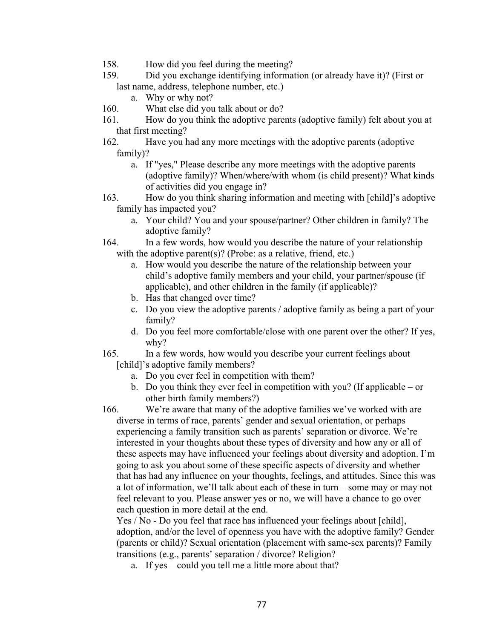- 158. How did you feel during the meeting?
- 159. Did you exchange identifying information (or already have it)? (First or last name, address, telephone number, etc.)
	- a. Why or why not?
- 160. What else did you talk about or do?
- 161. How do you think the adoptive parents (adoptive family) felt about you at that first meeting?
- 162. Have you had any more meetings with the adoptive parents (adoptive family)?
	- a. If "yes," Please describe any more meetings with the adoptive parents (adoptive family)? When/where/with whom (is child present)? What kinds of activities did you engage in?
- 163. How do you think sharing information and meeting with [child]'s adoptive family has impacted you?
	- a. Your child? You and your spouse/partner? Other children in family? The adoptive family?
- 164. In a few words, how would you describe the nature of your relationship with the adoptive parent(s)? (Probe: as a relative, friend, etc.)
	- a. How would you describe the nature of the relationship between your child's adoptive family members and your child, your partner/spouse (if applicable), and other children in the family (if applicable)?
	- b. Has that changed over time?
	- c. Do you view the adoptive parents / adoptive family as being a part of your family?
	- d. Do you feel more comfortable/close with one parent over the other? If yes, why?
- 165. In a few words, how would you describe your current feelings about [child]'s adoptive family members?
	- a. Do you ever feel in competition with them?
	- b. Do you think they ever feel in competition with you? (If applicable or other birth family members?)

166. We're aware that many of the adoptive families we've worked with are diverse in terms of race, parents' gender and sexual orientation, or perhaps experiencing a family transition such as parents' separation or divorce. We're interested in your thoughts about these types of diversity and how any or all of these aspects may have influenced your feelings about diversity and adoption. I'm going to ask you about some of these specific aspects of diversity and whether that has had any influence on your thoughts, feelings, and attitudes. Since this was a lot of information, we'll talk about each of these in turn – some may or may not feel relevant to you. Please answer yes or no, we will have a chance to go over each question in more detail at the end.

Yes / No - Do you feel that race has influenced your feelings about [child], adoption, and/or the level of openness you have with the adoptive family? Gender (parents or child)? Sexual orientation (placement with same-sex parents)? Family transitions (e.g., parents' separation / divorce? Religion?

a. If yes – could you tell me a little more about that?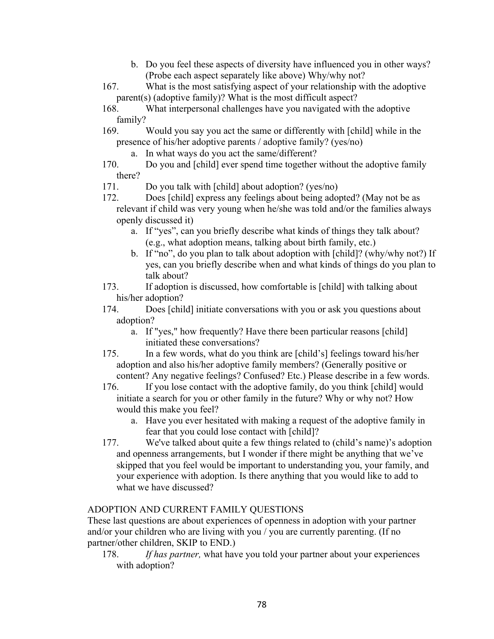- b. Do you feel these aspects of diversity have influenced you in other ways? (Probe each aspect separately like above) Why/why not?
- 167. What is the most satisfying aspect of your relationship with the adoptive parent(s) (adoptive family)? What is the most difficult aspect?
- 168. What interpersonal challenges have you navigated with the adoptive family?
- 169. Would you say you act the same or differently with [child] while in the presence of his/her adoptive parents / adoptive family? (yes/no)
	- a. In what ways do you act the same/different?
- 170. Do you and [child] ever spend time together without the adoptive family there?
- 171. Do you talk with [child] about adoption? (yes/no)
- 172. Does [child] express any feelings about being adopted? (May not be as relevant if child was very young when he/she was told and/or the families always openly discussed it)
	- a. If "yes", can you briefly describe what kinds of things they talk about? (e.g., what adoption means, talking about birth family, etc.)
	- b. If "no", do you plan to talk about adoption with [child]? (why/why not?) If yes, can you briefly describe when and what kinds of things do you plan to talk about?
- 173. If adoption is discussed, how comfortable is [child] with talking about his/her adoption?
- 174. Does [child] initiate conversations with you or ask you questions about adoption?
	- a. If "yes," how frequently? Have there been particular reasons [child] initiated these conversations?
- 175. In a few words, what do you think are [child's] feelings toward his/her adoption and also his/her adoptive family members? (Generally positive or content? Any negative feelings? Confused? Etc.) Please describe in a few words.
- 176. If you lose contact with the adoptive family, do you think [child] would initiate a search for you or other family in the future? Why or why not? How would this make you feel?
	- a. Have you ever hesitated with making a request of the adoptive family in fear that you could lose contact with [child]?
- 177. We've talked about quite a few things related to (child's name)'s adoption and openness arrangements, but I wonder if there might be anything that we've skipped that you feel would be important to understanding you, your family, and your experience with adoption. Is there anything that you would like to add to what we have discussed?

## ADOPTION AND CURRENT FAMILY QUESTIONS

These last questions are about experiences of openness in adoption with your partner and/or your children who are living with you / you are currently parenting. (If no partner/other children, SKIP to END.)

178. *If has partner,* what have you told your partner about your experiences with adoption?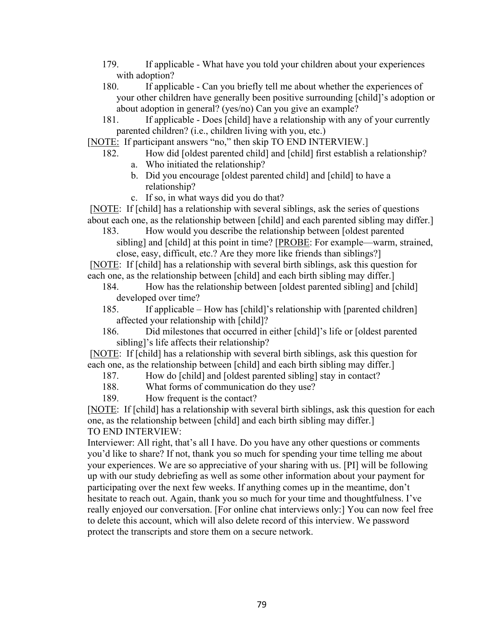- 179. If applicable What have you told your children about your experiences with adoption?
- 180. If applicable Can you briefly tell me about whether the experiences of your other children have generally been positive surrounding [child]'s adoption or about adoption in general? (yes/no) Can you give an example?
- 181. If applicable Does [child] have a relationship with any of your currently parented children? (i.e., children living with you, etc.)
- [NOTE: If participant answers "no," then skip TO END INTERVIEW.]
	- 182. How did [oldest parented child] and [child] first establish a relationship? a. Who initiated the relationship?
		- b. Did you encourage [oldest parented child] and [child] to have a relationship?
		- c. If so, in what ways did you do that?

[NOTE: If [child] has a relationship with several siblings, ask the series of questions about each one, as the relationship between [child] and each parented sibling may differ.]

183. How would you describe the relationship between [oldest parented sibling] and [child] at this point in time? [PROBE: For example—warm, strained, close, easy, difficult, etc.? Are they more like friends than siblings?]

[NOTE: If [child] has a relationship with several birth siblings, ask this question for each one, as the relationship between [child] and each birth sibling may differ.]

- 184. How has the relationship between [oldest parented sibling] and [child] developed over time?
- 185. If applicable How has [child]'s relationship with [parented children] affected your relationship with [child]?
- 186. Did milestones that occurred in either [child]'s life or [oldest parented sibling]'s life affects their relationship?

[NOTE: If [child] has a relationship with several birth siblings, ask this question for each one, as the relationship between [child] and each birth sibling may differ.]

- 187. How do [child] and [oldest parented sibling] stay in contact?
- 188. What forms of communication do they use?
- 189. How frequent is the contact?

[NOTE: If [child] has a relationship with several birth siblings, ask this question for each one, as the relationship between [child] and each birth sibling may differ.] TO END INTERVIEW:

Interviewer: All right, that's all I have. Do you have any other questions or comments you'd like to share? If not, thank you so much for spending your time telling me about your experiences. We are so appreciative of your sharing with us. [PI] will be following up with our study debriefing as well as some other information about your payment for participating over the next few weeks. If anything comes up in the meantime, don't hesitate to reach out. Again, thank you so much for your time and thoughtfulness. I've really enjoyed our conversation. [For online chat interviews only:] You can now feel free to delete this account, which will also delete record of this interview. We password protect the transcripts and store them on a secure network.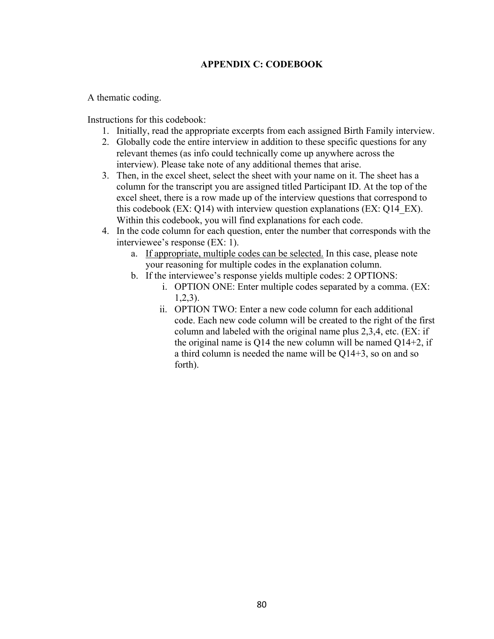## **APPENDIX C: CODEBOOK**

A thematic coding.

Instructions for this codebook:

- 1. Initially, read the appropriate excerpts from each assigned Birth Family interview.
- 2. Globally code the entire interview in addition to these specific questions for any relevant themes (as info could technically come up anywhere across the interview). Please take note of any additional themes that arise.
- 3. Then, in the excel sheet, select the sheet with your name on it. The sheet has a column for the transcript you are assigned titled Participant ID. At the top of the excel sheet, there is a row made up of the interview questions that correspond to this codebook (EX: Q14) with interview question explanations (EX: Q14\_EX). Within this codebook, you will find explanations for each code.
- 4. In the code column for each question, enter the number that corresponds with the interviewee's response (EX: 1).
	- a. If appropriate, multiple codes can be selected. In this case, please note your reasoning for multiple codes in the explanation column.
	- b. If the interviewee's response yields multiple codes: 2 OPTIONS:
		- i. OPTION ONE: Enter multiple codes separated by a comma. (EX: 1,2,3).
		- ii. OPTION TWO: Enter a new code column for each additional code. Each new code column will be created to the right of the first column and labeled with the original name plus 2,3,4, etc. (EX: if the original name is  $Q14$  the new column will be named  $Q14+2$ , if a third column is needed the name will be Q14+3, so on and so forth).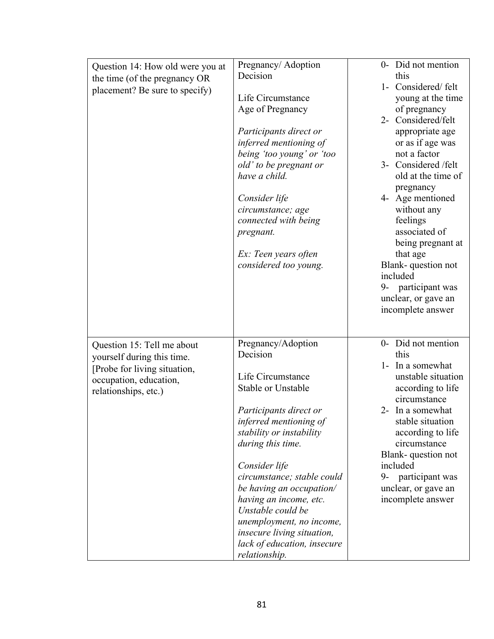| Question 14: How old were you at | Pregnancy/ Adoption         | 0- Did not mention    |
|----------------------------------|-----------------------------|-----------------------|
| the time (of the pregnancy OR    | Decision                    | this                  |
| placement? Be sure to specify)   |                             | 1- Considered/felt    |
|                                  | Life Circumstance           | young at the time     |
|                                  | Age of Pregnancy            | of pregnancy          |
|                                  |                             | 2- Considered/felt    |
|                                  | Participants direct or      | appropriate age       |
|                                  | inferred mentioning of      | or as if age was      |
|                                  | being 'too young' or 'too   | not a factor          |
|                                  |                             | 3- Considered /felt   |
|                                  | old' to be pregnant or      |                       |
|                                  | have a child.               | old at the time of    |
|                                  |                             | pregnancy             |
|                                  | Consider life               | 4- Age mentioned      |
|                                  | circumstance; age           | without any           |
|                                  | connected with being        | feelings              |
|                                  | pregnant.                   | associated of         |
|                                  |                             | being pregnant at     |
|                                  | Ex: Teen years often        | that age              |
|                                  | considered too young.       | Blank-question not    |
|                                  |                             | included              |
|                                  |                             | 9- participant was    |
|                                  |                             | unclear, or gave an   |
|                                  |                             | incomplete answer     |
|                                  |                             |                       |
|                                  |                             |                       |
| Question 15: Tell me about       | Pregnancy/Adoption          | 0- Did not mention    |
| yourself during this time.       | Decision                    | this                  |
|                                  |                             | 1- In a somewhat      |
| [Probe for living situation,     | Life Circumstance           | unstable situation    |
| occupation, education,           | <b>Stable or Unstable</b>   | according to life     |
| relationships, etc.)             |                             | circumstance          |
|                                  |                             | 2- In a somewhat      |
|                                  | Participants direct or      |                       |
|                                  | inferred mentioning of      | stable situation      |
|                                  | stability or instability    | according to life     |
|                                  | during this time.           | circumstance          |
|                                  |                             | Blank-question not    |
|                                  | Consider life               | included              |
|                                  | circumstance; stable could  | participant was<br>9- |
|                                  | be having an occupation/    | unclear, or gave an   |
|                                  | having an income, etc.      | incomplete answer     |
|                                  | Unstable could be           |                       |
|                                  | unemployment, no income,    |                       |
|                                  | insecure living situation,  |                       |
|                                  | lack of education, insecure |                       |
|                                  | relationship.               |                       |
|                                  |                             |                       |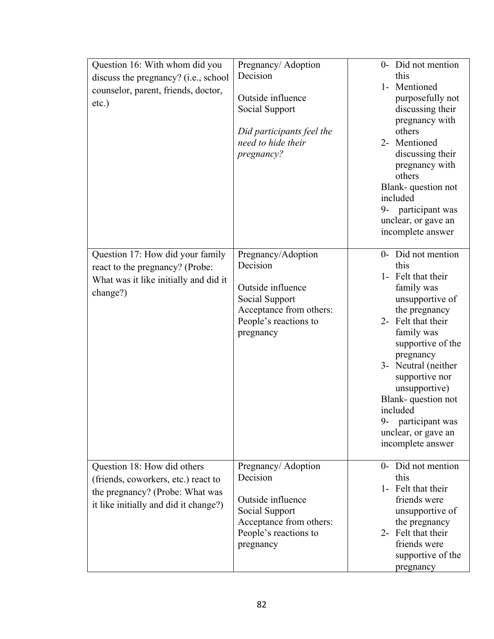| Question 16: With whom did you<br>discuss the pregnancy? (i.e., school<br>counselor, parent, friends, doctor,<br>$etc.$ )                      | Pregnancy/ Adoption<br>Decision<br>Outside influence<br>Social Support<br>Did participants feel the<br>need to hide their<br>pregnancy? | 0- Did not mention<br>this<br>1- Mentioned<br>purposefully not<br>discussing their<br>pregnancy with<br>others<br>2- Mentioned<br>discussing their<br>pregnancy with<br>others<br>Blank-question not<br>included<br>9- participant was<br>unclear, or gave an<br>incomplete answer                                                          |
|------------------------------------------------------------------------------------------------------------------------------------------------|-----------------------------------------------------------------------------------------------------------------------------------------|---------------------------------------------------------------------------------------------------------------------------------------------------------------------------------------------------------------------------------------------------------------------------------------------------------------------------------------------|
| Question 17: How did your family<br>react to the pregnancy? (Probe:<br>What was it like initially and did it<br>change?)                       | Pregnancy/Adoption<br>Decision<br>Outside influence<br>Social Support<br>Acceptance from others:<br>People's reactions to<br>pregnancy  | 0- Did not mention<br>this<br>1- Felt that their<br>family was<br>unsupportive of<br>the pregnancy<br>2- Felt that their<br>family was<br>supportive of the<br>pregnancy<br>3- Neutral (neither<br>supportive nor<br>unsupportive)<br>Blank-question not<br>included<br>$9-$<br>participant was<br>unclear, or gave an<br>incomplete answer |
| Question 18: How did others<br>(friends, coworkers, etc.) react to<br>the pregnancy? (Probe: What was<br>it like initially and did it change?) | Pregnancy/Adoption<br>Decision<br>Outside influence<br>Social Support<br>Acceptance from others:<br>People's reactions to<br>pregnancy  | 0- Did not mention<br>this<br>1- Felt that their<br>friends were<br>unsupportive of<br>the pregnancy<br>2- Felt that their<br>friends were<br>supportive of the<br>pregnancy                                                                                                                                                                |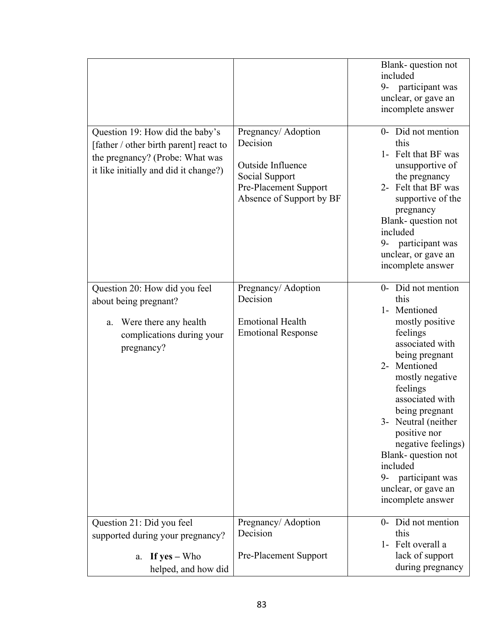| Question 19: How did the baby's<br>[father / other birth parent] react to<br>the pregnancy? (Probe: What was<br>it like initially and did it change?) | Pregnancy/Adoption<br>Decision<br>Outside Influence<br>Social Support<br>Pre-Placement Support<br>Absence of Support by BF | Blank-question not<br>included<br>9- participant was<br>unclear, or gave an<br>incomplete answer<br>0- Did not mention<br>this<br>1- Felt that BF was<br>unsupportive of<br>the pregnancy<br>2- Felt that BF was<br>supportive of the<br>pregnancy<br>Blank-question not<br>included<br>participant was<br>9-<br>unclear, or gave an<br>incomplete answer           |
|-------------------------------------------------------------------------------------------------------------------------------------------------------|----------------------------------------------------------------------------------------------------------------------------|---------------------------------------------------------------------------------------------------------------------------------------------------------------------------------------------------------------------------------------------------------------------------------------------------------------------------------------------------------------------|
| Question 20: How did you feel<br>about being pregnant?<br>Were there any health<br>a.<br>complications during your<br>pregnancy?                      | Pregnancy/Adoption<br>Decision<br><b>Emotional Health</b><br><b>Emotional Response</b>                                     | 0- Did not mention<br>this<br>1- Mentioned<br>mostly positive<br>feelings<br>associated with<br>being pregnant<br>2- Mentioned<br>mostly negative<br>feelings<br>associated with<br>being pregnant<br>3- Neutral (neither<br>positive nor<br>negative feelings)<br>Blank-question not<br>included<br>9- participant was<br>unclear, or gave an<br>incomplete answer |
| Question 21: Did you feel<br>supported during your pregnancy?<br>If $yes - Who$<br>a.<br>helped, and how did                                          | Pregnancy/ Adoption<br>Decision<br><b>Pre-Placement Support</b>                                                            | 0- Did not mention<br>this<br>1- Felt overall a<br>lack of support<br>during pregnancy                                                                                                                                                                                                                                                                              |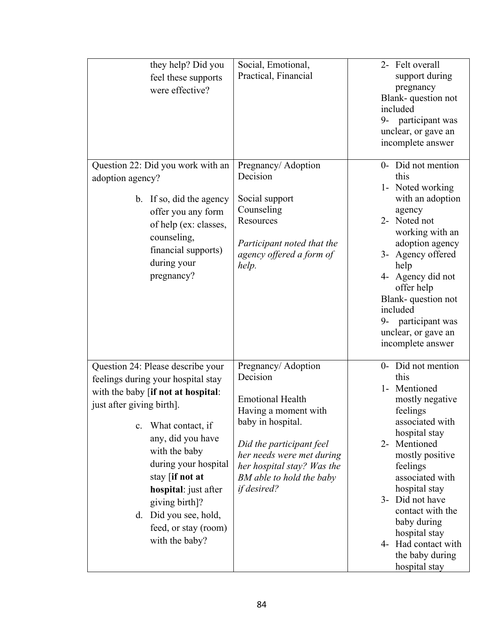| they help? Did you<br>feel these supports<br>were effective?                                                                                                                                                                                                                                                                                                                   | Social, Emotional,<br>Practical, Financial                                                                                                                                                                                                       | 2- Felt overall<br>support during<br>pregnancy<br>Blank-question not<br>included<br>participant was<br>9-<br>unclear, or gave an<br>incomplete answer                                                                                                                                                                                        |
|--------------------------------------------------------------------------------------------------------------------------------------------------------------------------------------------------------------------------------------------------------------------------------------------------------------------------------------------------------------------------------|--------------------------------------------------------------------------------------------------------------------------------------------------------------------------------------------------------------------------------------------------|----------------------------------------------------------------------------------------------------------------------------------------------------------------------------------------------------------------------------------------------------------------------------------------------------------------------------------------------|
| Question 22: Did you work with an<br>adoption agency?<br>b. If so, did the agency<br>offer you any form<br>of help (ex: classes,<br>counseling,<br>financial supports)<br>during your<br>pregnancy?                                                                                                                                                                            | Pregnancy/ Adoption<br>Decision<br>Social support<br>Counseling<br>Resources<br>Participant noted that the<br>agency offered a form of<br>help.                                                                                                  | 0- Did not mention<br>this<br>1- Noted working<br>with an adoption<br>agency<br>2- Noted not<br>working with an<br>adoption agency<br>3- Agency offered<br>help<br>4- Agency did not<br>offer help<br>Blank-question not<br>included<br>9- participant was<br>unclear, or gave an<br>incomplete answer                                       |
| Question 24: Please describe your<br>feelings during your hospital stay<br>with the baby [if not at hospital:<br>just after giving birth].<br>What contact, if<br>$\mathbf{c}$ .<br>any, did you have<br>with the baby<br>during your hospital<br>stay [if not at<br>hospital: just after<br>giving birth]?<br>d. Did you see, hold,<br>feed, or stay (room)<br>with the baby? | Pregnancy/ Adoption<br>Decision<br><b>Emotional Health</b><br>Having a moment with<br>baby in hospital.<br>Did the participant feel<br>her needs were met during<br>her hospital stay? Was the<br>BM able to hold the baby<br><i>if desired?</i> | Did not mention<br>$0-$<br>this<br>Mentioned<br>$1-$<br>mostly negative<br>feelings<br>associated with<br>hospital stay<br>2- Mentioned<br>mostly positive<br>feelings<br>associated with<br>hospital stay<br>3- Did not have<br>contact with the<br>baby during<br>hospital stay<br>4- Had contact with<br>the baby during<br>hospital stay |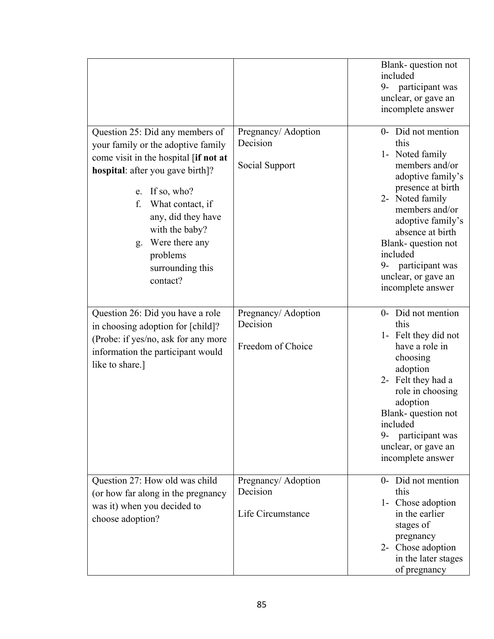|                                                      |                     | Blank-question not<br>included<br>9- participant was<br>unclear, or gave an<br>incomplete answer |
|------------------------------------------------------|---------------------|--------------------------------------------------------------------------------------------------|
| Question 25: Did any members of                      | Pregnancy/ Adoption | 0- Did not mention                                                                               |
| your family or the adoptive family                   | Decision            | this                                                                                             |
| come visit in the hospital [if not at                |                     | 1- Noted family                                                                                  |
| hospital: after you gave birth]?                     | Social Support      | members and/or<br>adoptive family's                                                              |
| If so, who?<br>e.                                    |                     | presence at birth                                                                                |
| f.<br>What contact, if                               |                     | 2- Noted family                                                                                  |
| any, did they have                                   |                     | members and/or                                                                                   |
| with the baby?                                       |                     | adoptive family's<br>absence at birth                                                            |
| Were there any<br>g.                                 |                     | Blank-question not                                                                               |
| problems                                             |                     | included                                                                                         |
| surrounding this                                     |                     | 9- participant was                                                                               |
| contact?                                             |                     | unclear, or gave an                                                                              |
|                                                      |                     | incomplete answer                                                                                |
| Question 26: Did you have a role                     | Pregnancy/ Adoption | 0- Did not mention                                                                               |
| in choosing adoption for [child]?                    | Decision            | this                                                                                             |
| (Probe: if yes/no, ask for any more                  |                     | 1- Felt they did not                                                                             |
| information the participant would<br>like to share.] | Freedom of Choice   | have a role in<br>choosing                                                                       |
|                                                      |                     | adoption                                                                                         |
|                                                      |                     | 2- Felt they had a                                                                               |
|                                                      |                     | role in choosing<br>adoption                                                                     |
|                                                      |                     | Blank-question not<br>included                                                                   |
|                                                      |                     | participant was<br>9-                                                                            |
|                                                      |                     | unclear, or gave an                                                                              |
|                                                      |                     | incomplete answer                                                                                |
| Question 27: How old was child                       | Pregnancy/Adoption  | 0- Did not mention                                                                               |
| (or how far along in the pregnancy                   | Decision            | this                                                                                             |
| was it) when you decided to                          |                     | 1- Chose adoption                                                                                |
| choose adoption?                                     | Life Circumstance   | in the earlier<br>stages of                                                                      |
|                                                      |                     | pregnancy                                                                                        |
|                                                      |                     | 2- Chose adoption                                                                                |
|                                                      |                     | in the later stages                                                                              |
|                                                      |                     | of pregnancy                                                                                     |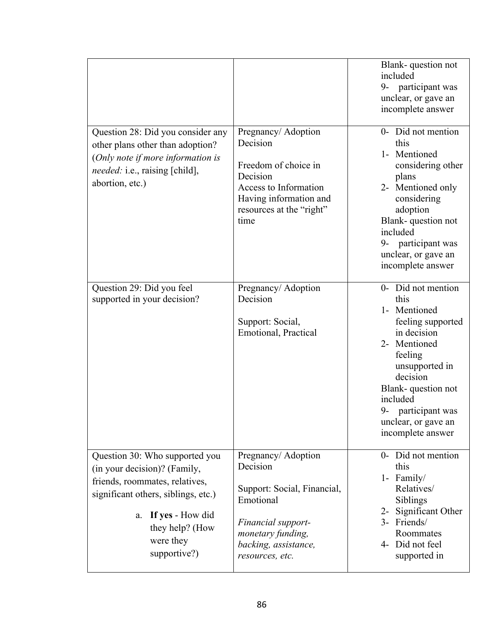|                                                                                                                                                                                                                   |                                                                                                                                                                   | Blank-question not<br>included<br>participant was<br>9-<br>unclear, or gave an<br>incomplete answer                                                                                                                                            |
|-------------------------------------------------------------------------------------------------------------------------------------------------------------------------------------------------------------------|-------------------------------------------------------------------------------------------------------------------------------------------------------------------|------------------------------------------------------------------------------------------------------------------------------------------------------------------------------------------------------------------------------------------------|
| Question 28: Did you consider any<br>other plans other than adoption?<br>(Only note if more information is<br><i>needed:</i> i.e., raising [child],<br>abortion, etc.)                                            | Pregnancy/ Adoption<br>Decision<br>Freedom of choice in<br>Decision<br>Access to Information<br>Having information and<br>resources at the "right"<br>time        | 0- Did not mention<br>this<br>1- Mentioned<br>considering other<br>plans<br>2- Mentioned only<br>considering<br>adoption<br>Blank-question not<br>included<br>participant was<br>9-<br>unclear, or gave an<br>incomplete answer                |
| Question 29: Did you feel<br>supported in your decision?                                                                                                                                                          | Pregnancy/ Adoption<br>Decision<br>Support: Social,<br>Emotional, Practical                                                                                       | 0- Did not mention<br>this<br>1- Mentioned<br>feeling supported<br>in decision<br>2- Mentioned<br>feeling<br>unsupported in<br>decision<br>Blank-question not<br>included<br>participant was<br>9-<br>unclear, or gave an<br>incomplete answer |
| Question 30: Who supported you<br>(in your decision)? (Family,<br>friends, roommates, relatives,<br>significant others, siblings, etc.)<br>If yes - How did<br>a.<br>they help? (How<br>were they<br>supportive?) | Pregnancy/ Adoption<br>Decision<br>Support: Social, Financial,<br>Emotional<br>Financial support-<br>monetary funding,<br>backing, assistance,<br>resources, etc. | 0- Did not mention<br>this<br>1- Family/<br>Relatives/<br>Siblings<br>2- Significant Other<br>3- Friends/<br>Roommates<br>4- Did not feel<br>supported in                                                                                      |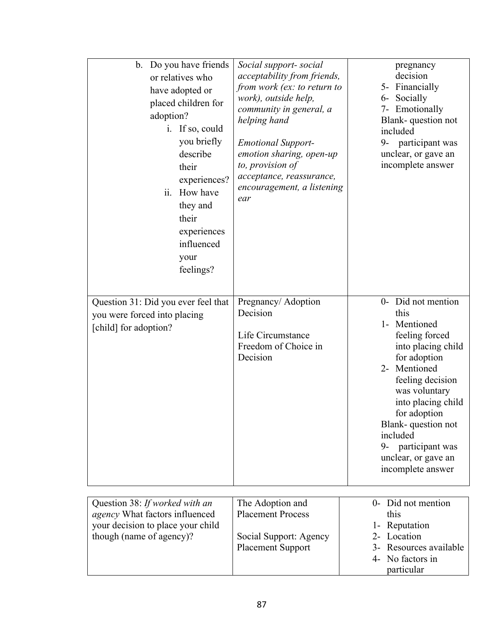| b. Do you have friends<br>or relatives who<br>have adopted or<br>placed children for<br>adoption?<br>i. If so, could<br>you briefly<br>describe<br>their<br>experiences?<br>ii.<br>How have<br>they and<br>their<br>experiences<br>influenced<br>your<br>feelings? | Social support-social<br>acceptability from friends,<br>from work (ex: to return to<br>work), outside help,<br>community in general, a<br>helping hand<br><b>Emotional Support-</b><br>emotion sharing, open-up<br>to, provision of<br>acceptance, reassurance,<br>encouragement, a listening<br>ear | pregnancy<br>decision<br>5- Financially<br>Socially<br>$6-$<br>7- Emotionally<br>Blank-question not<br>included<br>participant was<br>9-<br>unclear, or gave an<br>incomplete answer                                                                                                                 |
|--------------------------------------------------------------------------------------------------------------------------------------------------------------------------------------------------------------------------------------------------------------------|------------------------------------------------------------------------------------------------------------------------------------------------------------------------------------------------------------------------------------------------------------------------------------------------------|------------------------------------------------------------------------------------------------------------------------------------------------------------------------------------------------------------------------------------------------------------------------------------------------------|
| Question 31: Did you ever feel that<br>you were forced into placing<br>[child] for adoption?                                                                                                                                                                       | Pregnancy/ Adoption<br>Decision<br>Life Circumstance<br>Freedom of Choice in<br>Decision                                                                                                                                                                                                             | 0- Did not mention<br>this<br>1- Mentioned<br>feeling forced<br>into placing child<br>for adoption<br>2- Mentioned<br>feeling decision<br>was voluntary<br>into placing child<br>for adoption<br>Blank-question not<br>included<br>participant was<br>9-<br>unclear, or gave an<br>incomplete answer |
|                                                                                                                                                                                                                                                                    |                                                                                                                                                                                                                                                                                                      |                                                                                                                                                                                                                                                                                                      |
| Question 38: If worked with an<br>agency What factors influenced<br>your decision to place your child<br>though (name of agency)?                                                                                                                                  | The Adoption and<br><b>Placement Process</b><br>Social Support: Agency<br><b>Placement Support</b>                                                                                                                                                                                                   | 0- Did not mention<br>this<br>1- Reputation<br>2- Location<br>Resources available<br>$3-$<br>No factors in<br>4-<br>particular                                                                                                                                                                       |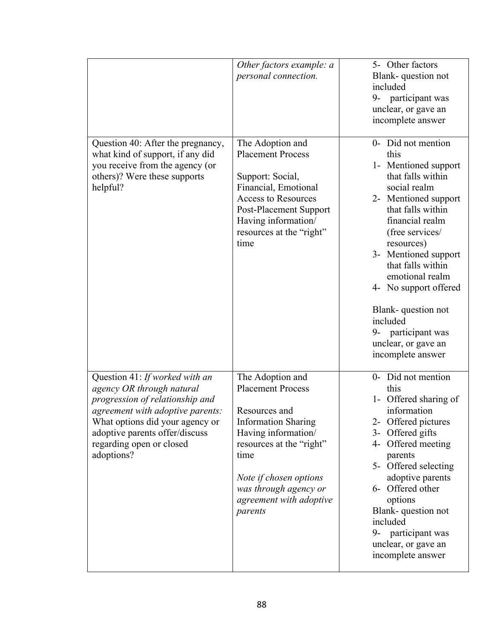|                                                                                                                                                                                                                                                   | Other factors example: a<br>personal connection.                                                                                                                                                                                                | 5- Other factors<br>Blank-question not<br>included<br>participant was<br>9-<br>unclear, or gave an<br>incomplete answer                                                                                                                                                                                                                                                               |
|---------------------------------------------------------------------------------------------------------------------------------------------------------------------------------------------------------------------------------------------------|-------------------------------------------------------------------------------------------------------------------------------------------------------------------------------------------------------------------------------------------------|---------------------------------------------------------------------------------------------------------------------------------------------------------------------------------------------------------------------------------------------------------------------------------------------------------------------------------------------------------------------------------------|
| Question 40: After the pregnancy,<br>what kind of support, if any did<br>you receive from the agency (or<br>others)? Were these supports<br>helpful?                                                                                              | The Adoption and<br><b>Placement Process</b><br>Support: Social,<br>Financial, Emotional<br><b>Access to Resources</b><br>Post-Placement Support<br>Having information/<br>resources at the "right"<br>time                                     | 0- Did not mention<br>this<br>1- Mentioned support<br>that falls within<br>social realm<br>2- Mentioned support<br>that falls within<br>financial realm<br>(free services/<br>resources)<br>3- Mentioned support<br>that falls within<br>emotional realm<br>4- No support offered<br>Blank-question not<br>included<br>9- participant was<br>unclear, or gave an<br>incomplete answer |
| Question 41: If worked with an<br>agency OR through natural<br>progression of relationship and<br>agreement with adoptive parents:<br>What options did your agency or<br>adoptive parents offer/discuss<br>regarding open or closed<br>adoptions? | The Adoption and<br><b>Placement Process</b><br>Resources and<br><b>Information Sharing</b><br>Having information/<br>resources at the "right"<br>time<br>Note if chosen options<br>was through agency or<br>agreement with adoptive<br>parents | 0- Did not mention<br>this<br>1- Offered sharing of<br>information<br>2- Offered pictures<br>3- Offered gifts<br>4- Offered meeting<br>parents<br>5- Offered selecting<br>adoptive parents<br>6- Offered other<br>options<br>Blank-question not<br>included<br>9- participant was<br>unclear, or gave an<br>incomplete answer                                                         |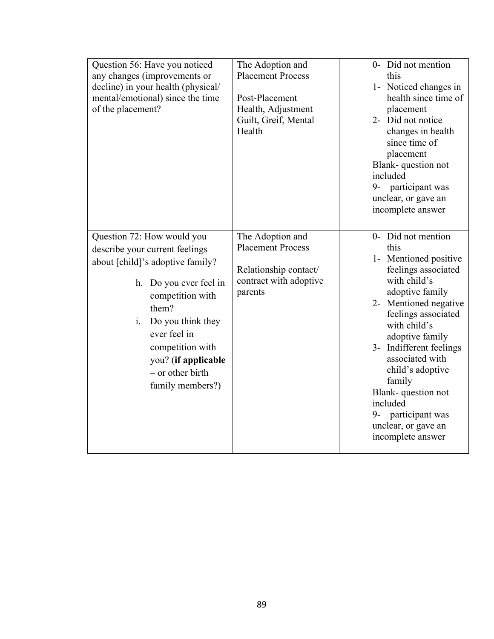| Question 56: Have you noticed<br>any changes (improvements or<br>decline) in your health (physical/<br>mental/emotional) since the time<br>of the placement?<br>Question 72: How would you                                 | The Adoption and<br><b>Placement Process</b><br>Post-Placement<br>Health, Adjustment<br>Guilt, Greif, Mental<br>Health<br>The Adoption and | 0- Did not mention<br>this<br>1- Noticed changes in<br>health since time of<br>placement<br>2- Did not notice<br>changes in health<br>since time of<br>placement<br>Blank-question not<br>included<br>9- participant was<br>unclear, or gave an<br>incomplete answer<br>0- Did not mention                                |
|----------------------------------------------------------------------------------------------------------------------------------------------------------------------------------------------------------------------------|--------------------------------------------------------------------------------------------------------------------------------------------|---------------------------------------------------------------------------------------------------------------------------------------------------------------------------------------------------------------------------------------------------------------------------------------------------------------------------|
| describe your current feelings                                                                                                                                                                                             | <b>Placement Process</b>                                                                                                                   | this                                                                                                                                                                                                                                                                                                                      |
|                                                                                                                                                                                                                            |                                                                                                                                            | 1- Mentioned positive                                                                                                                                                                                                                                                                                                     |
| about [child]'s adoptive family?<br>Do you ever feel in<br>h.<br>competition with<br>them?<br>i.<br>Do you think they<br>ever feel in<br>competition with<br>you? (if applicable<br>$-$ or other birth<br>family members?) | Relationship contact/<br>contract with adoptive<br>parents                                                                                 | feelings associated<br>with child's<br>adoptive family<br>2- Mentioned negative<br>feelings associated<br>with child's<br>adoptive family<br>3- Indifferent feelings<br>associated with<br>child's adoptive<br>family<br>Blank-question not<br>included<br>9- participant was<br>unclear, or gave an<br>incomplete answer |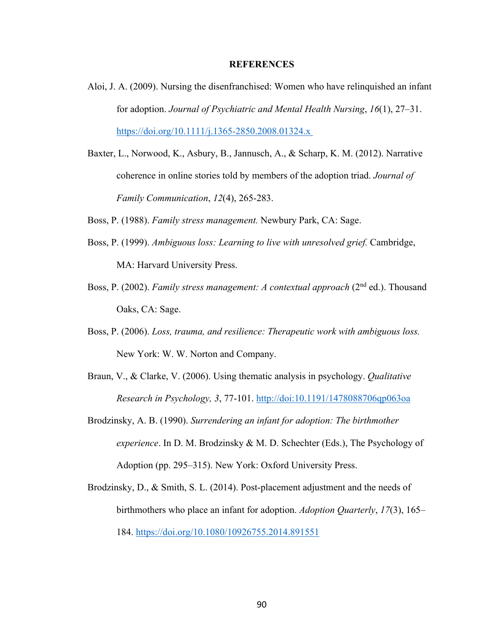#### **REFERENCES**

- Aloi, J. A. (2009). Nursing the disenfranchised: Women who have relinquished an infant for adoption. *Journal of Psychiatric and Mental Health Nursing*, *16*(1), 27–31. https://doi.org/10.1111/j.1365-2850.2008.01324.x
- Baxter, L., Norwood, K., Asbury, B., Jannusch, A., & Scharp, K. M. (2012). Narrative coherence in online stories told by members of the adoption triad. *Journal of Family Communication*, *12*(4), 265-283.
- Boss, P. (1988). *Family stress management.* Newbury Park, CA: Sage.
- Boss, P. (1999). *Ambiguous loss: Learning to live with unresolved grief.* Cambridge, MA: Harvard University Press.
- Boss, P. (2002). *Family stress management: A contextual approach* (2nd ed.). Thousand Oaks, CA: Sage.
- Boss, P. (2006). *Loss, trauma, and resilience: Therapeutic work with ambiguous loss.* New York: W. W. Norton and Company.
- Braun, V., & Clarke, V. (2006). Using thematic analysis in psychology. *Qualitative Research in Psychology, 3*, 77-101. http://doi:10.1191/1478088706qp063oa
- Brodzinsky, A. B. (1990). *Surrendering an infant for adoption: The birthmother experience*. In D. M. Brodzinsky & M. D. Schechter (Eds.), The Psychology of Adoption (pp. 295–315). New York: Oxford University Press.
- Brodzinsky, D., & Smith, S. L. (2014). Post-placement adjustment and the needs of birthmothers who place an infant for adoption. *Adoption Quarterly*, *17*(3), 165– 184. https://doi.org/10.1080/10926755.2014.891551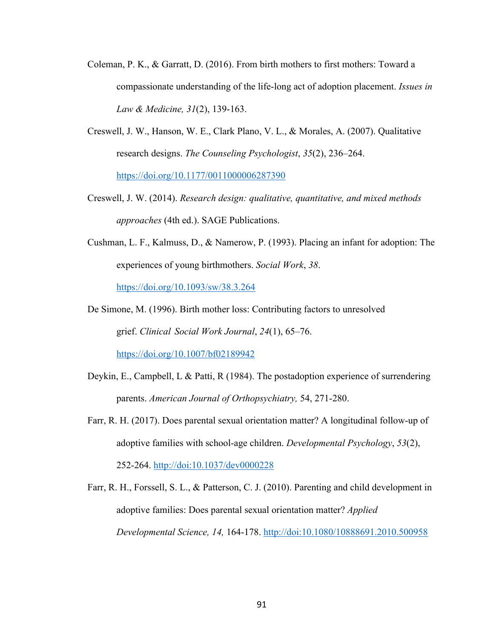- Coleman, P. K., & Garratt, D. (2016). From birth mothers to first mothers: Toward a compassionate understanding of the life-long act of adoption placement. *Issues in Law & Medicine, 31*(2), 139-163.
- Creswell, J. W., Hanson, W. E., Clark Plano, V. L., & Morales, A. (2007). Qualitative research designs. *The Counseling Psychologist*, *35*(2), 236–264. https://doi.org/10.1177/0011000006287390
- Creswell, J. W. (2014). *Research design: qualitative, quantitative, and mixed methods approaches* (4th ed.). SAGE Publications.
- Cushman, L. F., Kalmuss, D., & Namerow, P. (1993). Placing an infant for adoption: The experiences of young birthmothers. *Social Work*, *38*.

https://doi.org/10.1093/sw/38.3.264

De Simone, M. (1996). Birth mother loss: Contributing factors to unresolved grief. *Clinical Social Work Journal*, *24*(1), 65–76. https://doi.org/10.1007/bf02189942

- Deykin, E., Campbell, L & Patti, R (1984). The postadoption experience of surrendering parents. *American Journal of Orthopsychiatry,* 54, 271-280.
- Farr, R. H. (2017). Does parental sexual orientation matter? A longitudinal follow-up of adoptive families with school-age children. *Developmental Psychology*, *53*(2), 252-264. http://doi:10.1037/dev0000228
- Farr, R. H., Forssell, S. L., & Patterson, C. J. (2010). Parenting and child development in adoptive families: Does parental sexual orientation matter? *Applied Developmental Science, 14,* 164-178. http://doi:10.1080/10888691.2010.500958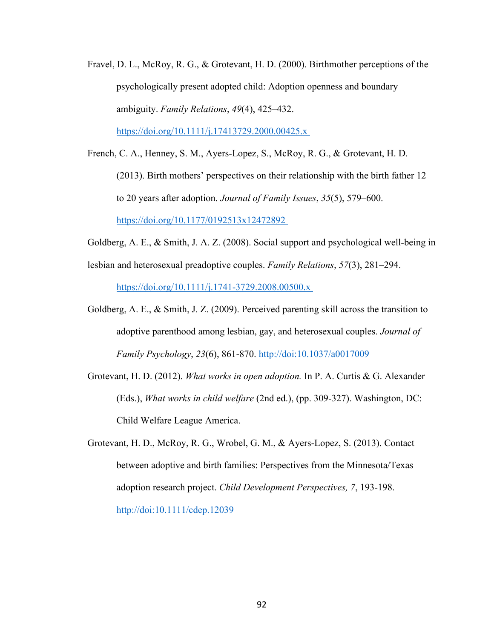Fravel, D. L., McRoy, R. G., & Grotevant, H. D. (2000). Birthmother perceptions of the psychologically present adopted child: Adoption openness and boundary ambiguity. *Family Relations*, *49*(4), 425–432.

https://doi.org/10.1111/j.17413729.2000.00425.x

- French, C. A., Henney, S. M., Ayers-Lopez, S., McRoy, R. G., & Grotevant, H. D. (2013). Birth mothers' perspectives on their relationship with the birth father 12 to 20 years after adoption. *Journal of Family Issues*, *35*(5), 579–600. https://doi.org/10.1177/0192513x12472892
- Goldberg, A. E., & Smith, J. A. Z. (2008). Social support and psychological well-being in
- lesbian and heterosexual preadoptive couples. *Family Relations*, *57*(3), 281–294. https://doi.org/10.1111/j.1741-3729.2008.00500.x
- Goldberg, A. E., & Smith, J. Z. (2009). Perceived parenting skill across the transition to adoptive parenthood among lesbian, gay, and heterosexual couples. *Journal of Family Psychology*, *23*(6), 861-870. http://doi:10.1037/a0017009
- Grotevant, H. D. (2012). *What works in open adoption.* In P. A. Curtis & G. Alexander (Eds.), *What works in child welfare* (2nd ed.), (pp. 309-327). Washington, DC: Child Welfare League America.
- Grotevant, H. D., McRoy, R. G., Wrobel, G. M., & Ayers-Lopez, S. (2013). Contact between adoptive and birth families: Perspectives from the Minnesota/Texas adoption research project. *Child Development Perspectives, 7*, 193-198. http://doi:10.1111/cdep.12039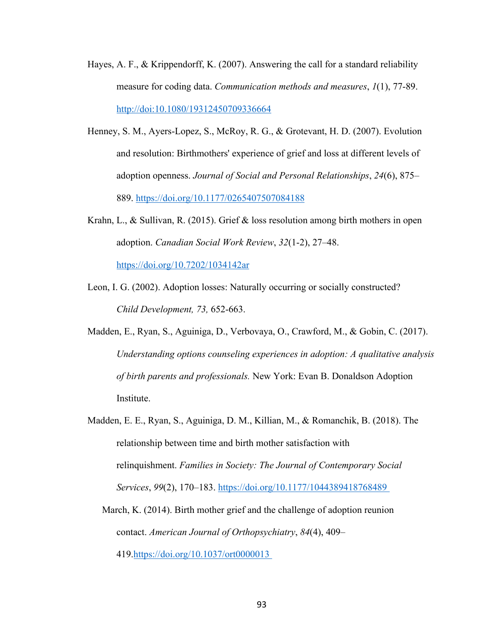- Hayes, A. F., & Krippendorff, K. (2007). Answering the call for a standard reliability measure for coding data. *Communication methods and measures*, *1*(1), 77-89. http://doi:10.1080/19312450709336664
- Henney, S. M., Ayers-Lopez, S., McRoy, R. G., & Grotevant, H. D. (2007). Evolution and resolution: Birthmothers' experience of grief and loss at different levels of adoption openness. *Journal of Social and Personal Relationships*, *24*(6), 875– 889. https://doi.org/10.1177/0265407507084188
- Krahn, L., & Sullivan, R. (2015). Grief & loss resolution among birth mothers in open adoption. *Canadian Social Work Review*, *32*(1-2), 27–48.

https://doi.org/10.7202/1034142ar

- Leon, I. G. (2002). Adoption losses: Naturally occurring or socially constructed? *Child Development, 73,* 652-663.
- Madden, E., Ryan, S., Aguiniga, D., Verbovaya, O., Crawford, M., & Gobin, C. (2017). *Understanding options counseling experiences in adoption: A qualitative analysis of birth parents and professionals.* New York: Evan B. Donaldson Adoption Institute.
- Madden, E. E., Ryan, S., Aguiniga, D. M., Killian, M., & Romanchik, B. (2018). The relationship between time and birth mother satisfaction with relinquishment. *Families in Society: The Journal of Contemporary Social Services*, *99*(2), 170–183. https://doi.org/10.1177/1044389418768489
	- March, K. (2014). Birth mother grief and the challenge of adoption reunion contact. *American Journal of Orthopsychiatry*, *84*(4), 409–

419.https://doi.org/10.1037/ort0000013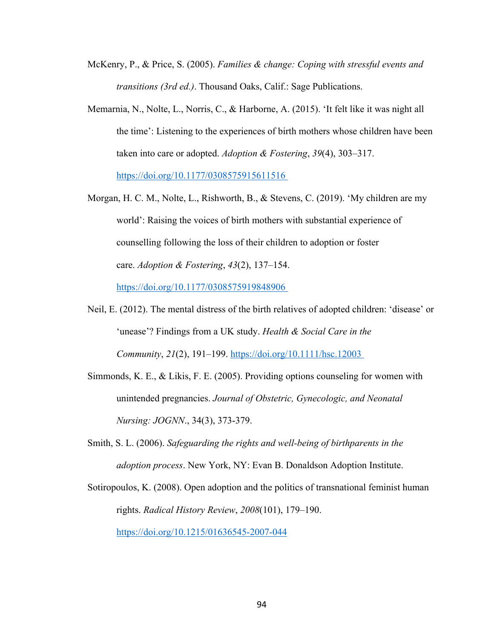- McKenry, P., & Price, S. (2005). *Families & change: Coping with stressful events and transitions (3rd ed.)*. Thousand Oaks, Calif.: Sage Publications.
- Memarnia, N., Nolte, L., Norris, C., & Harborne, A. (2015). 'It felt like it was night all the time': Listening to the experiences of birth mothers whose children have been taken into care or adopted. *Adoption & Fostering*, *39*(4), 303–317. https://doi.org/10.1177/0308575915611516
- Morgan, H. C. M., Nolte, L., Rishworth, B., & Stevens, C. (2019). 'My children are my world': Raising the voices of birth mothers with substantial experience of counselling following the loss of their children to adoption or foster care. *Adoption & Fostering*, *43*(2), 137–154. https://doi.org/10.1177/0308575919848906
- Neil, E. (2012). The mental distress of the birth relatives of adopted children: 'disease' or 'unease'? Findings from a UK study. *Health & Social Care in the Community*, *21*(2), 191–199. https://doi.org/10.1111/hsc.12003
- Simmonds, K. E., & Likis, F. E. (2005). Providing options counseling for women with unintended pregnancies. *Journal of Obstetric, Gynecologic, and Neonatal Nursing: JOGNN*., 34(3), 373-379.
- Smith, S. L. (2006). *Safeguarding the rights and well-being of birthparents in the adoption process*. New York, NY: Evan B. Donaldson Adoption Institute.
- Sotiropoulos, K. (2008). Open adoption and the politics of transnational feminist human rights. *Radical History Review*, *2008*(101), 179–190.

https://doi.org/10.1215/01636545-2007-044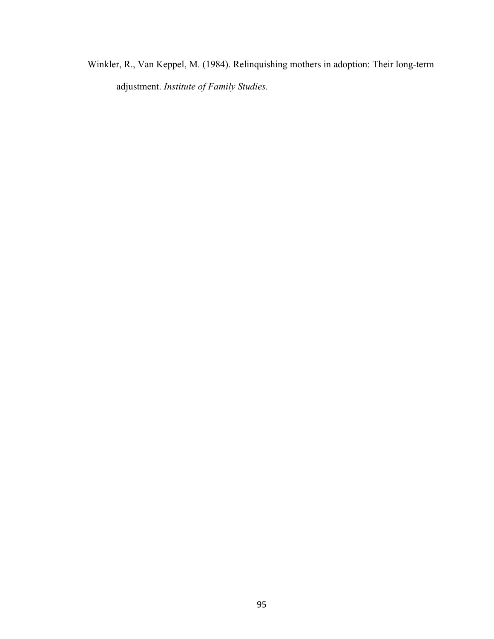Winkler, R., Van Keppel, M. (1984). Relinquishing mothers in adoption: Their long-term adjustment. *Institute of Family Studies.*